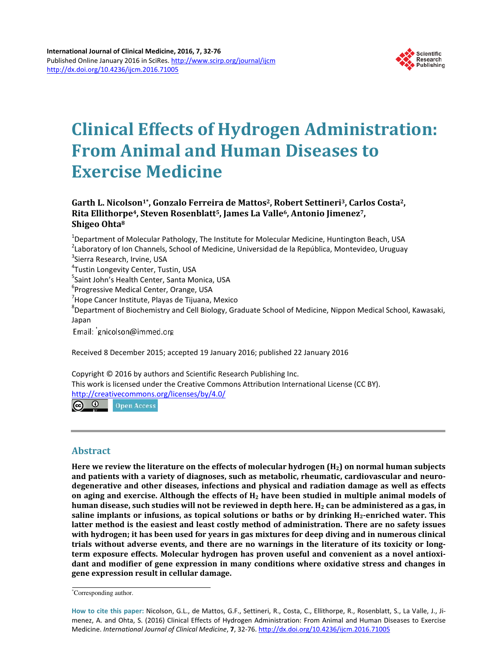

# **Clinical Effects of Hydrogen Administration: From Animal and Human Diseases to Exercise Medicine**

# **Garth L. Nicolson1\*, Gonzalo Ferreira de Mattos2, Robert Settineri3, Carlos Costa2, Rita Ellithorpe4, Steven Rosenblatt5, James La Valle6, Antonio Jimenez7, Shigeo Ohta<sup>8</sup>**

<sup>1</sup>Department of Molecular Pathology, The Institute for Molecular Medicine, Huntington Beach, USA <sup>2</sup>Laboratory of Ion Channels, School of Medicine, Universidad de la República, Montevideo, Uruguay <sup>3</sup>Sierra Research, Irvine, USA

4 Tustin Longevity Center, Tustin, USA

<sup>5</sup>Saint John's Health Center, Santa Monica, USA

<sup>6</sup> Progressive Medical Center, Orange, USA

<sup>7</sup>Hope Cancer Institute, Playas de Tijuana, Mexico

<sup>8</sup>Department of Biochemistry and Cell Biology, Graduate School of Medicine, Nippon Medical School, Kawasaki, Japan

Email: gnicolson@immed.org

Received 8 December 2015; accepted 19 January 2016; published 22 January 2016

Copyright © 2016 by authors and Scientific Research Publishing Inc.

This work is licensed under the Creative Commons Attribution International License (CC BY).

<http://creativecommons.org/licenses/by/4.0/>

 $\odot$   $\odot$ **Open Access** 

## **Abstract**

**Here we review the literature on the effects of molecular hydrogen (H2) on normal human subjects and patients with a variety of diagnoses, such as metabolic, rheumatic, cardiovascular and neurodegenerative and other diseases, infections and physical and radiation damage as well as effects on aging and exercise. Although the effects of H<sup>2</sup> have been studied in multiple animal models of human disease, such studies will not be reviewed in depth here. H<sup>2</sup> can be administered as a gas, in saline implants or infusions, as topical solutions or baths or by drinking H2-enriched water. This latter method is the easiest and least costly method of administration. There are no safety issues with hydrogen; it has been used for years in gas mixtures for deep diving and in numerous clinical trials without adverse events, and there are no warnings in the literature of its toxicity or longterm exposure effects. Molecular hydrogen has proven useful and convenient as a novel antioxidant and modifier of gene expression in many conditions where oxidative stress and changes in gene expression result in cellular damage.**

<sup>\*</sup>Corresponding author.

**How to cite this paper:** Nicolson, G.L., de Mattos, G.F., Settineri, R., Costa, C., Ellithorpe, R., Rosenblatt, S., La Valle, J., Jimenez, A. and Ohta, S. (2016) Clinical Effects of Hydrogen Administration: From Animal and Human Diseases to Exercise Medicine. *International Journal of Clinical Medicine*, **7**, 32-76[. http://dx.doi.org/10.4236/ijcm.2016.71005](http://dx.doi.org/10.4236/ijcm.2016.71005)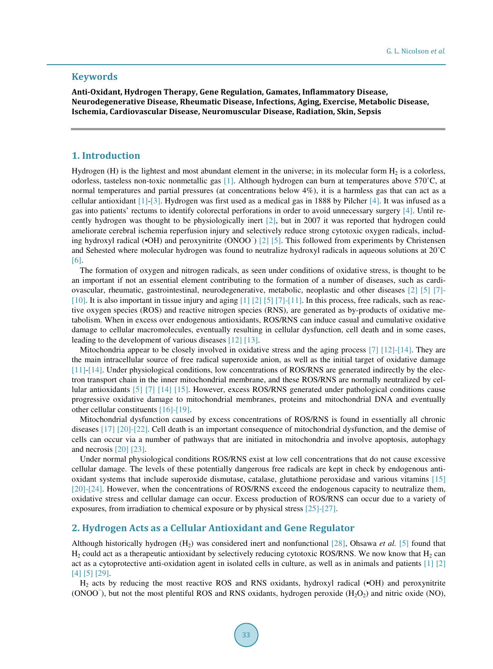## **Keywords**

**Anti-Oxidant, Hydrogen Therapy, Gene Regulation, Gamates, Inflammatory Disease, Neurodegenerative Disease, Rheumatic Disease, Infections, Aging, Exercise, Metabolic Disease, Ischemia, Cardiovascular Disease, Neuromuscular Disease, Radiation, Skin, Sepsis**

## **1. Introduction**

Hydrogen (H) is the lightest and most abundant element in the universe; in its molecular form  $H_2$  is a colorless, odorless, tasteless non-toxic nonmetallic gas [\[1\].](#page-26-0) Although hydrogen can burn at temperatures above 570˚C, at normal temperatures and partial pressures (at concentrations below 4%), it is a harmless gas that can act as a cellular antioxidant [\[1\]-](#page-26-0)[\[3\].](#page-26-1) Hydrogen was first used as a medical gas in 1888 by Pilcher [\[4\].](#page-26-2) It was infused as a gas into patients' rectums to identify colorectal perforations in order to avoid unnecessary surgery [\[4\].](#page-26-2) Until recently hydrogen was thought to be physiologically inert [\[2\],](#page-26-3) but in 2007 it was reported that hydrogen could ameliorate cerebral ischemia reperfusion injury and selectively reduce strong cytotoxic oxygen radicals, including hydroxyl radical (•OH) and peroxynitrite (ONOO<sup>−</sup> ) [\[2\]](#page-26-3) [\[5\].](#page-26-4) This followed from experiments by Christensen and Sehested where molecular hydrogen was found to neutralize hydroxyl radicals in aqueous solutions at 20˚C [\[6\].](#page-26-5) 

The formation of oxygen and nitrogen radicals, as seen under conditions of oxidative stress, is thought to be an important if not an essential element contributing to the formation of a number of diseases, such as cardiovascular, rheumatic, gastrointestinal, neurodegenerative, metabolic, neoplastic and other diseases [\[2\]](#page-26-3) [\[5\]](#page-26-4) [\[7\]-](#page-26-6) [\[10\].](#page-26-7) It is also important in tissue injury and aging [\[1\]](#page-26-0) [\[2\]](#page-26-3) [\[5\]](#page-26-4) [\[7\]-](#page-26-6)[\[11\].](#page-26-8) In this process, free radicals, such as reactive oxygen species (ROS) and reactive nitrogen species (RNS), are generated as by-products of oxidative metabolism. When in excess over endogenous antioxidants, ROS/RNS can induce casual and cumulative oxidative damage to cellular macromolecules, eventually resulting in cellular dysfunction, cell death and in some cases, leading to the development of various diseases [\[12\]](#page-26-9) [\[13\].](#page-26-10)

Mitochondria appear to be closely involved in oxidative stress and the aging process [\[7\]](#page-26-6) [\[12\]](#page-26-9)[-\[14\].](#page-26-11) They are the main intracellular source of free radical superoxide anion, as well as the initial target of oxidative damage [\[11\]](#page-26-8)[-\[14\].](#page-26-11) Under physiological conditions, low concentrations of ROS/RNS are generated indirectly by the electron transport chain in the inner mitochondrial membrane, and these ROS/RNS are normally neutralized by cellular antioxidants [\[5\]](#page-26-4) [\[7\]](#page-26-6) [\[14\]](#page-26-11) [\[15\].](#page-26-12) However, excess ROS/RNS generated under pathological conditions cause progressive oxidative damage to mitochondrial membranes, proteins and mitochondrial DNA and eventually other cellular constituents [\[16\]](#page-26-13)[-\[19\].](#page-27-0)

Mitochondrial dysfunction caused by excess concentrations of ROS/RNS is found in essentially all chronic diseases [\[17\]](#page-27-1) [\[20\]](#page-27-2)[-\[22\].](#page-27-3) Cell death is an important consequence of mitochondrial dysfunction, and the demise of cells can occur via a number of pathways that are initiated in mitochondria and involve apoptosis, autophagy and necrosis [\[20\]](#page-27-2) [\[23\].](#page-27-4)

Under normal physiological conditions ROS/RNS exist at low cell concentrations that do not cause excessive cellular damage. The levels of these potentially dangerous free radicals are kept in check by endogenous antioxidant systems that include superoxide dismutase, catalase, glutathione peroxidase and various vitamins [\[15\]](#page-26-12) [\[20\]](#page-27-2)[-\[24\].](#page-27-5) However, when the concentrations of ROS/RNS exceed the endogenous capacity to neutralize them, oxidative stress and cellular damage can occur. Excess production of ROS/RNS can occur due to a variety of exposures, from irradiation to chemical exposure or by physical stress [\[25\]-](#page-27-6)[\[27\].](#page-27-7)

#### **2. Hydrogen Acts as a Cellular Antioxidant and Gene Regulator**

Although historically hydrogen (H2) was considered inert and nonfunctional [\[28\],](#page-27-8) Ohsawa *et al.* [\[5\]](#page-26-4) found that  $H_2$  could act as a therapeutic antioxidant by selectively reducing cytotoxic ROS/RNS. We now know that  $H_2$  can act as a cytoprotective anti-oxidation agent in isolated cells in culture, as well as in animals and patients [\[1\]](#page-26-0) [\[2\]](#page-26-3) [\[4\]](#page-26-2) [\[5\]](#page-26-4) [\[29\].](#page-27-9)

H<sub>2</sub> acts by reducing the most reactive ROS and RNS oxidants, hydroxyl radical (•OH) and peroxynitrite (ONOO<sup>−</sup>), but not the most plentiful ROS and RNS oxidants, hydrogen peroxide (H<sub>2</sub>O<sub>2</sub>) and nitric oxide (NO),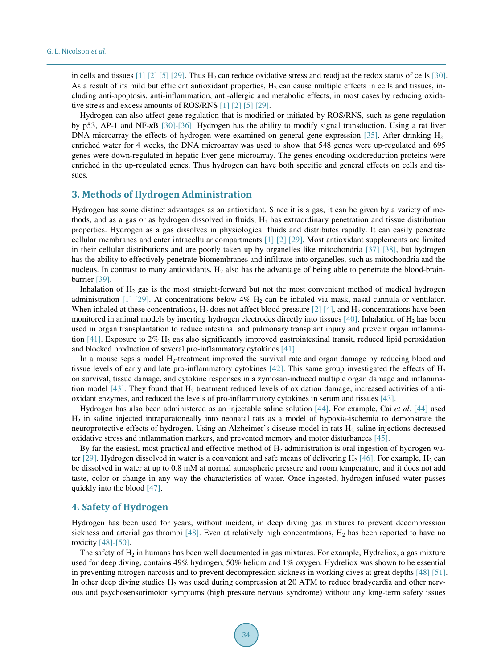in cells and tissues  $[1]$   $[2]$   $[5]$   $[29]$ . Thus  $H_2$  can reduce oxidative stress and readjust the redox status of cells  $[30]$ . As a result of its mild but efficient antioxidant properties,  $H_2$  can cause multiple effects in cells and tissues, including anti-apoptosis, anti-inflammation, anti-allergic and metabolic effects, in most cases by reducing oxidative stress and excess amounts of ROS/RNS [\[1\]](#page-26-0) [\[2\]](#page-26-3) [\[5\]](#page-26-4) [\[29\].](#page-27-9)

Hydrogen can also affect gene regulation that is modified or initiated by ROS/RNS, such as gene regulation by p53, AP-1 and NF-*κ*B [\[30\]](#page-27-10)[-\[36\].](#page-27-11) Hydrogen has the ability to modify signal transduction. Using a rat liver DNA microarray the effects of hydrogen were examined on general gene expression [\[35\].](#page-27-12) After drinking  $H_2$ enriched water for 4 weeks, the DNA microarray was used to show that 548 genes were up-regulated and 695 genes were down-regulated in hepatic liver gene microarray. The genes encoding oxidoreduction proteins were enriched in the up-regulated genes. Thus hydrogen can have both specific and general effects on cells and tissues.

#### **3. Methods of Hydrogen Administration**

Hydrogen has some distinct advantages as an antioxidant. Since it is a gas, it can be given by a variety of methods, and as a gas or as hydrogen dissolved in fluids,  $H_2$  has extraordinary penetration and tissue distribution properties. Hydrogen as a gas dissolves in physiological fluids and distributes rapidly. It can easily penetrate cellular membranes and enter intracellular compartments [\[1\]](#page-26-0) [\[2\]](#page-26-3) [\[29\].](#page-27-9) Most antioxidant supplements are limited in their cellular distributions and are poorly taken up by organelles like mitochondria [\[37\]](#page-27-13) [\[38\],](#page-27-14) but hydrogen has the ability to effectively penetrate biomembranes and infiltrate into organelles, such as mitochondria and the nucleus. In contrast to many antioxidants,  $H_2$  also has the advantage of being able to penetrate the blood-brainbarrier [\[39\].](#page-28-0)

Inhalation of  $H_2$  gas is the most straight-forward but not the most convenient method of medical hydrogen administration [\[1\]](#page-26-0) [\[29\].](#page-27-9) At concentrations below 4%  $H_2$  can be inhaled via mask, nasal cannula or ventilator. When inhaled at these concentrations,  $H_2$  does not affect blood pressur[e \[2\]](#page-26-3) [\[4\],](#page-26-2) and  $H_2$  concentrations have been monitored in animal models by inserting hydrogen electrodes directly into tissues  $[40]$ . Inhalation of  $H_2$  has been used in organ transplantation to reduce intestinal and pulmonary transplant injury and prevent organ inflamma-tion [\[41\].](#page-28-2) Exposure to  $2\%$  H<sub>2</sub> gas also significantly improved gastrointestinal transit, reduced lipid peroxidation and blocked production of several pro-inflammatory cytokine[s \[41\].](#page-28-2) 

In a mouse sepsis model H<sub>2</sub>-treatment improved the survival rate and organ damage by reducing blood and tissue levels of early and late pro-inflammatory cytokines [\[42\].](#page-28-3) This same group investigated the effects of H<sub>2</sub> on survival, tissue damage, and cytokine responses in a zymosan-induced multiple organ damage and inflamma-tion model [\[43\].](#page-28-4) They found that  $H_2$  treatment reduced levels of oxidation damage, increased activities of antioxidant enzymes, and reduced the levels of pro-inflammatory cytokines in serum and tissues [\[43\].](#page-28-4)

Hydrogen has also been administered as an injectable saline solution [\[44\].](#page-28-5) For example, Cai *et al.* [\[44\]](#page-28-5) used  $H<sub>2</sub>$  in saline injected intraparatoneally into neonatal rats as a model of hypoxia-ischemia to demonstrate the neuroprotective effects of hydrogen. Using an Alzheimer's disease model in rats H<sub>2</sub>-saline injections decreased oxidative stress and inflammation markers, and prevented memory and motor disturbances [\[45\].](#page-28-6)

By far the easiest, most practical and effective method of  $H_2$  administration is oral ingestion of hydrogen wa-ter [\[29\].](#page-27-9) Hydrogen dissolved in water is a convenient and safe means of delivering  $H_2$  [\[46\].](#page-28-7) For example,  $H_2$  can be dissolved in water at up to 0.8 mM at normal atmospheric pressure and room temperature, and it does not add taste, color or change in any way the characteristics of water. Once ingested, hydrogen-infused water passes quickly into the blood [\[47\].](#page-28-8)

## **4. Safety of Hydrogen**

Hydrogen has been used for years, without incident, in deep diving gas mixtures to prevent decompression sickness and arterial gas thrombi [\[48\].](#page-28-9) Even at relatively high concentrations,  $H_2$  has been reported to have no toxicity [\[48\]-](#page-28-9)[\[50\].](#page-28-10) 

The safety of  $H_2$  in humans has been well documented in gas mixtures. For example, Hydreliox, a gas mixture used for deep diving, contains 49% hydrogen, 50% helium and 1% oxygen. Hydreliox was shown to be essential in preventing nitrogen narcosis and to prevent decompression sickness in working dives at great depths [\[48\]](#page-28-9) [\[51\].](#page-28-11) In other deep diving studies  $H_2$  was used during compression at 20 ATM to reduce bradycardia and other nervous and psychosensorimotor symptoms (high pressure nervous syndrome) without any long-term safety issues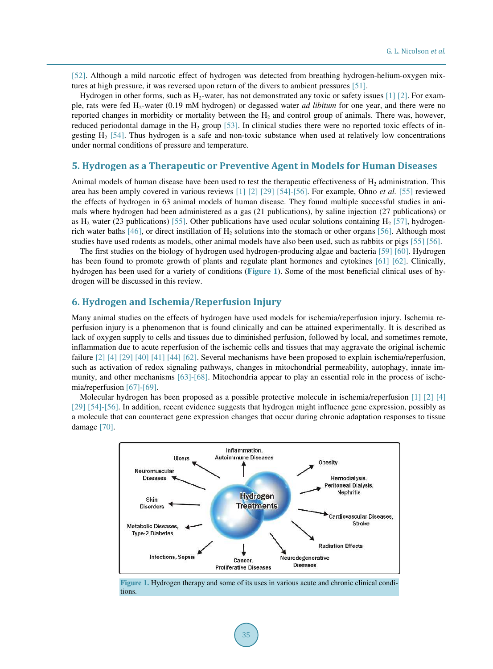[\[52\].](#page-28-12) Although a mild narcotic effect of hydrogen was detected from breathing hydrogen-helium-oxygen mixtures at high pressure, it was reversed upon return of the divers to ambient pressures [\[51\].](#page-28-11)

Hydrogen in other forms, such as H<sub>2</sub>-water, has not demonstrated any toxic or safety issues [\[1\]](#page-26-0) [\[2\].](#page-26-3) For example, rats were fed H2-water (0.19 mM hydrogen) or degassed water *ad libitum* for one year, and there were no reported changes in morbidity or mortality between the  $H_2$  and control group of animals. There was, however, reduced periodontal damage in the  $H_2$  group [\[53\].](#page-28-13) In clinical studies there were no reported toxic effects of ingesting  $H<sub>2</sub>$  [\[54\].](#page-28-14) Thus hydrogen is a safe and non-toxic substance when used at relatively low concentrations under normal conditions of pressure and temperature.

## **5. Hydrogen as a Therapeutic or Preventive Agent in Models for Human Diseases**

Animal models of human disease have been used to test the therapeutic effectiveness of  $H_2$  administration. This area has been amply covered in various reviews [\[1\]](#page-26-0) [\[2\]](#page-26-3) [\[29\]](#page-27-9) [\[54\]](#page-28-14)[-\[56\].](#page-28-15) For example, Ohno *et al.* [\[55\]](#page-28-16) reviewed the effects of hydrogen in 63 animal models of human disease. They found multiple successful studies in animals where hydrogen had been administered as a gas (21 publications), by saline injection (27 publications) or as H<sub>2</sub> water (23 publications) [\[55\].](#page-28-16) Other publications have used ocular solutions containing H<sub>2</sub> [\[57\],](#page-28-17) hydrogen-rich water baths [\[46\],](#page-28-7) or direct instillation of  $H_2$  solutions into the stomach or other organs [\[56\].](#page-28-15) Although most studies have used rodents as models, other animal models have also been used, such as rabbits or pigs [\[55\]](#page-28-16) [\[56\].](#page-28-15)

The first studies on the biology of hydrogen used hydrogen-producing algae and bacteria [\[59\]](#page-28-18) [\[60\].](#page-29-0) Hydrogen has been found to promote growth of plants and regulate plant hormones and cytokines [\[61\]](#page-29-1) [\[62\].](#page-29-2) Clinically, hydrogen has been used for a variety of conditions (**[Figure 1](#page-3-0)**). Some of the most beneficial clinical uses of hydrogen will be discussed in this review.

## **6. Hydrogen and Ischemia/Reperfusion Injury**

Many animal studies on the effects of hydrogen have used models for ischemia/reperfusion injury. Ischemia reperfusion injury is a phenomenon that is found clinically and can be attained experimentally. It is described as lack of oxygen supply to cells and tissues due to diminished perfusion, followed by local, and sometimes remote, inflammation due to acute reperfusion of the ischemic cells and tissues that may aggravate the original ischemic failure [\[2\]](#page-26-3) [\[4\]](#page-26-2) [\[29\]](#page-27-9) [\[40\]](#page-28-1) [\[41\]](#page-28-2) [\[44\]](#page-28-5) [\[62\].](#page-29-2) Several mechanisms have been proposed to explain ischemia/reperfusion, such as activation of redox signaling pathways, changes in mitochondrial permeability, autophagy, innate immunity, and other mechanisms [\[63\]](#page-29-3)[-\[68\].](#page-29-4) Mitochondria appear to play an essential role in the process of ischemia/reperfusion [\[67\]](#page-29-5)[-\[69\].](#page-29-6)

<span id="page-3-0"></span>Molecular hydrogen has been proposed as a possible protective molecule in ischemia/reperfusion [\[1\]](#page-26-0) [\[2\]](#page-26-3) [\[4\]](#page-26-2) [\[29\]](#page-27-9) [\[54\]](#page-28-14)[-\[56\].](#page-28-15) In addition, recent evidence suggests that hydrogen might influence gene expression, possibly as a molecule that can counteract gene expression changes that occur during chronic adaptation responses to tissue damage [\[70\].](#page-29-7)



**Figure 1.** Hydrogen therapy and some of its uses in various acute and chronic clinical conditions.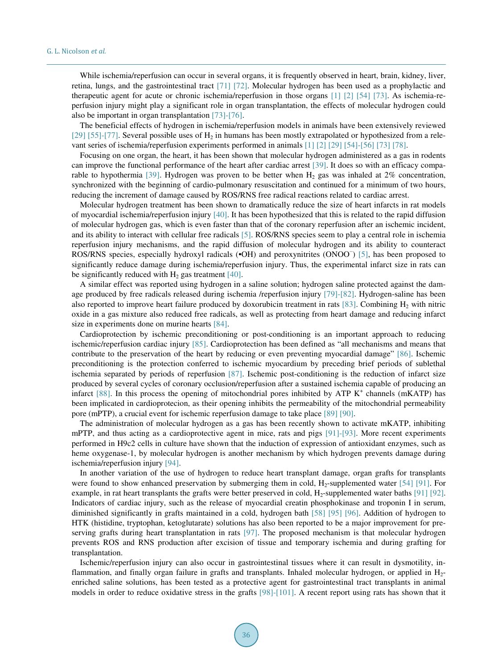While ischemia/reperfusion can occur in several organs, it is frequently observed in heart, brain, kidney, liver, retina, lungs, and the gastrointestinal tract [\[71\]](#page-29-8) [\[72\].](#page-29-9) Molecular hydrogen has been used as a prophylactic and therapeutic agent for acute or chronic ischemia/reperfusion in those organs [\[1\]](#page-26-0) [\[2\]](#page-26-3) [\[54\]](#page-28-14) [\[73\].](#page-29-10) As ischemia-reperfusion injury might play a significant role in organ transplantation, the effects of molecular hydrogen could also be important in organ transplantation [\[73\]-](#page-29-10)[\[76\].](#page-29-11)

The beneficial effects of hydrogen in ischemia/reperfusion models in animals have been extensively reviewed [\[29\]](#page-27-9) [\[55\]-](#page-28-16)[\[77\].](#page-29-12) Several possible uses of  $H_2$  in humans has been mostly extrapolated or hypothesized from a relevant series of ischemia/reperfusion experiments performed in animals [\[1\]](#page-26-0) [\[2\]](#page-26-3) [\[29\]](#page-27-9) [\[54\]](#page-28-14)[-\[56\]](#page-28-15) [\[73\]](#page-29-10) [\[78\].](#page-29-13)

Focusing on one organ, the heart, it has been shown that molecular hydrogen administered as a gas in rodents can improve the functional performance of the heart after cardiac arrest [\[39\].](#page-28-0) It does so with an efficacy compa-rable to hypothermia [\[39\].](#page-28-0) Hydrogen was proven to be better when  $H_2$  gas was inhaled at 2% concentration, synchronized with the beginning of cardio-pulmonary resuscitation and continued for a minimum of two hours, reducing the increment of damage caused by ROS/RNS free radical reactions related to cardiac arrest.

Molecular hydrogen treatment has been shown to dramatically reduce the size of heart infarcts in rat models of myocardial ischemia/reperfusion injury [\[40\].](#page-28-1) It has been hypothesized that this is related to the rapid diffusion of molecular hydrogen gas, which is even faster than that of the coronary reperfusion after an ischemic incident, and its ability to interact with cellular free radicals [\[5\].](#page-26-4) ROS/RNS species seem to play a central role in ischemia reperfusion injury mechanisms, and the rapid diffusion of molecular hydrogen and its ability to counteract ROS/RNS species, especially hydroxyl radicals (•OH) and peroxynitrites (ONOO )[5], has been proposed to significantly reduce damage during ischemia/reperfusion injury. Thus, the experimental infarct size in rats can be significantly reduced with  $H_2$  gas treatment [40].

A similar effect was reported using hydrogen in a saline solution; hydrogen saline protected against the damage produced by free radicals released during ischemia /reperfusion injury [\[79\]](#page-29-14)[-\[82\].](#page-30-0) Hydrogen-saline has been also reported to improve heart failure produced by doxorubicin treatment in rats [\[83\].](#page-30-1) Combining  $H_2$  with nitric oxide in a gas mixture also reduced free radicals, as well as protecting from heart damage and reducing infarct size in experiments done on murine hearts [\[84\].](#page-30-2)

Cardioprotection by ischemic preconditioning or post-conditioning is an important approach to reducing ischemic/reperfusion cardiac injury [\[85\].](#page-30-3) Cardioprotection has been defined as "all mechanisms and means that contribute to the preservation of the heart by reducing or even preventing myocardial damage" [\[86\].](#page-30-4) Ischemic preconditioning is the protection conferred to ischemic myocardium by preceding brief periods of sublethal ischemia separated by periods of reperfusion [\[87\].](#page-30-5) Ischemic post-conditioning is the reduction of infarct size produced by several cycles of coronary occlusion/reperfusion after a sustained ischemia capable of producing an infarct  $[88]$ . In this process the opening of mitochondrial pores inhibited by ATP  $K^+$  channels (mKATP) has been implicated in cardioprotecion, as their opening inhibits the permeability of the mitochondrial permeability pore (mPTP), a crucial event for ischemic reperfusion damage to take place [\[89\]](#page-30-7) [\[90\].](#page-30-8)

The administration of molecular hydrogen as a gas has been recently shown to activate mKATP, inhibiting mPTP, and thus acting as a cardioprotective agent in mice, rats and pigs [\[91\]](#page-30-9)[-\[93\].](#page-30-10) More recent experiments performed in H9c2 cells in culture have shown that the induction of expression of antioxidant enzymes, such as heme oxygenase-1, by molecular hydrogen is another mechanism by which hydrogen prevents damage during ischemia/reperfusion injury [\[94\].](#page-30-11)

In another variation of the use of hydrogen to reduce heart transplant damage, organ grafts for transplants were found to show enhanced preservation by submerging them in cold,  $H_2$ -supplemented water [\[54\]](#page-28-14) [\[91\].](#page-30-9) For example, in rat heart transplants the grafts were better preserved in cold, H<sub>2</sub>-supplemented water baths [\[91\]](#page-30-9) [\[92\].](#page-30-12) Indicators of cardiac injury, such as the release of myocardial creatin phosphokinase and troponin I in serum, diminished significantly in grafts maintained in a cold, hydrogen bath [\[58\]](#page-28-19) [\[95\]](#page-30-13) [\[96\].](#page-30-14) Addition of hydrogen to HTK (histidine, tryptophan, ketoglutarate) solutions has also been reported to be a major improvement for preserving grafts during heart transplantation in rats [\[97\].](#page-30-15) The proposed mechanism is that molecular hydrogen prevents ROS and RNS production after excision of tissue and temporary ischemia and during grafting for transplantation.

Ischemic/reperfusion injury can also occur in gastrointestinal tissues where it can result in dysmotility, inflammation, and finally organ failure in grafts and transplants. Inhaled molecular hydrogen, or applied in H2 enriched saline solutions, has been tested as a protective agent for gastrointestinal tract transplants in animal models in order to reduce oxidative stress in the grafts [\[98\]-](#page-30-16)[\[101\].](#page-31-0) A recent report using rats has shown that it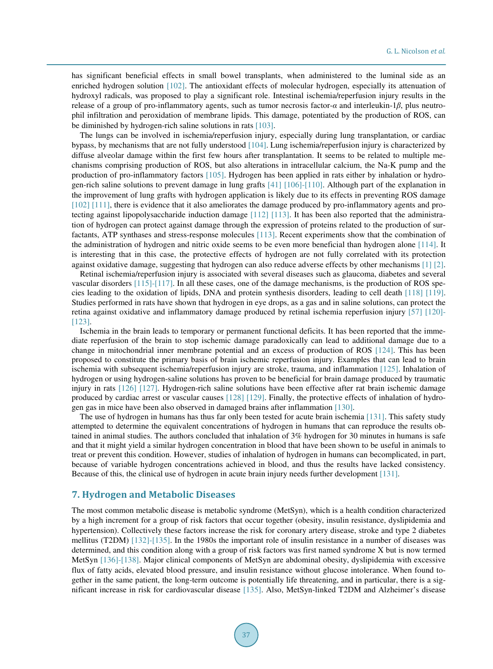has significant beneficial effects in small bowel transplants, when administered to the luminal side as an enriched hydrogen solution [\[102\].](#page-31-1) The antioxidant effects of molecular hydrogen, especially its attenuation of hydroxyl radicals, was proposed to play a significant role. Intestinal ischemia/reperfusion injury results in the release of a group of pro-inflammatory agents, such as tumor necrosis factor-*α* and interleukin-1*β*, plus neutrophil infiltration and peroxidation of membrane lipids. This damage, potentiated by the production of ROS, can be diminished by hydrogen-rich saline solutions in rats [\[103\].](#page-31-2) 

The lungs can be involved in ischemia/reperfusion injury, especially during lung transplantation, or cardiac bypass, by mechanisms that are not fully understood [\[104\].](#page-31-3) Lung ischemia/reperfusion injury is characterized by diffuse alveolar damage within the first few hours after transplantation. It seems to be related to multiple mechanisms comprising production of ROS, but also alterations in intracellular calcium, the Na-K pump and the production of pro-inflammatory factors [\[105\].](#page-31-4) Hydrogen has been applied in rats either by inhalation or hydrogen-rich saline solutions to prevent damage in lung grafts [\[41\]](#page-28-2) [\[106\]](#page-31-5)[-\[110\].](#page-31-6) Although part of the explanation in the improvement of lung grafts with hydrogen application is likely due to its effects in preventing ROS damage [\[102\]](#page-31-1) [\[111\],](#page-31-7) there is evidence that it also ameliorates the damage produced by pro-inflammatory agents and protecting against lipopolysaccharide induction damage [\[112\]](#page-31-8) [\[113\].](#page-31-9) It has been also reported that the administration of hydrogen can protect against damage through the expression of proteins related to the production of surfactants, ATP synthases and stress-response molecules [\[113\].](#page-31-9) Recent experiments show that the combination of the administration of hydrogen and nitric oxide seems to be even more beneficial than hydrogen alone [\[114\].](#page-31-10) It is interesting that in this case, the protective effects of hydrogen are not fully correlated with its protection against oxidative damage, suggesting that hydrogen can also reduce adverse effects by other mechanisms [\[1\]](#page-26-0) [\[2\].](#page-26-3)

Retinal ischemia/reperfusion injury is associated with several diseases such as glaucoma, diabetes and several vascular disorders [\[115\]-](#page-31-11)[\[117\].](#page-31-12) In all these cases, one of the damage mechanisms, is the production of ROS species leading to the oxidation of lipids, DNA and protein synthesis disorders, leading to cell death [\[118\]](#page-31-13) [\[119\].](#page-32-0) Studies performed in rats have shown that hydrogen in eye drops, as a gas and in saline solutions, can protect the retina against oxidative and inflammatory damage produced by retinal ischemia reperfusion injury [\[57\]](#page-28-17) [\[120\]-](#page-32-1) [\[123\].](#page-32-2) 

Ischemia in the brain leads to temporary or permanent functional deficits. It has been reported that the immediate reperfusion of the brain to stop ischemic damage paradoxically can lead to additional damage due to a change in mitochondrial inner membrane potential and an excess of production of ROS [\[124\].](#page-32-3) This has been proposed to constitute the primary basis of brain ischemic reperfusion injury. Examples that can lead to brain ischemia with subsequent ischemia/reperfusion injury are stroke, trauma, and inflammation [\[125\].](#page-32-4) Inhalation of hydrogen or using hydrogen-saline solutions has proven to be beneficial for brain damage produced by traumatic injury in rats [\[126\]](#page-32-5) [\[127\].](#page-32-6) Hydrogen-rich saline solutions have been effective after rat brain ischemic damage produced by cardiac arrest or vascular causes [\[128\]](#page-32-7) [\[129\].](#page-32-8) Finally, the protective effects of inhalation of hydrogen gas in mice have been also observed in damaged brains after inflammation [\[130\].](#page-32-9) 

The use of hydrogen in humans has thus far only been tested for acute brain ischemia [\[131\].](#page-32-10) This safety study attempted to determine the equivalent concentrations of hydrogen in humans that can reproduce the results obtained in animal studies. The authors concluded that inhalation of 3% hydrogen for 30 minutes in humans is safe and that it might yield a similar hydrogen concentration in blood that have been shown to be useful in animals to treat or prevent this condition. However, studies of inhalation of hydrogen in humans can becomplicated, in part, because of variable hydrogen concentrations achieved in blood, and thus the results have lacked consistency. Because of this, the clinical use of hydrogen in acute brain injury needs further development [\[131\].](#page-32-10) 

#### **7. Hydrogen and Metabolic Diseases**

The most common metabolic disease is metabolic syndrome (MetSyn), which is a health condition characterized by a high increment for a group of risk factors that occur together (obesity, insulin resistance, dyslipidemia and hypertension). Collectively these factors increase the risk for coronary artery disease, stroke and type 2 diabetes mellitus (T2DM) [\[132\]-](#page-32-11)[\[135\].](#page-32-12) In the 1980s the important role of insulin resistance in a number of diseases was determined, and this condition along with a group of risk factors was first named syndrome X but is now termed MetSyn [\[136\]](#page-32-13)[-\[138\].](#page-33-0) Major clinical components of MetSyn are abdominal obesity, dyslipidemia with excessive flux of fatty acids, elevated blood pressure, and insulin resistance without glucose intolerance. When found together in the same patient, the long-term outcome is potentially life threatening, and in particular, there is a significant increase in risk for cardiovascular disease [\[135\].](#page-32-12) Also, MetSyn-linked T2DM and Alzheimer's disease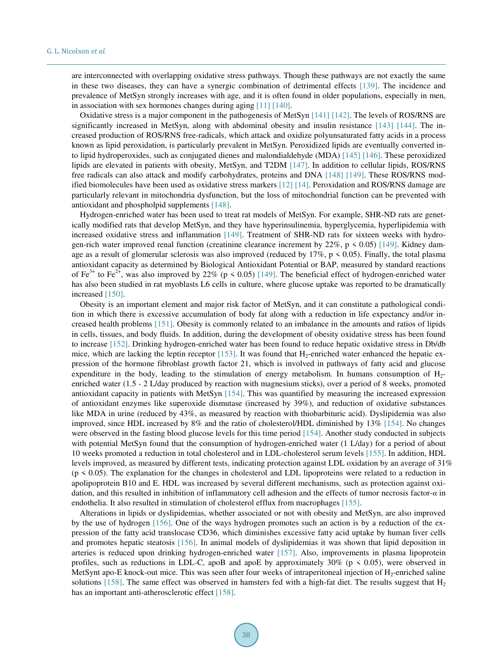are interconnected with overlapping oxidative stress pathways. Though these pathways are not exactly the same in these two diseases, they can have a synergic combination of detrimental effects [\[139\].](#page-33-1) The incidence and prevalence of MetSyn strongly increases with age, and it is often found in older populations, especially in men, in association with sex hormones changes during aging [\[11\]](#page-26-8) [\[140\].](#page-33-2)

Oxidative stress is a major component in the pathogenesis of MetSyn [\[141\]](#page-33-3) [\[142\].](#page-33-4) The levels of ROS/RNS are significantly increased in MetSyn, along with abdominal obesity and insulin resistance [\[143\]](#page-33-5) [\[144\].](#page-33-6) The increased production of ROS/RNS free-radicals, which attack and oxidize polyunsaturated fatty acids in a process known as lipid peroxidation, is particularly prevalent in MetSyn. Peroxidized lipids are eventually converted into lipid hydroperoxides, such as conjugated dienes and malondialdehyde (MDA) [\[145\]](#page-33-7) [\[146\].](#page-33-8) These peroxidized lipids are elevated in patients with obesity, MetSyn, and T2DM [\[147\].](#page-33-9) In addition to cellular lipids, ROS/RNS free radicals can also attack and modify carbohydrates, proteins and DNA [\[148\]](#page-33-10) [\[149\].](#page-33-11) These ROS/RNS modified biomolecules have been used as oxidative stress markers [\[12\]](#page-26-9) [\[14\].](#page-26-11) Peroxidation and ROS/RNS damage are particularly relevant in mitochondria dysfunction, but the loss of mitochondrial function can be prevented with antioxidant and phospholpid supplements [\[148\].](#page-33-10)

Hydrogen-enriched water has been used to treat rat models of MetSyn. For example, SHR-ND rats are genetically modified rats that develop MetSyn, and they have hyperinsulinemia, hyperglycemia, hyperlipidemia with increased oxidative stress and inflammation [\[149\].](#page-33-11) Treatment of SHR-ND rats for sixteen weeks with hydrogen-rich water improved renal function (creatinine clearance increment by  $22\%$ , p < 0.05) [\[149\].](#page-33-11) Kidney damage as a result of glomerular sclerosis was also improved (reduced by  $17\%$ ,  $p \le 0.05$ ). Finally, the total plasma antioxidant capacity as determined by Biological Antioxidant Potential or BAP, measured by standard reactions of Fe<sup>2+</sup> to Fe<sup>2+</sup>, was also improved by 22% (p < 0.05) [\[149\].](#page-33-11) The beneficial effect of hydrogen-enriched water has also been studied in rat myoblasts L6 cells in culture, where glucose uptake was reported to be dramatically increased [\[150\].](#page-33-12)

Obesity is an important element and major risk factor of MetSyn, and it can constitute a pathological condition in which there is excessive accumulation of body fat along with a reduction in life expectancy and/or increased health problems [\[151\].](#page-33-13) Obesity is commonly related to an imbalance in the amounts and ratios of lipids in cells, tissues, and body fluids. In addition, during the development of obesity oxidative stress has been found to increase [\[152\].](#page-33-14) Drinking hydrogen-enriched water has been found to reduce hepatic oxidative stress in Db/db mice, which are lacking the leptin receptor  $[153]$ . It was found that H<sub>2</sub>-enriched water enhanced the hepatic expression of the hormone fibroblast growth factor 21, which is involved in pathways of fatty acid and glucose expenditure in the body, leading to the stimulation of energy metabolism. In humans consumption of  $H_2$ enriched water (1.5 - 2 L/day produced by reaction with magnesium sticks), over a period of 8 weeks, promoted antioxidant capacity in patients with MetSyn [\[154\].](#page-33-16) This was quantified by measuring the increased expression of antioxidant enzymes like superoxide dismutase (increased by 39%), and reduction of oxidative substances like MDA in urine (reduced by 43%, as measured by reaction with thiobarbituric acid). Dyslipidemia was also improved, since HDL increased by 8% and the ratio of cholesterol/HDL diminished by 13% [\[154\].](#page-33-16) No changes were observed in the fasting blood glucose levels for this time period [\[154\].](#page-33-16) Another study conducted in subjects with potential MetSyn found that the consumption of hydrogen-enriched water (1 L/day) for a period of about 10 weeks promoted a reduction in total cholesterol and in LDL-cholesterol serum levels [\[155\].](#page-33-17) In addition, HDL levels improved, as measured by different tests, indicating protection against LDL oxidation by an average of 31%  $(p \le 0.05)$ . The explanation for the changes in cholesterol and LDL lipoproteins were related to a reduction in apolipoprotein B10 and E. HDL was increased by several different mechanisms, such as protection against oxidation, and this resulted in inhibition of inflammatory cell adhesion and the effects of tumor necrosis factor-*α* in endothelia. It also resulted in stimulation of cholesterol efflux from macrophages [\[155\].](#page-33-17)

Alterations in lipids or dyslipidemias, whether associated or not with obesity and MetSyn, are also improved by the use of hydrogen [\[156\].](#page-33-18) One of the ways hydrogen promotes such an action is by a reduction of the expression of the fatty acid translocase CD36, which diminishes excessive fatty acid uptake by human liver cells and promotes hepatic steatosis [\[156\].](#page-33-18) In animal models of dyslipidemias it was shown that lipid deposition in arteries is reduced upon drinking hydrogen-enriched water [\[157\].](#page-33-19) Also, improvements in plasma lipoprotein profiles, such as reductions in LDL-C, apoB and apoE by approximately  $30\%$  (p < 0.05), were observed in MetSynt apo-E knock-out mice. This was seen after four weeks of intraperitoneal injection of  $H_2$ -enriched saline solutions [\[158\].](#page-34-0) The same effect was observed in hamsters fed with a high-fat diet. The results suggest that  $H_2$ has an important anti-atherosclerotic effect [\[158\].](#page-34-0)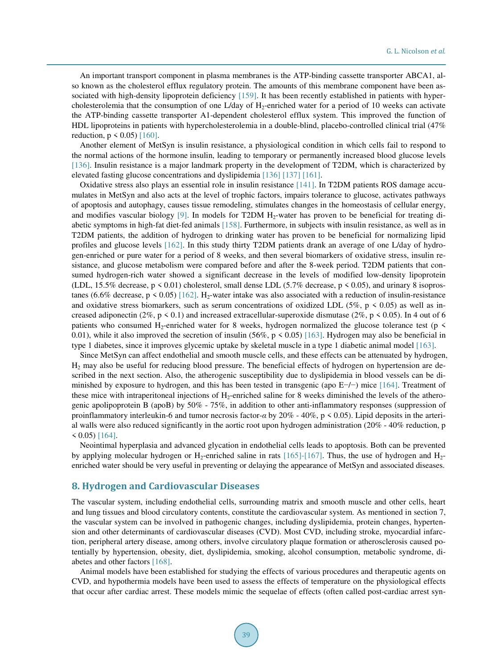An important transport component in plasma membranes is the ATP-binding cassette transporter ABCA1, also known as the cholesterol efflux regulatory protein. The amounts of this membrane component have been as-sociated with high-density lipoprotein deficiency [\[159\].](#page-34-1) It has been recently established in patients with hypercholesterolemia that the consumption of one L/day of  $H_2$ -enriched water for a period of 10 weeks can activate the ATP-binding cassette transporter A1-dependent cholesterol efflux system. This improved the function of HDL lipoproteins in patients with hypercholesterolemia in a double-blind, placebo-controlled clinical trial (47% reduction,  $p \le 0.05$  [\[160\].](#page-34-2)

Another element of MetSyn is insulin resistance, a physiological condition in which cells fail to respond to the normal actions of the hormone insulin, leading to temporary or permanently increased blood glucose levels [\[136\].](#page-32-13) Insulin resistance is a major landmark property in the development of T2DM, which is characterized by elevated fasting glucose concentrations and dyslipidemia [\[136\]](#page-32-13) [\[137\]](#page-32-14) [\[161\].](#page-34-3)

Oxidative stress also plays an essential role in insulin resistance [\[141\].](#page-33-3) In T2DM patients ROS damage accumulates in MetSyn and also acts at the level of trophic factors, impairs tolerance to glucose, activates pathways of apoptosis and autophagy, causes tissue remodeling, stimulates changes in the homeostasis of cellular energy, and modifies vascular biology  $[9]$ . In models for T2DM  $H_2$ -water has proven to be beneficial for treating diabetic symptoms in high-fat diet-fed animals [\[158\].](#page-34-0) Furthermore, in subjects with insulin resistance, as well as in T2DM patients, the addition of hydrogen to drinking water has proven to be beneficial for normalizing lipid profiles and glucose levels [\[162\].](#page-34-4) In this study thirty T2DM patients drank an average of one L/day of hydrogen-enriched or pure water for a period of 8 weeks, and then several biomarkers of oxidative stress, insulin resistance, and glucose metabolism were compared before and after the 8-week period. T2DM patients that consumed hydrogen-rich water showed a significant decrease in the levels of modified low-density lipoprotein (LDL, 15.5% decrease, p < 0.01) cholesterol, small dense LDL (5.7% decrease, p < 0.05), and urinary 8 isopros-tanes (6.6% decrease, p < 0.05) [\[162\].](#page-34-4) H<sub>2</sub>-water intake was also associated with a reduction of insulin-resistance and oxidative stress biomarkers, such as serum concentrations of oxidized LDL (5%, p  $\leq$  0.05) as well as increased adiponectin (2%, p < 0.1) and increased extracellular-superoxide dismutase (2%, p < 0.05). In 4 out of 6 patients who consumed H<sub>2</sub>-enriched water for 8 weeks, hydrogen normalized the glucose tolerance test (p  $\leq$ 0.01), while it also improved the secretion of insulin (56%,  $p \le 0.05$ ) [\[163\].](#page-34-5) Hydrogen may also be beneficial in type 1 diabetes, since it improves glycemic uptake by skeletal muscle in a type 1 diabetic animal model [\[163\].](#page-34-5)

Since MetSyn can affect endothelial and smooth muscle cells, and these effects can be attenuated by hydrogen,  $H_2$  may also be useful for reducing blood pressure. The beneficial effects of hydrogen on hypertension are described in the next section. Also, the atherogenic susceptibility due to dyslipidemia in blood vessels can be diminished by exposure to hydrogen, and this has been tested in transgenic (apo E−/−) mice [\[164\].](#page-34-6) Treatment of these mice with intraperitoneal injections of  $H_2$ -enriched saline for 8 weeks diminished the levels of the atherogenic apolipoprotein B (apoB) by 50% - 75%, in addition to other anti-inflammatory responses (suppression of proinflammatory interleukin-6 and tumor necrosis factor-*α* by 20% - 40%, p < 0.05). Lipid deposits in the arterial walls were also reduced significantly in the aortic root upon hydrogen administration (20% - 40% reduction, p  $\leq$  0.05) [\[164\].](#page-34-6)

Neointimal hyperplasia and advanced glycation in endothelial cells leads to apoptosis. Both can be prevented by applying molecular hydrogen or  $H_2$ -enriched saline in rats [\[165\]-](#page-34-7)[\[167\].](#page-34-8) Thus, the use of hydrogen and  $H_2$ enriched water should be very useful in preventing or delaying the appearance of MetSyn and associated diseases.

## **8. Hydrogen and Cardiovascular Diseases**

The vascular system, including endothelial cells, surrounding matrix and smooth muscle and other cells, heart and lung tissues and blood circulatory contents, constitute the cardiovascular system. As mentioned in section 7, the vascular system can be involved in pathogenic changes, including dyslipidemia, protein changes, hypertension and other determinants of cardiovascular diseases (CVD). Most CVD, including stroke, myocardial infarction, peripheral artery disease, among others, involve circulatory plaque formation or atherosclerosis caused potentially by hypertension, obesity, diet, dyslipidemia, smoking, alcohol consumption, metabolic syndrome, diabetes and other factors [\[168\].](#page-34-9) 

Animal models have been established for studying the effects of various procedures and therapeutic agents on CVD, and hypothermia models have been used to assess the effects of temperature on the physiological effects that occur after cardiac arrest. These models mimic the sequelae of effects (often called post-cardiac arrest syn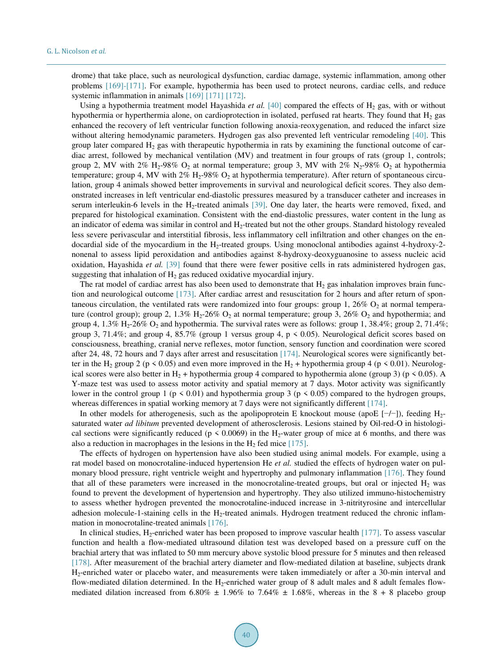drome) that take place, such as neurological dysfunction, cardiac damage, systemic inflammation, among other problems [\[169\]](#page-34-10)[-\[171\].](#page-34-11) For example, hypothermia has been used to protect neurons, cardiac cells, and reduce systemic inflammation in animals [\[169\]](#page-34-10) [\[171\]](#page-34-11) [\[172\].](#page-34-12)

Using a hypothermia treatment model Hayashida *et al.* [\[40\]](#page-28-1) compared the effects of  $H_2$  gas, with or without hypothermia or hyperthermia alone, on cardioprotection in isolated, perfused rat hearts. They found that  $H_2$  gas enhanced the recovery of left ventricular function following anoxia-reoxygenation, and reduced the infarct size without altering hemodynamic parameters. Hydrogen gas also prevented left ventricular remodeling [\[40\].](#page-28-1) This group later compared  $H_2$  gas with therapeutic hypothermia in rats by examining the functional outcome of cardiac arrest, followed by mechanical ventilation (MV) and treatment in four groups of rats (group 1, controls; group 2, MV with 2% H<sub>2</sub>-98% O<sub>2</sub> at normal temperature; group 3, MV with 2% N<sub>2</sub>-98% O<sub>2</sub> at hypothermia temperature; group 4, MV with  $2\%$  H<sub>2</sub>-98% O<sub>2</sub> at hypothermia temperature). After return of spontaneous circulation, group 4 animals showed better improvements in survival and neurological deficit scores. They also demonstrated increases in left ventricular end-diastolic pressures measured by a transducer catheter and increases in serum interleukin-6 levels in the  $H_2$ -treated animals [\[39\].](#page-28-0) One day later, the hearts were removed, fixed, and prepared for histological examination. Consistent with the end-diastolic pressures, water content in the lung as an indicator of edema was similar in control and H<sub>2</sub>-treated but not the other groups. Standard histology revealed less severe perivascular and interstitial fibrosis, less inflammatory cell infiltration and other changes on the endocardial side of the myocardium in the H<sub>2</sub>-treated groups. Using monoclonal antibodies against 4-hydroxy-2nonenal to assess lipid peroxidation and antibodies against 8-hydroxy-deoxyguanosine to assess nucleic acid oxidation, Hayashida *et al.* [\[39\]](#page-28-0) found that there were fewer positive cells in rats administered hydrogen gas, suggesting that inhalation of  $H_2$  gas reduced oxidative myocardial injury.

The rat model of cardiac arrest has also been used to demonstrate that  $H_2$  gas inhalation improves brain function and neurological outcome [\[173\].](#page-34-13) After cardiac arrest and resuscitation for 2 hours and after return of spontaneous circulation, the ventilated rats were randomized into four groups: group 1,  $26\%$  O<sub>2</sub> at normal temperature (control group); group 2, 1.3% H<sub>2</sub>-26%  $O_2$  at normal temperature; group 3, 26%  $O_2$  and hypothermia; and group 4, 1.3%  $H_2$ -26% O<sub>2</sub> and hypothermia. The survival rates were as follows: group 1, 38.4%; group 2, 71.4%; group 3, 71.4%; and group 4, 85.7% (group 1 versus group 4, p < 0.05). Neurological deficit scores based on consciousness, breathing, cranial nerve reflexes, motor function, sensory function and coordination were scored after 24, 48, 72 hours and 7 days after arrest and resuscitation [\[174\].](#page-34-14) Neurological scores were significantly better in the H<sub>2</sub> group 2 (p < 0.05) and even more improved in the H<sub>2</sub> + hypothermia group 4 (p < 0.01). Neurological scores were also better in H<sub>2</sub> + hypothermia group 4 compared to hypothermia alone (group 3) (p < 0.05). A Y-maze test was used to assess motor activity and spatial memory at 7 days. Motor activity was significantly lower in the control group 1 ( $p \le 0.01$ ) and hypothermia group 3 ( $p \le 0.05$ ) compared to the hydrogen groups, whereas differences in spatial working memory at 7 days were not significantly different [\[174\].](#page-34-14)

In other models for atherogenesis, such as the apolipoprotein E knockout mouse (apoE [ $-/-$ ]), feeding H<sub>2</sub>saturated water *ad libitum* prevented development of atherosclerosis. Lesions stained by Oil-red-O in histological sections were significantly reduced ( $p \le 0.0069$ ) in the H<sub>2</sub>-water group of mice at 6 months, and there was also a reduction in macrophages in the lesions in the  $H_2$  fed mice [\[175\].](#page-35-0)

The effects of hydrogen on hypertension have also been studied using animal models. For example, using a rat model based on monocrotaline-induced hypertension He *et al.* studied the effects of hydrogen water on pulmonary blood pressure, right ventricle weight and hypertrophy and pulmonary inflammation [\[176\].](#page-35-1) They found that all of these parameters were increased in the monocrotaline-treated groups, but oral or injected  $H_2$  was found to prevent the development of hypertension and hypertrophy. They also utilized immuno-histochemistry to assess whether hydrogen prevented the monocrotaline-induced increase in 3-nitrityrosine and intercellular adhesion molecule-1-staining cells in the  $H_2$ -treated animals. Hydrogen treatment reduced the chronic inflammation in monocrotaline-treated animal[s \[176\].](#page-35-1) 

In clinical studies,  $H_2$ -enriched water has been proposed to improve vascular health [\[177\].](#page-35-2) To assess vascular function and health a flow-mediated ultrasound dilation test was developed based on a pressure cuff on the brachial artery that was inflated to 50 mm mercury above systolic blood pressure for 5 minutes and then released [\[178\].](#page-35-3) After measurement of the brachial artery diameter and flow-mediated dilation at baseline, subjects drank H2-enriched water or placebo water, and measurements were taken immediately or after a 30-min interval and flow-mediated dilation determined. In the H<sub>2</sub>-enriched water group of 8 adult males and 8 adult females flowmediated dilation increased from 6.80%  $\pm$  1.96% to 7.64%  $\pm$  1.68%, whereas in the 8 + 8 placebo group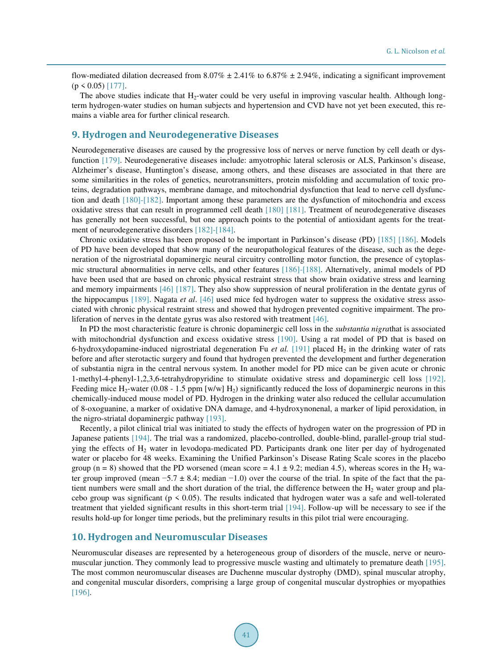flow-mediated dilation decreased from 8.07%  $\pm$  2.41% to 6.87%  $\pm$  2.94%, indicating a significant improvement  $(p \le 0.05)$  [\[177\].](#page-35-2)

The above studies indicate that  $H_2$ -water could be very useful in improving vascular health. Although longterm hydrogen-water studies on human subjects and hypertension and CVD have not yet been executed, this remains a viable area for further clinical research.

## **9. Hydrogen and Neurodegenerative Diseases**

Neurodegenerative diseases are caused by the progressive loss of nerves or nerve function by cell death or dysfunction [\[179\].](#page-35-4) Neurodegenerative diseases include: amyotrophic lateral sclerosis or ALS, Parkinson's disease, Alzheimer's disease, Huntington's disease, among others, and these diseases are associated in that there are some similarities in the roles of genetics, neurotransmitters, protein misfolding and accumulation of toxic proteins, degradation pathways, membrane damage, and mitochondrial dysfunction that lead to nerve cell dysfunction and death [\[180\]](#page-35-5)[-\[182\].](#page-35-6) Important among these parameters are the dysfunction of mitochondria and excess oxidative stress that can result in programmed cell death [\[180\]](#page-35-5) [\[181\].](#page-35-7) Treatment of neurodegenerative diseases has generally not been successful, but one approach points to the potential of antioxidant agents for the treatment of neurodegenerative disorders [\[182\]](#page-35-6)[-\[184\].](#page-35-8)

Chronic oxidative stress has been proposed to be important in Parkinson's disease (PD) [\[185\]](#page-35-9) [\[186\].](#page-35-10) Models of PD have been developed that show many of the neuropathological features of the disease, such as the degeneration of the nigrostriatal dopaminergic neural circuitry controlling motor function, the presence of cytoplasmic structural abnormalities in nerve cells, and other features [\[186\]](#page-35-10)[-\[188\].](#page-35-11) Alternatively, animal models of PD have been used that are based on chronic physical restraint stress that show brain oxidative stress and learning and memory impairments [\[46\]](#page-28-7) [\[187\].](#page-35-12) They also show suppression of neural proliferation in the dentate gyrus of the hippocampus [\[189\].](#page-35-13) Nagata *et al*. [\[46\]](#page-28-7) used mice fed hydrogen water to suppress the oxidative stress associated with chronic physical restraint stress and showed that hydrogen prevented cognitive impairment. The proliferation of nerves in the dentate gyrus was also restored with treatment [\[46\].](#page-28-7)

In PD the most characteristic feature is chronic dopaminergic cell loss in the *substantia nigra*that is associated with mitochondrial dysfunction and excess oxidative stress [\[190\].](#page-35-14) Using a rat model of PD that is based on 6-hydroxydopamine-induced nigrostriatal degeneration Fu *et al.* [\[191\]](#page-35-15) placed  $H_2$  in the drinking water of rats before and after sterotactic surgery and found that hydrogen prevented the development and further degeneration of substantia nigra in the central nervous system. In another model for PD mice can be given acute or chronic 1-methyl-4-phenyl-1,2,3,6-tetrahydropyridine to stimulate oxidative stress and dopaminergic cell loss [\[192\].](#page-35-16) Feeding mice H<sub>2</sub>-water (0.08 - 1.5 ppm [w/w] H<sub>2</sub>) significantly reduced the loss of dopaminergic neurons in this chemically-induced mouse model of PD. Hydrogen in the drinking water also reduced the cellular accumulation of 8-oxoguanine, a marker of oxidative DNA damage, and 4-hydroxynonenal, a marker of lipid peroxidation, in the nigro-striatal dopaminergic pathway [\[193\].](#page-35-17)

Recently, a pilot clinical trial was initiated to study the effects of hydrogen water on the progression of PD in Japanese patients [\[194\].](#page-35-18) The trial was a randomized, placebo-controlled, double-blind, parallel-group trial studying the effects of H<sup>2</sup> water in levodopa-medicated PD. Participants drank one liter per day of hydrogenated water or placebo for 48 weeks. Examining the Unified Parkinson's Disease Rating Scale scores in the placebo group (n = 8) showed that the PD worsened (mean score =  $4.1 \pm 9.2$ ; median 4.5), whereas scores in the H<sub>2</sub> water group improved (mean  $-5.7 \pm 8.4$ ; median  $-1.0$ ) over the course of the trial. In spite of the fact that the patient numbers were small and the short duration of the trial, the difference between the  $H_2$  water group and placebo group was significant (p < 0.05). The results indicated that hydrogen water was a safe and well-tolerated treatment that yielded significant results in this short-term trial [\[194\].](#page-35-18) Follow-up will be necessary to see if the results hold-up for longer time periods, but the preliminary results in this pilot trial were encouraging.

#### **10. Hydrogen and Neuromuscular Diseases**

Neuromuscular diseases are represented by a heterogeneous group of disorders of the muscle, nerve or neuromuscular junction. They commonly lead to progressive muscle wasting and ultimately to premature death [\[195\].](#page-35-19) The most common neuromuscular diseases are Duchenne muscular dystrophy (DMD), spinal muscular atrophy, and congenital muscular disorders, comprising a large group of congenital muscular dystrophies or myopathies [\[196\].](#page-35-20)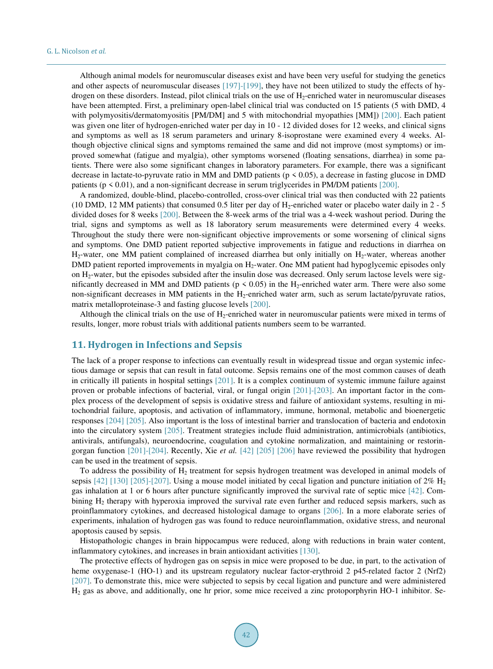Although animal models for neuromuscular diseases exist and have been very useful for studying the genetics and other aspects of neuromuscular diseases [\[197\]-](#page-36-0)[\[199\],](#page-36-1) they have not been utilized to study the effects of hydrogen on these disorders. Instead, pilot clinical trials on the use of  $H_2$ -enriched water in neuromuscular diseases have been attempted. First, a preliminary open-label clinical trial was conducted on 15 patients (5 with DMD, 4 with polymyositis/dermatomyositis [PM/DM] and 5 with mitochondrial myopathies [MM]) [\[200\].](#page-36-2) Each patient was given one liter of hydrogen-enriched water per day in 10 - 12 divided doses for 12 weeks, and clinical signs and symptoms as well as 18 serum parameters and urinary 8-isoprostane were examined every 4 weeks. Although objective clinical signs and symptoms remained the same and did not improve (most symptoms) or improved somewhat (fatigue and myalgia), other symptoms worsened (floating sensations, diarrhea) in some patients. There were also some significant changes in laboratory parameters. For example, there was a significant decrease in lactate-to-pyruvate ratio in MM and DMD patients ( $p \le 0.05$ ), a decrease in fasting glucose in DMD patients ( $p \le 0.01$ ), and a non-significant decrease in serum triglycerides in PM/DM patients [\[200\].](#page-36-2)

A randomized, double-blind, placebo-controlled, cross-over clinical trial was then conducted with 22 patients (10 DMD, 12 MM patients) that consumed 0.5 liter per day of  $H_2$ -enriched water or placebo water daily in 2 - 5 divided doses for 8 weeks [\[200\].](#page-36-2) Between the 8-week arms of the trial was a 4-week washout period. During the trial, signs and symptoms as well as 18 laboratory serum measurements were determined every 4 weeks. Throughout the study there were non-significant objective improvements or some worsening of clinical signs and symptoms. One DMD patient reported subjective improvements in fatigue and reductions in diarrhea on H<sub>2</sub>-water, one MM patient complained of increased diarrhea but only initially on H<sub>2</sub>-water, whereas another DMD patient reported improvements in myalgia on  $H_2$ -water. One MM patient had hypoglycemic episodes only on H2-water, but the episodes subsided after the insulin dose was decreased. Only serum lactose levels were significantly decreased in MM and DMD patients ( $p \le 0.05$ ) in the H<sub>2</sub>-enriched water arm. There were also some non-significant decreases in MM patients in the H<sub>2</sub>-enriched water arm, such as serum lactate/pyruvate ratios, matrix metalloproteinase-3 and fasting glucose level[s \[200\].](#page-36-2) 

Although the clinical trials on the use of  $H_2$ -enriched water in neuromuscular patients were mixed in terms of results, longer, more robust trials with additional patients numbers seem to be warranted.

## **11. Hydrogen in Infections and Sepsis**

The lack of a proper response to infections can eventually result in widespread tissue and organ systemic infectious damage or sepsis that can result in fatal outcome. Sepsis remains one of the most common causes of death in critically ill patients in hospital settings [\[201\].](#page-36-3) It is a complex continuum of systemic immune failure against proven or probable infections of bacterial, viral, or fungal origin [\[201\]](#page-36-3)[-\[203\].](#page-36-4) An important factor in the complex process of the development of sepsis is oxidative stress and failure of antioxidant systems, resulting in mitochondrial failure, apoptosis, and activation of inflammatory, immune, hormonal, metabolic and bioenergetic responses [\[204\]](#page-36-5) [\[205\].](#page-36-6) Also important is the loss of intestinal barrier and translocation of bacteria and endotoxin into the circulatory system [\[205\].](#page-36-6) Treatment strategies include fluid administration, antimicrobials (antibiotics, antivirals, antifungals), neuroendocrine, coagulation and cytokine normalization, and maintaining or restoringorgan function [\[201\]](#page-36-3)[-\[204\].](#page-36-5) Recently, Xie *et al.* [\[42\]](#page-28-3) [\[205\]](#page-36-6) [\[206\]](#page-36-7) have reviewed the possibility that hydrogen can be used in the treatment of sepsis.

To address the possibility of  $H_2$  treatment for sepsis hydrogen treatment was developed in animal models of sepsis  $[42]$  [\[130\]](#page-32-9) [\[205\]](#page-36-6)[-\[207\].](#page-36-8) Using a mouse model initiated by cecal ligation and puncture initiation of 2%  $H_2$ gas inhalation at 1 or 6 hours after puncture significantly improved the survival rate of septic mice [\[42\].](#page-28-3) Combining H<sup>2</sup> therapy with hyperoxia improved the survival rate even further and reduced sepsis markers, such as proinflammatory cytokines, and decreased histological damage to organs [\[206\].](#page-36-7) In a more elaborate series of experiments, inhalation of hydrogen gas was found to reduce neuroinflammation, oxidative stress, and neuronal apoptosis caused by sepsis.

Histopathologic changes in brain hippocampus were reduced, along with reductions in brain water content, inflammatory cytokines, and increases in brain antioxidant activities [\[130\].](#page-32-9)

The protective effects of hydrogen gas on sepsis in mice were proposed to be due, in part, to the activation of heme oxygenase-1 (HO-1) and its upstream regulatory nuclear factor-erythroid 2 p45-related factor 2 (Nrf2) [\[207\].](#page-36-8) To demonstrate this, mice were subjected to sepsis by cecal ligation and puncture and were administered H<sup>2</sup> gas as above, and additionally, one hr prior, some mice received a zinc protoporphyrin HO-1 inhibitor. Se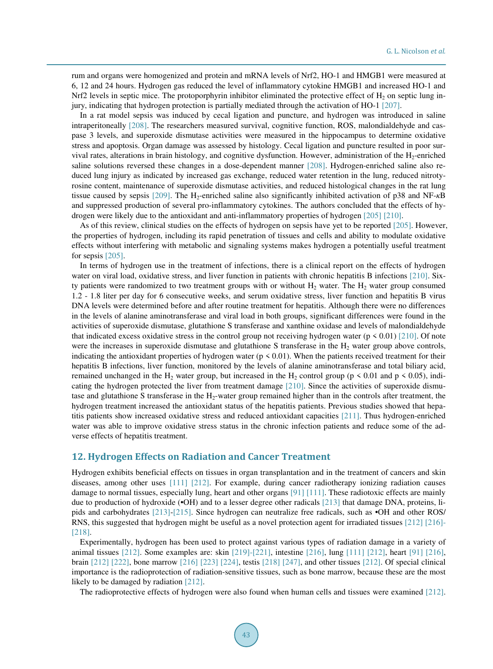rum and organs were homogenized and protein and mRNA levels of Nrf2, HO-1 and HMGB1 were measured at 6, 12 and 24 hours. Hydrogen gas reduced the level of inflammatory cytokine HMGB1 and increased HO-1 and Nrf2 levels in septic mice. The protoporphyrin inhibitor eliminated the protective effect of  $H_2$  on septic lung injury, indicating that hydrogen protection is partially mediated through the activation of HO-1 [\[207\].](#page-36-8) 

In a rat model sepsis was induced by cecal ligation and puncture, and hydrogen was introduced in saline intraperitoneally [\[208\].](#page-36-9) The researchers measured survival, cognitive function, ROS, malondialdehyde and caspase 3 levels, and superoxide dismutase activities were measured in the hippocampus to determine oxidative stress and apoptosis. Organ damage was assessed by histology. Cecal ligation and puncture resulted in poor survival rates, alterations in brain histology, and cognitive dysfunction. However, administration of the H<sub>2</sub>-enriched saline solutions reversed these changes in a dose-dependent manner [\[208\].](#page-36-9) Hydrogen-enriched saline also reduced lung injury as indicated by increased gas exchange, reduced water retention in the lung, reduced nitrotyrosine content, maintenance of superoxide dismutase activities, and reduced histological changes in the rat lung tissue caused by sepsis [\[209\].](#page-36-10) The H<sub>2</sub>-enriched saline also significantly inhibited activation of p38 and NF-*κ*B and suppressed production of several pro-inflammatory cytokines. The authors concluded that the effects of hydrogen were likely due to the antioxidant and anti-inflammatory properties of hydrogen [\[205\]](#page-36-6) [\[210\].](#page-36-11)

As of this review, clinical studies on the effects of hydrogen on sepsis have yet to be reported [\[205\].](#page-36-6) However, the properties of hydrogen, including its rapid penetration of tissues and cells and ability to modulate oxidative effects without interfering with metabolic and signaling systems makes hydrogen a potentially useful treatment for sepsis [\[205\].](#page-36-6)

In terms of hydrogen use in the treatment of infections, there is a clinical report on the effects of hydrogen water on viral load, oxidative stress, and liver function in patients with chronic hepatitis B infections [\[210\].](#page-36-11) Sixty patients were randomized to two treatment groups with or without  $H_2$  water. The  $H_2$  water group consumed 1.2 - 1.8 liter per day for 6 consecutive weeks, and serum oxidative stress, liver function and hepatitis B virus DNA levels were determined before and after routine treatment for hepatitis. Although there were no differences in the levels of alanine aminotransferase and viral load in both groups, significant differences were found in the activities of superoxide dismutase, glutathione S transferase and xanthine oxidase and levels of malondialdehyde that indicated excess oxidative stress in the control group not receiving hydrogen water ( $p \le 0.01$ [\) \[210\].](#page-36-11) Of note were the increases in superoxide dismutase and glutathione S transferase in the  $H<sub>2</sub>$  water group above controls, indicating the antioxidant properties of hydrogen water ( $p \le 0.01$ ). When the patients received treatment for their hepatitis B infections, liver function, monitored by the levels of alanine aminotransferase and total biliary acid, remained unchanged in the H<sub>2</sub> water group, but increased in the H<sub>2</sub> control group ( $p \le 0.01$  and  $p \le 0.05$ ), indicating the hydrogen protected the liver from treatment damage [\[210\].](#page-36-11) Since the activities of superoxide dismutase and glutathione S transferase in the  $H_2$ -water group remained higher than in the controls after treatment, the hydrogen treatment increased the antioxidant status of the hepatitis patients. Previous studies showed that hepatitis patients show increased oxidative stress and reduced antioxidant capacities [\[211\].](#page-36-12) Thus hydrogen-enriched water was able to improve oxidative stress status in the chronic infection patients and reduce some of the adverse effects of hepatitis treatment.

#### **12. Hydrogen Effects on Radiation and Cancer Treatment**

Hydrogen exhibits beneficial effects on tissues in organ transplantation and in the treatment of cancers and skin diseases, among other uses [\[111\]](#page-31-7) [\[212\].](#page-36-13) For example, during cancer radiotherapy ionizing radiation causes damage to normal tissues, especially lung, heart and other organs [\[91\]](#page-30-9) [\[111\].](#page-31-7) These radiotoxic effects are mainly due to production of hydroxide (•OH) and to a lesser degree other radicals [\[213\]](#page-36-14) that damage DNA, proteins, lipids and carbohydrates [\[213\]](#page-36-14)[-\[215\].](#page-36-15) Since hydrogen can neutralize free radicals, such as •OH and other ROS/ RNS, this suggested that hydrogen might be useful as a novel protection agent for irradiated tissues [\[212\]](#page-36-13) [\[216\]-](#page-36-16) [\[218\].](#page-36-17) 

Experimentally, hydrogen has been used to protect against various types of radiation damage in a variety of animal tissues [\[212\].](#page-36-13) Some examples are: skin [\[219\]](#page-37-0)[-\[221\],](#page-37-1) intestine [\[216\],](#page-36-16) lung [\[111\]](#page-31-7) [\[212\],](#page-36-13) heart [\[91\]](#page-30-9) [\[216\],](#page-36-16) brain [\[212\]](#page-36-13) [\[222\],](#page-37-2) bone marrow [\[216\]](#page-36-16) [\[223\]](#page-37-3) [\[224\],](#page-37-4) testis [\[218\]](#page-36-17) [\[247\],](#page-38-0) and other tissues [\[212\].](#page-36-13) Of special clinical importance is the radioprotection of radiation-sensitive tissues, such as bone marrow, because these are the most likely to be damaged by radiation [\[212\].](#page-36-13)

The radioprotective effects of hydrogen were also found when human cells and tissues were examined [\[212\].](#page-36-13)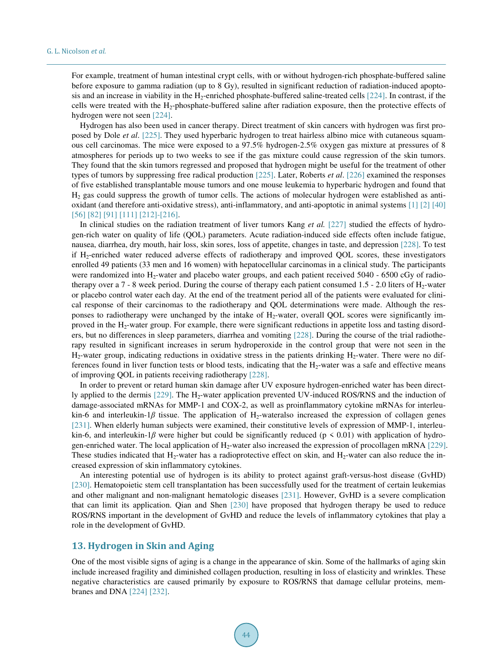For example, treatment of human intestinal crypt cells, with or without hydrogen-rich phosphate-buffered saline before exposure to gamma radiation (up to 8 Gy), resulted in significant reduction of radiation-induced apopto-sis and an increase in viability in the H<sub>2</sub>-enriched phosphate-buffered saline-treated cells [\[224\].](#page-37-4) In contrast, if the cells were treated with the  $H_2$ -phosphate-buffered saline after radiation exposure, then the protective effects of hydrogen were not seen [\[224\].](#page-37-4)

Hydrogen has also been used in cancer therapy. Direct treatment of skin cancers with hydrogen was first proposed by Dole *et al*. [\[225\].](#page-37-5) They used hyperbaric hydrogen to treat hairless albino mice with cutaneous squamous cell carcinomas. The mice were exposed to a 97.5% hydrogen-2.5% oxygen gas mixture at pressures of 8 atmospheres for periods up to two weeks to see if the gas mixture could cause regression of the skin tumors. They found that the skin tumors regressed and proposed that hydrogen might be useful for the treatment of other types of tumors by suppressing free radical production [\[225\].](#page-37-5) Later, Roberts *et al*. [\[226\]](#page-37-6) examined the responses of five established transplantable mouse tumors and one mouse leukemia to hyperbaric hydrogen and found that  $H<sub>2</sub>$  gas could suppress the growth of tumor cells. The actions of molecular hydrogen were established as antioxidant (and therefore anti-oxidative stress), anti-inflammatory, and anti-apoptotic in animal system[s \[1\]](#page-26-0) [\[2\]](#page-26-3) [\[40\]](#page-28-1) [\[56\]](#page-28-15) [\[82\]](#page-30-0) [\[91\]](#page-30-9) [\[111\]](#page-31-7) [\[212\]](#page-36-13)[-\[216\].](#page-36-16)

In clinical studies on the radiation treatment of liver tumors Kang *et al.* [\[227\]](#page-37-7) studied the effects of hydrogen-rich water on quality of life (QOL) parameters. Acute radiation-induced side effects often include fatigue, nausea, diarrhea, dry mouth, hair loss, skin sores, loss of appetite, changes in taste, and depression [\[228\].](#page-37-8) To test if H2-enriched water reduced adverse effects of radiotherapy and improved QOL scores, these investigators enrolled 49 patients (33 men and 16 women) with hepatocellular carcinomas in a clinical study. The participants were randomized into H<sub>2</sub>-water and placebo water groups, and each patient received 5040 - 6500 cGy of radiotherapy over a 7 - 8 week period. During the course of therapy each patient consumed 1.5 - 2.0 liters of  $H_2$ -water or placebo control water each day. At the end of the treatment period all of the patients were evaluated for clinical response of their carcinomas to the radiotherapy and QOL determinations were made. Although the responses to radiotherapy were unchanged by the intake of  $H_2$ -water, overall QOL scores were significantly improved in the H2-water group. For example, there were significant reductions in appetite loss and tasting disorders, but no differences in sleep parameters, diarrhea and vomiting [\[228\].](#page-37-8) During the course of the trial radiotherapy resulted in significant increases in serum hydroperoxide in the control group that were not seen in the  $H_2$ -water group, indicating reductions in oxidative stress in the patients drinking  $H_2$ -water. There were no differences found in liver function tests or blood tests, indicating that the  $H_2$ -water was a safe and effective means of improving QOL in patients receiving radiotherapy [\[228\].](#page-37-8)

In order to prevent or retard human skin damage after UV exposure hydrogen-enriched water has been direct-ly applied to the dermis [\[229\].](#page-37-9) The H<sub>2</sub>-water application prevented UV-induced ROS/RNS and the induction of damage-associated mRNAs for MMP-1 and COX-2, as well as proinflammatory cytokine mRNAs for interleukin-6 and interleukin-1*β* tissue. The application of H<sub>2</sub>-wateralso increased the expression of collagen genes [\[231\].](#page-37-10) When elderly human subjects were examined, their constitutive levels of expression of MMP-1, interleukin-6, and interleukin-1*β* were higher but could be significantly reduced ( $p \le 0.01$ ) with application of hydro-gen-enriched water. The local application of H<sub>2</sub>-water also increased the expression of procollagen mRNA [\[229\].](#page-37-9) These studies indicated that  $H_2$ -water has a radioprotective effect on skin, and  $H_2$ -water can also reduce the increased expression of skin inflammatory cytokines.

An interesting potential use of hydrogen is its ability to protect against graft-versus-host disease (GvHD) [\[230\].](#page-37-11) Hematopoietic stem cell transplantation has been successfully used for the treatment of certain leukemias and other malignant and non-malignant hematologic diseases [\[231\].](#page-37-10) However, GvHD is a severe complication that can limit its application. Qian and Shen [\[230\]](#page-37-11) have proposed that hydrogen therapy be used to reduce ROS/RNS important in the development of GvHD and reduce the levels of inflammatory cytokines that play a role in the development of GvHD.

## **13. Hydrogen in Skin and Aging**

One of the most visible signs of aging is a change in the appearance of skin. Some of the hallmarks of aging skin include increased fragility and diminished collagen production, resulting in loss of elasticity and wrinkles. These negative characteristics are caused primarily by exposure to ROS/RNS that damage cellular proteins, membranes and DNA [\[224\]](#page-37-4) [\[232\].](#page-37-12)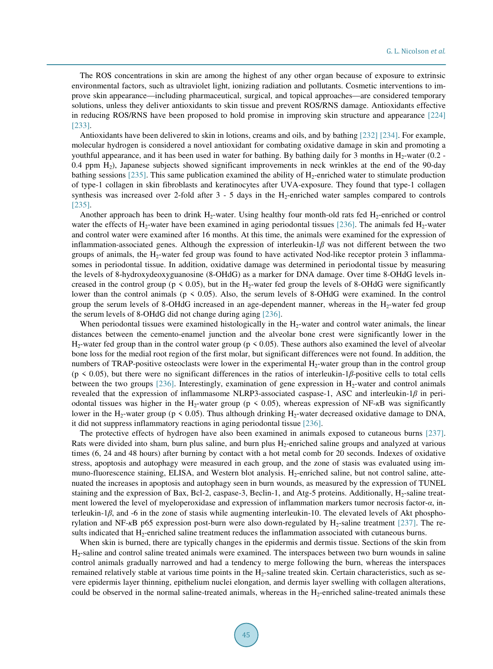The ROS concentrations in skin are among the highest of any other organ because of exposure to extrinsic environmental factors, such as ultraviolet light, ionizing radiation and pollutants. Cosmetic interventions to improve skin appearance—including pharmaceutical, surgical, and topical approaches—are considered temporary solutions, unless they deliver antioxidants to skin tissue and prevent ROS/RNS damage. Antioxidants effective in reducing ROS/RNS have been proposed to hold promise in improving skin structure and appearance [\[224\]](#page-37-4) [233].

Antioxidants have been delivered to skin in lotions, creams and oils, and by bathing [\[232\]](#page-37-12) [\[234\].](#page-37-14) For example, molecular hydrogen is considered a novel antioxidant for combating oxidative damage in skin and promoting a youthful appearance, and it has been used in water for bathing. By bathing daily for 3 months in  $H_2$ -water (0.2 -0.4 ppm  $H_2$ ), Japanese subjects showed significant improvements in neck wrinkles at the end of the 90-day bathing sessions  $[235]$ . This same publication examined the ability of  $H_2$ -enriched water to stimulate production of type-1 collagen in skin fibroblasts and keratinocytes after UVA-exposure. They found that type-1 collagen synthesis was increased over 2-fold after  $3 - 5$  days in the H<sub>2</sub>-enriched water samples compared to controls [235].

Another approach has been to drink  $H_2$ -water. Using healthy four month-old rats fed  $H_2$ -enriched or control water the effects of H<sub>2</sub>-water have been examined in aging periodontal tissues [\[236\].](#page-37-16) The animals fed H<sub>2</sub>-water and control water were examined after 16 months. At this time, the animals were examined for the expression of inflammation-associated genes. Although the expression of interleukin-1*β* was not different between the two groups of animals, the H2-water fed group was found to have activated Nod-like receptor protein 3 inflammasomes in periodontal tissue. In addition, oxidative damage was determined in periodontal tissue by measuring the levels of 8-hydroxydeoxyguanosine (8-OHdG) as a marker for DNA damage. Over time 8-OHdG levels increased in the control group ( $p \le 0.05$ ), but in the H<sub>2</sub>-water fed group the levels of 8-OHdG were significantly lower than the control animals (p < 0.05). Also, the serum levels of 8-OHdG were examined. In the control group the serum levels of 8-OHdG increased in an age-dependent manner, whereas in the H2-water fed group the serum levels of 8-OHdG did not change during aging [\[236\].](#page-37-16)

When periodontal tissues were examined histologically in the  $H_2$ -water and control water animals, the linear distances between the cemento-enamel junction and the alveolar bone crest were significantly lower in the  $H_2$ -water fed group than in the control water group (p < 0.05). These authors also examined the level of alveolar bone loss for the medial root region of the first molar, but significant differences were not found. In addition, the numbers of TRAP-positive osteoclasts were lower in the experimental  $H_2$ -water group than in the control group (p < 0.05), but there were no significant differences in the ratios of interleukin-1*β*-positive cells to total cells between the two groups [\[236\].](#page-37-16) Interestingly, examination of gene expression in H<sub>2</sub>-water and control animals revealed that the expression of inflammasome NLRP3-associated caspase-1, ASC and interleukin-1*β* in periodontal tissues was higher in the H<sub>2</sub>-water group ( $p \le 0.05$ ), whereas expression of NF- $\kappa$ B was significantly lower in the H<sub>2</sub>-water group ( $p \le 0.05$ ). Thus although drinking H<sub>2</sub>-water decreased oxidative damage to DNA, it did not suppress inflammatory reactions in aging periodontal tissue [\[236\].](#page-37-16)

The protective effects of hydrogen have also been examined in animals exposed to cutaneous burns [\[237\].](#page-37-17) Rats were divided into sham, burn plus saline, and burn plus H<sub>2</sub>-enriched saline groups and analyzed at various times (6, 24 and 48 hours) after burning by contact with a hot metal comb for 20 seconds. Indexes of oxidative stress, apoptosis and autophagy were measured in each group, and the zone of stasis was evaluated using immuno-fluorescence staining, ELISA, and Western blot analysis. H<sub>2</sub>-enriched saline, but not control saline, attenuated the increases in apoptosis and autophagy seen in burn wounds, as measured by the expression of TUNEL staining and the expression of Bax, Bcl-2, caspase-3, Beclin-1, and Atg-5 proteins. Additionally,  $H_2$ -saline treatment lowered the level of myeloperoxidase and expression of inflammation markers tumor necrosis factor-*α*, interleukin-1*β*, and -6 in the zone of stasis while augmenting interleukin-10. The elevated levels of Akt phosphorylation and NF-*κ*B p65 expression post-burn were also down-regulated by H<sub>2</sub>-saline treatment [\[237\].](#page-37-17) The results indicated that  $H_2$ -enriched saline treatment reduces the inflammation associated with cutaneous burns.

When skin is burned, there are typically changes in the epidermis and dermis tissue. Sections of the skin from H2-saline and control saline treated animals were examined. The interspaces between two burn wounds in saline control animals gradually narrowed and had a tendency to merge following the burn, whereas the interspaces remained relatively stable at various time points in the H<sub>2</sub>-saline treated skin. Certain characteristics, such as severe epidermis layer thinning, epithelium nuclei elongation, and dermis layer swelling with collagen alterations, could be observed in the normal saline-treated animals, whereas in the  $H_2$ -enriched saline-treated animals these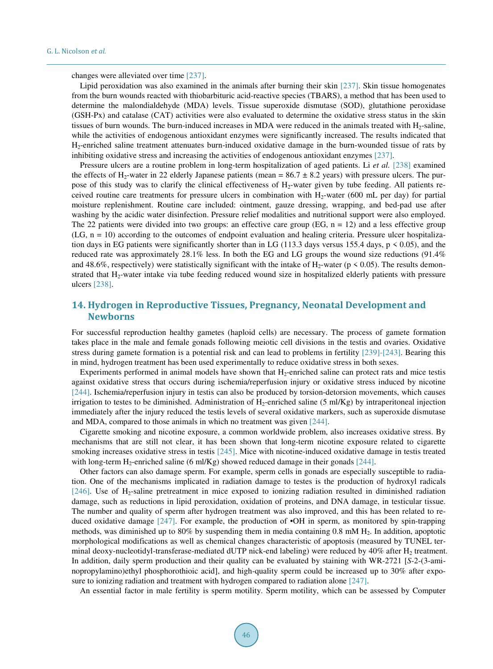changes were alleviated over time [\[237\].](#page-37-17)

Lipid peroxidation was also examined in the animals after burning their skin [\[237\].](#page-37-17) Skin tissue homogenates from the burn wounds reacted with thiobarbituric acid-reactive species (TBARS), a method that has been used to determine the malondialdehyde (MDA) levels. Tissue superoxide dismutase (SOD), glutathione peroxidase (GSH-Px) and catalase (CAT) activities were also evaluated to determine the oxidative stress status in the skin tissues of burn wounds. The burn-induced increases in MDA were reduced in the animals treated with  $H_2$ -saline, while the activities of endogenous antioxidant enzymes were significantly increased. The results indicated that H2-enriched saline treatment attenuates burn-induced oxidative damage in the burn-wounded tissue of rats by inhibiting oxidative stress and increasing the activities of endogenous antioxidant enzymes [\[237\].](#page-37-17)

Pressure ulcers are a routine problem in long-term hospitalization of aged patients. Li *et al.* [\[238\]](#page-37-18) examined the effects of H<sub>2</sub>-water in 22 elderly Japanese patients (mean =  $86.7 \pm 8.2$  years) with pressure ulcers. The purpose of this study was to clarify the clinical effectiveness of  $H_2$ -water given by tube feeding. All patients received routine care treatments for pressure ulcers in combination with  $H_2$ -water (600 mL per day) for partial moisture replenishment. Routine care included: ointment, gauze dressing, wrapping, and bed-pad use after washing by the acidic water disinfection. Pressure relief modalities and nutritional support were also employed. The 22 patients were divided into two groups: an effective care group (EG,  $n = 12$ ) and a less effective group  $(LG, n = 10)$  according to the outcomes of endpoint evaluation and healing criteria. Pressure ulcer hospitalization days in EG patients were significantly shorter than in LG (113.3 days versus 155.4 days,  $p \le 0.05$ ), and the reduced rate was approximately 28.1% less. In both the EG and LG groups the wound size reductions (91.4% and 48.6%, respectively) were statistically significant with the intake of H<sub>2</sub>-water ( $p \le 0.05$ ). The results demonstrated that H2-water intake via tube feeding reduced wound size in hospitalized elderly patients with pressure ulcers [\[238\].](#page-37-18)

## **14. Hydrogen in Reproductive Tissues, Pregnancy, Neonatal Development and Newborns**

For successful reproduction healthy gametes (haploid cells) are necessary. The process of gamete formation takes place in the male and female gonads following meiotic cell divisions in the testis and ovaries. Oxidative stress during gamete formation is a potential risk and can lead to problems in fertility [\[239\]](#page-37-19)[-\[243\].](#page-38-1) Bearing this in mind, hydrogen treatment has been used experimentally to reduce oxidative stress in both sexes.

Experiments performed in animal models have shown that H<sub>2</sub>-enriched saline can protect rats and mice testis against oxidative stress that occurs during ischemia/reperfusion injury or oxidative stress induced by nicotine [\[244\].](#page-38-2) Ischemia/reperfusion injury in testis can also be produced by torsion-detorsion movements, which causes irrigation to testes to be diminished. Administration of  $H_2$ -enriched saline (5 ml/Kg) by intraperitoneal injection immediately after the injury reduced the testis levels of several oxidative markers, such as superoxide dismutase and MDA, compared to those animals in which no treatment was given [\[244\].](#page-38-2)

Cigarette smoking and nicotine exposure, a common worldwide problem, also increases oxidative stress. By mechanisms that are still not clear, it has been shown that long-term nicotine exposure related to cigarette smoking increases oxidative stress in testis [\[245\].](#page-38-3) Mice with nicotine-induced oxidative damage in testis treated with long-term H<sub>2</sub>-enriched saline (6 ml/Kg) showed reduced damage in their gonads [\[244\].](#page-38-2)

Other factors can also damage sperm. For example, sperm cells in gonads are especially susceptible to radiation. One of the mechanisms implicated in radiation damage to testes is the production of hydroxyl radicals [\[246\].](#page-38-4) Use of  $H_2$ -saline pretreatment in mice exposed to ionizing radiation resulted in diminished radiation damage, such as reductions in lipid peroxidation, oxidation of proteins, and DNA damage, in testicular tissue. The number and quality of sperm after hydrogen treatment was also improved, and this has been related to reduced oxidative damage [\[247\].](#page-38-0) For example, the production of •OH in sperm, as monitored by spin-trapping methods, was diminished up to 80% by suspending them in media containing 0.8 mM H2. In addition, apoptotic morphological modifications as well as chemical changes characteristic of apoptosis (measured by TUNEL terminal deoxy-nucleotidyl-transferase-mediated dUTP nick-end labeling) were reduced by  $40\%$  after H<sub>2</sub> treatment. In addition, daily sperm production and their quality can be evaluated by staining with WR-2721 [*S*-2-(3-aminopropylamino)ethyl phosphorothioic acid], and high-quality sperm could be increased up to 30% after exposure to ionizing radiation and treatment with hydrogen compared to radiation alone [247].

An essential factor in male fertility is sperm motility. Sperm motility, which can be assessed by Computer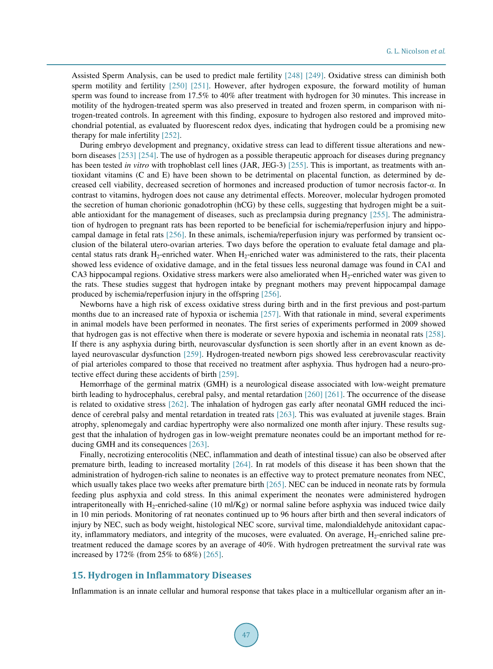Assisted Sperm Analysis, can be used to predict male fertility [\[248\]](#page-38-5) [\[249\].](#page-38-6) Oxidative stress can diminish both sperm motility and fertility [\[250\]](#page-38-7) [\[251\].](#page-38-8) However, after hydrogen exposure, the forward motility of human sperm was found to increase from 17.5% to 40% after treatment with hydrogen for 30 minutes. This increase in motility of the hydrogen-treated sperm was also preserved in treated and frozen sperm, in comparison with nitrogen-treated controls. In agreement with this finding, exposure to hydrogen also restored and improved mitochondrial potential, as evaluated by fluorescent redox dyes, indicating that hydrogen could be a promising new therapy for male infertilit[y \[252\].](#page-38-9)

During embryo development and pregnancy, oxidative stress can lead to different tissue alterations and newborn diseases [\[253\]](#page-38-10) [\[254\].](#page-38-11) The use of hydrogen as a possible therapeutic approach for diseases during pregnancy has been tested *in vitro* with trophoblast cell lines (JAR, JEG-3) [\[255\].](#page-38-12) This is important, as treatments with antioxidant vitamins (C and E) have been shown to be detrimental on placental function, as determined by decreased cell viability, decreased secretion of hormones and increased production of tumor necrosis factor-*α*. In contrast to vitamins, hydrogen does not cause any detrimental effects. Moreover, molecular hydrogen promoted the secretion of human chorionic gonadotrophin (hCG) by these cells, suggesting that hydrogen might be a suitable antioxidant for the management of diseases, such as preclampsia during pregnancy [\[255\].](#page-38-12) The administration of hydrogen to pregnant rats has been reported to be beneficial for ischemia/reperfusion injury and hippocampal damage in fetal rats [\[256\].](#page-38-13) In these animals, ischemia/reperfusion injury was performed by transient occlusion of the bilateral utero-ovarian arteries. Two days before the operation to evaluate fetal damage and placental status rats drank  $H_2$ -enriched water. When  $H_2$ -enriched water was administered to the rats, their placenta showed less evidence of oxidative damage, and in the fetal tissues less neuronal damage was found in CA1 and CA3 hippocampal regions. Oxidative stress markers were also ameliorated when  $H_2$ -enriched water was given to the rats. These studies suggest that hydrogen intake by pregnant mothers may prevent hippocampal damage produced by ischemia/reperfusion injury in the offspring [\[256\].](#page-38-13) 

Newborns have a high risk of excess oxidative stress during birth and in the first previous and post-partum months due to an increased rate of hypoxia or ischemia [\[257\].](#page-38-14) With that rationale in mind, several experiments in animal models have been performed in neonates. The first series of experiments performed in 2009 showed that hydrogen gas is not effective when there is moderate or severe hypoxia and ischemia in neonatal rats [\[258\].](#page-38-15) If there is any asphyxia during birth, neurovascular dysfunction is seen shortly after in an event known as delayed neurovascular dysfunction [\[259\].](#page-39-0) Hydrogen-treated newborn pigs showed less cerebrovascular reactivity of pial arterioles compared to those that received no treatment after asphyxia. Thus hydrogen had a neuro-protective effect during these accidents of birth [\[259\].](#page-39-0) 

Hemorrhage of the germinal matrix (GMH) is a neurological disease associated with low-weight premature birth leading to hydrocephalus, cerebral palsy, and mental retardation [\[260\]](#page-39-1) [\[261\].](#page-39-2) The occurrence of the disease is related to oxidative stress [\[262\].](#page-39-3) The inhalation of hydrogen gas early after neonatal GMH reduced the incidence of cerebral palsy and mental retardation in treated rats [\[263\].](#page-39-4) This was evaluated at juvenile stages. Brain atrophy, splenomegaly and cardiac hypertrophy were also normalized one month after injury. These results suggest that the inhalation of hydrogen gas in low-weight premature neonates could be an important method for reducing GMH and its consequences [\[263\].](#page-39-4) 

Finally, necrotizing enterocolitis (NEC, inflammation and death of intestinal tissue) can also be observed after premature birth, leading to increased mortality [\[264\].](#page-39-5) In rat models of this disease it has been shown that the administration of hydrogen-rich saline to neonates is an effective way to protect premature neonates from NEC, which usually takes place two weeks after premature birth [\[265\].](#page-39-6) NEC can be induced in neonate rats by formula feeding plus asphyxia and cold stress. In this animal experiment the neonates were administered hydrogen intraperitoneally with H<sub>2</sub>-enriched-saline (10 ml/Kg) or normal saline before asphyxia was induced twice daily in 10 min periods. Monitoring of rat neonates continued up to 96 hours after birth and then several indicators of injury by NEC, such as body weight, histological NEC score, survival time, malondialdehyde anitoxidant capacity, inflammatory mediators, and integrity of the mucoses, were evaluated. On average,  $H_2$ -enriched saline pretreatment reduced the damage scores by an average of 40%. With hydrogen pretreatment the survival rate was increased by 172% (from 25% to 68%) [\[265\].](#page-39-6)

## **15. Hydrogen in Inflammatory Diseases**

Inflammation is an innate cellular and humoral response that takes place in a multicellular organism after an in-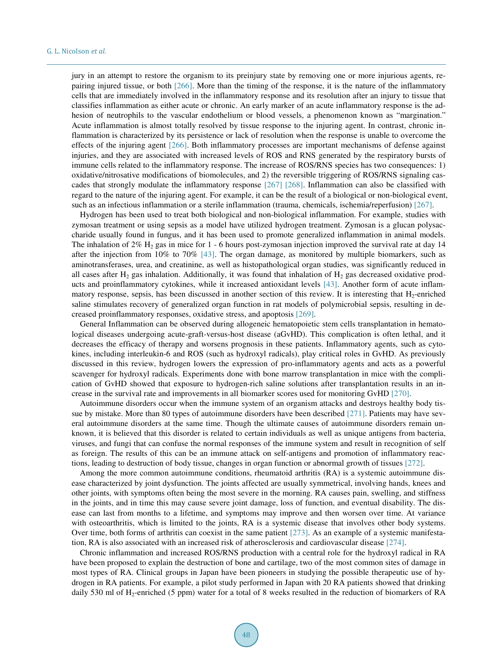jury in an attempt to restore the organism to its preinjury state by removing one or more injurious agents, repairing injured tissue, or both [\[266\].](#page-39-7) More than the timing of the response, it is the nature of the inflammatory cells that are immediately involved in the inflammatory response and its resolution after an injury to tissue that classifies inflammation as either acute or chronic. An early marker of an acute inflammatory response is the adhesion of neutrophils to the vascular endothelium or blood vessels, a phenomenon known as "margination." Acute inflammation is almost totally resolved by tissue response to the injuring agent. In contrast, chronic inflammation is characterized by its persistence or lack of resolution when the response is unable to overcome the effects of the injuring agent [\[266\].](#page-39-7) Both inflammatory processes are important mechanisms of defense against injuries, and they are associated with increased levels of ROS and RNS generated by the respiratory bursts of immune cells related to the inflammatory response. The increase of ROS/RNS species has two consequences: 1) oxidative/nitrosative modifications of biomolecules, and 2) the reversible triggering of ROS/RNS signaling cascades that strongly modulate the inflammatory response [\[267\]](#page-39-8) [\[268\].](#page-39-9) Inflammation can also be classified with regard to the nature of the injuring agent. For example, it can be the result of a biological or non-biological event, such as an infectious inflammation or a sterile inflammation (trauma, chemicals, ischemia/reperfusion) [\[267\].](#page-39-8)

Hydrogen has been used to treat both biological and non-biological inflammation. For example, studies with zymosan treatment or using sepsis as a model have utilized hydrogen treatment. Zymosan is a glucan polysaccharide usually found in fungus, and it has been used to promote generalized inflammation in animal models. The inhalation of  $2\%$  H<sub>2</sub> gas in mice for 1 - 6 hours post-zymosan injection improved the survival rate at day 14 after the injection from 10% to 70% [\[43\].](#page-28-4) The organ damage, as monitored by multiple biomarkers, such as aminotransferases, urea, and creatinine, as well as histopathological organ studies, was significantly reduced in all cases after  $H_2$  gas inhalation. Additionally, it was found that inhalation of  $H_2$  gas decreased oxidative products and proinflammatory cytokines, while it increased antioxidant levels [\[43\].](#page-28-4) Another form of acute inflammatory response, sepsis, has been discussed in another section of this review. It is interesting that H<sub>2</sub>-enriched saline stimulates recovery of generalized organ function in rat models of polymicrobial sepsis, resulting in decreased proinflammatory responses, oxidative stress, and apoptosi[s \[269\].](#page-39-10)

General Inflammation can be observed during allogeneic hematopoietic stem cells transplantation in hematological diseases undergoing acute-graft-versus-host disease (aGvHD). This complication is often lethal, and it decreases the efficacy of therapy and worsens prognosis in these patients. Inflammatory agents, such as cytokines, including interleukin-6 and ROS (such as hydroxyl radicals), play critical roles in GvHD. As previously discussed in this review, hydrogen lowers the expression of pro-inflammatory agents and acts as a powerful scavenger for hydroxyl radicals. Experiments done with bone marrow transplantation in mice with the complication of GvHD showed that exposure to hydrogen-rich saline solutions after transplantation results in an increase in the survival rate and improvements in all biomarker scores used for monitoring GvHD [\[270\].](#page-39-11)

Autoimmune disorders occur when the immune system of an organism attacks and destroys healthy body tissue by mistake. More than 80 types of autoimmune disorders have been described [\[271\].](#page-39-12) Patients may have several autoimmune disorders at the same time. Though the ultimate causes of autoimmune disorders remain unknown, it is believed that this disorder is related to certain individuals as well as unique antigens from bacteria, viruses, and fungi that can confuse the normal responses of the immune system and result in recognition of self as foreign. The results of this can be an immune attack on self-antigens and promotion of inflammatory reactions, leading to destruction of body tissue, changes in organ function or abnormal growth of tissues [\[272\].](#page-39-13)

Among the more common autoimmune conditions, rheumatoid arthritis (RA) is a systemic autoimmune disease characterized by joint dysfunction. The joints affected are usually symmetrical, involving hands, knees and other joints, with symptoms often being the most severe in the morning. RA causes pain, swelling, and stiffness in the joints, and in time this may cause severe joint damage, loss of function, and eventual disability. The disease can last from months to a lifetime, and symptoms may improve and then worsen over time. At variance with osteoarthritis, which is limited to the joints, RA is a systemic disease that involves other body systems. Over time, both forms of arthritis can coexist in the same patient [\[273\].](#page-39-14) As an example of a systemic manifestation, RA is also associated with an increased risk of atherosclerosis and cardiovascular disease [\[274\].](#page-39-15) 

Chronic inflammation and increased ROS/RNS production with a central role for the hydroxyl radical in RA have been proposed to explain the destruction of bone and cartilage, two of the most common sites of damage in most types of RA. Clinical groups in Japan have been pioneers in studying the possible therapeutic use of hydrogen in RA patients. For example, a pilot study performed in Japan with 20 RA patients showed that drinking daily 530 ml of H<sub>2</sub>-enriched (5 ppm) water for a total of 8 weeks resulted in the reduction of biomarkers of RA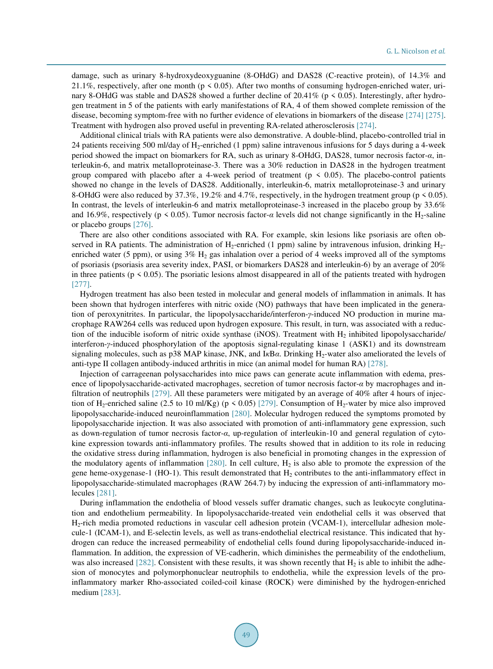damage, such as urinary 8-hydroxydeoxyguanine (8-OHdG) and DAS28 (C-reactive protein), of 14.3% and 21.1%, respectively, after one month ( $p \le 0.05$ ). After two months of consuming hydrogen-enriched water, urinary 8-OHdG was stable and DAS28 showed a further decline of  $20.41\%$  (p  $\leq 0.05$ ). Interestingly, after hydrogen treatment in 5 of the patients with early manifestations of RA, 4 of them showed complete remission of the disease, becoming symptom-free with no further evidence of elevations in biomarkers of the disease [\[274\]](#page-39-15) [\[275\].](#page-39-16) Treatment with hydrogen also proved useful in preventing RA-related atherosclerosis [\[274\].](#page-39-15)

Additional clinical trials with RA patients were also demonstrative. A double-blind, placebo-controlled trial in 24 patients receiving 500 ml/day of H<sub>2</sub>-enriched (1 ppm) saline intravenous infusions for 5 days during a 4-week period showed the impact on biomarkers for RA, such as urinary 8-OHdG, DAS28, tumor necrosis factor-*α*, interleukin-6, and matrix metalloproteinase-3. There was a 30% reduction in DAS28 in the hydrogen treatment group compared with placebo after a 4-week period of treatment ( $p \le 0.05$ ). The placebo-control patients showed no change in the levels of DAS28. Additionally, interleukin-6, matrix metalloproteinase-3 and urinary 8-OHdG were also reduced by 37.3%, 19.2% and 4.7%, respectively, in the hydrogen treatment group ( $p \le 0.05$ ). In contrast, the levels of interleukin-6 and matrix metalloproteinase-3 increased in the placebo group by 33.6% and 16.9%, respectively (p < 0.05). Tumor necrosis factor-*α* levels did not change significantly in the H<sub>2</sub>-saline or placebo groups [\[276\].](#page-39-17)

There are also other conditions associated with RA. For example, skin lesions like psoriasis are often observed in RA patients. The administration of  $H_2$ -enriched (1 ppm) saline by intravenous infusion, drinking  $H_2$ enriched water (5 ppm), or using  $3\%$  H<sub>2</sub> gas inhalation over a period of 4 weeks improved all of the symptoms of psoriasis (psoriasis area severity index, PASI, or biomarkers DAS28 and interleukin-6) by an average of 20% in three patients ( $p < 0.05$ ). The psoriatic lesions almost disappeared in all of the patients treated with hydrogen [\[277\].](#page-39-18) 

Hydrogen treatment has also been tested in molecular and general models of inflammation in animals. It has been shown that hydrogen interferes with nitric oxide (NO) pathways that have been implicated in the generation of peroxynitrites. In particular, the lipopolysaccharide/interferon-*γ*-induced NO production in murine macrophage RAW264 cells was reduced upon hydrogen exposure. This result, in turn, was associated with a reduction of the inducible isoform of nitric oxide synthase (iNOS). Treatment with  $H_2$  inhibited lipopolysaccharide/ interferon-*γ*-induced phosphorylation of the apoptosis signal-regulating kinase 1 (ASK1) and its downstream signaling molecules, such as p38 MAP kinase, JNK, and I*κBα*. Drinking H<sub>2</sub>-water also ameliorated the levels of anti-type II collagen antibody-induced arthritis in mice (an animal model for human RA) [\[278\].](#page-39-19) 

Injection of carrageenan polysaccharides into mice paws can generate acute inflammation with edema, presence of lipopolysaccharide-activated macrophages, secretion of tumor necrosis factor-*α* by macrophages and infiltration of neutrophils [\[279\].](#page-40-0) All these parameters were mitigated by an average of 40% after 4 hours of injection of H<sub>2</sub>-enriched saline (2.5 to 10 ml/Kg) ( $p < 0.05$ ) [\[279\].](#page-40-0) Consumption of H<sub>2</sub>-water by mice also improved lipopolysaccharide-induced neuroinflammation [\[280\].](#page-40-1) Molecular hydrogen reduced the symptoms promoted by lipopolysaccharide injection. It was also associated with promotion of anti-inflammatory gene expression, such as down-regulation of tumor necrosis factor-*α*, up-regulation of interleukin-10 and general regulation of cytokine expression towards anti-inflammatory profiles. The results showed that in addition to its role in reducing the oxidative stress during inflammation, hydrogen is also beneficial in promoting changes in the expression of the modulatory agents of inflammation  $[280]$ . In cell culture,  $H_2$  is also able to promote the expression of the gene heme-oxygenase-1 (HO-1). This result demonstrated that  $H_2$  contributes to the anti-inflammatory effect in lipopolysaccharide-stimulated macrophages (RAW 264.7) by inducing the expression of anti-inflammatory molecules [\[281\].](#page-40-2)

During inflammation the endothelia of blood vessels suffer dramatic changes, such as leukocyte conglutination and endothelium permeability. In lipopolysaccharide-treated vein endothelial cells it was observed that H2-rich media promoted reductions in vascular cell adhesion protein (VCAM-1), intercellular adhesion molecule-1 (ICAM-1), and E-selectin levels, as well as trans-endothelial electrical resistance. This indicated that hydrogen can reduce the increased permeability of endothelial cells found during lipopolysaccharide-induced inflammation. In addition, the expression of VE-cadherin, which diminishes the permeability of the endothelium, was also increased  $[282]$ . Consistent with these results, it was shown recently that  $H_2$  is able to inhibit the adhesion of monocytes and polymorphonuclear neutrophils to endothelia, while the expression levels of the proinflammatory marker Rho-associated coiled-coil kinase (ROCK) were diminished by the hydrogen-enriched medium [\[283\].](#page-40-4)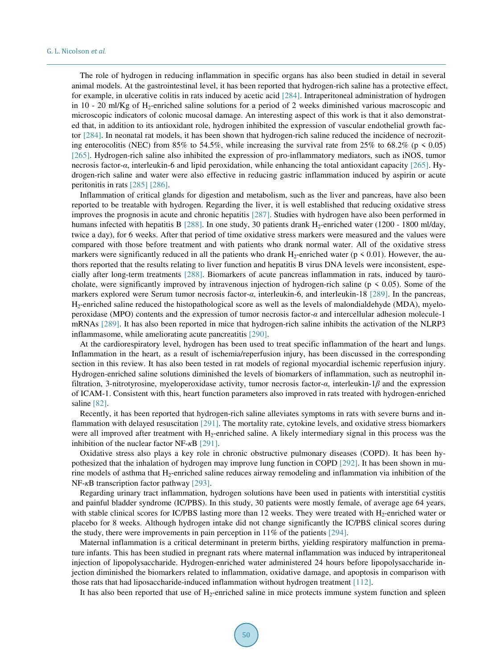The role of hydrogen in reducing inflammation in specific organs has also been studied in detail in several animal models. At the gastrointestinal level, it has been reported that hydrogen-rich saline has a protective effect, for example, in ulcerative colitis in rats induced by acetic acid [\[284\].](#page-40-5) Intraperitoneal administration of hydrogen in  $10 - 20$  ml/Kg of H<sub>2</sub>-enriched saline solutions for a period of 2 weeks diminished various macroscopic and microscopic indicators of colonic mucosal damage. An interesting aspect of this work is that it also demonstrated that, in addition to its antioxidant role, hydrogen inhibited the expression of vascular endothelial growth factor [\[284\].](#page-40-5) In neonatal rat models, it has been shown that hydrogen-rich saline reduced the incidence of necroziting enterocolitis (NEC) from 85% to 54.5%, while increasing the survival rate from 25% to 68.2% (p  $\leq 0.05$ ) [\[265\].](#page-39-6) Hydrogen-rich saline also inhibited the expression of pro-inflammatory mediators, such as iNOS, tumor necrosis factor-*α*, interleukin-6 and lipid peroxidation, while enhancing the total antioxidant capacity [\[265\].](#page-39-6) Hydrogen-rich saline and water were also effective in reducing gastric inflammation induced by aspirin or acute peritonitis in rats [\[285\]](#page-40-6) [\[286\].](#page-40-7)

Inflammation of critical glands for digestion and metabolism, such as the liver and pancreas, have also been reported to be treatable with hydrogen. Regarding the liver, it is well established that reducing oxidative stress improves the prognosis in acute and chronic hepatitis [\[287\].](#page-40-8) Studies with hydrogen have also been performed in humans infected with hepatitis B [\[288\].](#page-40-9) In one study, 30 patients drank H<sub>2</sub>-enriched water (1200 - 1800 ml/day, twice a day), for 6 weeks. After that period of time oxidative stress markers were measured and the values were compared with those before treatment and with patients who drank normal water. All of the oxidative stress markers were significantly reduced in all the patients who drank  $H_2$ -enriched water ( $p \le 0.01$ ). However, the authors reported that the results relating to liver function and hepatitis B virus DNA levels were inconsistent, especially after long-term treatments [\[288\].](#page-40-9) Biomarkers of acute pancreas inflammation in rats, induced by taurocholate, were significantly improved by intravenous injection of hydrogen-rich saline ( $p \le 0.05$ ). Some of the markers explored were Serum tumor necrosis factor-*α*, interleukin-6, and interleukin-18 [\[289\].](#page-40-10) In the pancreas, H2-enriched saline reduced the histopathological score as well as the levels of malondialdehyde (MDA), myeloperoxidase (MPO) contents and the expression of tumor necrosis factor-*α* and intercellular adhesion molecule-1 mRNAs [\[289\].](#page-40-10) It has also been reported in mice that hydrogen-rich saline inhibits the activation of the NLRP3 inflammasome, while ameliorating acute pancreatitis [\[290\].](#page-40-11)

At the cardiorespiratory level, hydrogen has been used to treat specific inflammation of the heart and lungs. Inflammation in the heart, as a result of ischemia/reperfusion injury, has been discussed in the corresponding section in this review. It has also been tested in rat models of regional myocardial ischemic reperfusion injury. Hydrogen-enriched saline solutions diminished the levels of biomarkers of inflammation, such as neutrophil infiltration, 3-nitrotyrosine, myeloperoxidase activity, tumor necrosis factor-*α*, interleukin-1*β* and the expression of ICAM-1. Consistent with this, heart function parameters also improved in rats treated with hydrogen-enriched saline [\[82\].](#page-30-0)

Recently, it has been reported that hydrogen-rich saline alleviates symptoms in rats with severe burns and inflammation with delayed resuscitation [\[291\].](#page-40-12) The mortality rate, cytokine levels, and oxidative stress biomarkers were all improved after treatment with  $H_2$ -enriched saline. A likely intermediary signal in this process was the inhibition of the nuclear factor NF-*κ*B [\[291\].](#page-40-12)

Oxidative stress also plays a key role in chronic obstructive pulmonary diseases (COPD). It has been hypothesized that the inhalation of hydrogen may improve lung function in COPD [\[292\].](#page-40-13) It has been shown in murine models of asthma that H2-enriched saline reduces airway remodeling and inflammation via inhibition of the NF-*κ*B transcription factor pathway [\[293\].](#page-40-14)

Regarding urinary tract inflammation, hydrogen solutions have been used in patients with interstitial cystitis and painful bladder syndrome (IC/PBS). In this study, 30 patients were mostly female, of average age 64 years, with stable clinical scores for IC/PBS lasting more than 12 weeks. They were treated with  $H_2$ -enriched water or placebo for 8 weeks. Although hydrogen intake did not change significantly the IC/PBS clinical scores during the study, there were improvements in pain perception in 11% of the patients [\[294\].](#page-40-15)

Maternal inflammation is a critical determinant in preterm births, yielding respiratory malfunction in premature infants. This has been studied in pregnant rats where maternal inflammation was induced by intraperitoneal injection of lipopolysaccharide. Hydrogen-enriched water administered 24 hours before lipopolysaccharide injection diminished the biomarkers related to inflammation, oxidative damage, and apoptosis in comparison with those rats that had liposaccharide-induced inflammation without hydrogen treatment [\[112\].](#page-31-8)

It has also been reported that use of  $H_2$ -enriched saline in mice protects immune system function and spleen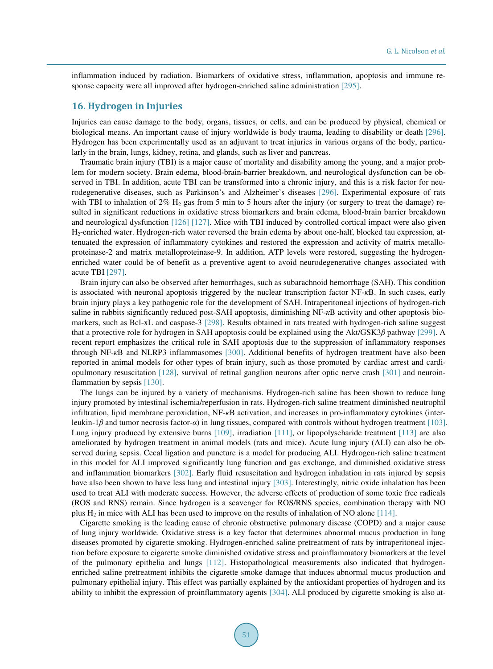inflammation induced by radiation. Biomarkers of oxidative stress, inflammation, apoptosis and immune response capacity were all improved after hydrogen-enriched saline administration [\[295\].](#page-40-16)

## **16. Hydrogen in Injuries**

Injuries can cause damage to the body, organs, tissues, or cells, and can be produced by physical, chemical or biological means. An important cause of injury worldwide is body trauma, leading to disability or death [\[296\].](#page-40-17) Hydrogen has been experimentally used as an adjuvant to treat injuries in various organs of the body, particularly in the brain, lungs, kidney, retina, and glands, such as liver and pancreas.

Traumatic brain injury (TBI) is a major cause of mortality and disability among the young, and a major problem for modern society. Brain edema, blood-brain-barrier breakdown, and neurological dysfunction can be observed in TBI. In addition, acute TBI can be transformed into a chronic injury, and this is a risk factor for neurodegenerative diseases, such as Parkinson's and Alzheimer's diseases [\[296\].](#page-40-17) Experimental exposure of rats with TBI to inhalation of  $2\%$  H<sub>2</sub> gas from 5 min to 5 hours after the injury (or surgery to treat the damage) resulted in significant reductions in oxidative stress biomarkers and brain edema, blood-brain barrier breakdown and neurological dysfunction [\[126\]](#page-32-5) [\[127\].](#page-32-6) Mice with TBI induced by controlled cortical impact were also given H2-enriched water. Hydrogen-rich water reversed the brain edema by about one-half, blocked tau expression, attenuated the expression of inflammatory cytokines and restored the expression and activity of matrix metalloproteinase-2 and matrix metalloproteinase-9. In addition, ATP levels were restored, suggesting the hydrogenenriched water could be of benefit as a preventive agent to avoid neurodegenerative changes associated with acute TBI [\[297\].](#page-40-18)

Brain injury can also be observed after hemorrhages, such as subarachnoid hemorrhage (SAH). This condition is associated with neuronal apoptosis triggered by the nuclear transcription factor NF-*κ*B. In such cases, early brain injury plays a key pathogenic role for the development of SAH. Intraperitoneal injections of hydrogen-rich saline in rabbits significantly reduced post-SAH apoptosis, diminishing NF-*κ*B activity and other apoptosis biomarkers, such as Bcl-xL and caspase-3 [\[298\].](#page-41-0) Results obtained in rats treated with hydrogen-rich saline suggest that a protective role for hydrogen in SAH apoptosis could be explained using the Akt/GSK3*β* pathway [\[299\].](#page-41-1) A recent report emphasizes the critical role in SAH apoptosis due to the suppression of inflammatory responses through NF-*κ*B and NLRP3 inflammasomes [\[300\].](#page-41-2) Additional benefits of hydrogen treatment have also been reported in animal models for other types of brain injury, such as those promoted by cardiac arrest and cardiopulmonary resuscitation [\[128\],](#page-32-7) survival of retinal ganglion neurons after optic nerve crash [\[301\]](#page-41-3) and neuroin-flammation by sepsis [\[130\].](#page-32-9)

The lungs can be injured by a variety of mechanisms. Hydrogen-rich saline has been shown to reduce lung injury promoted by intestinal ischemia/reperfusion in rats. Hydrogen-rich saline treatment diminished neutrophil infiltration, lipid membrane peroxidation, NF-*κ*B activation, and increases in pro-inflammatory cytokines (interleukin-1*β* and tumor necrosis factor-*α*) in lung tissues, compared with controls without hydrogen treatment [\[103\].](#page-31-2) Lung injury produced by extensive burns [\[109\],](#page-31-14) irradiation [\[111\],](#page-31-7) or lipopolyscharide treatment [\[113\]](#page-31-9) are also ameliorated by hydrogen treatment in animal models (rats and mice). Acute lung injury (ALI) can also be observed during sepsis. Cecal ligation and puncture is a model for producing ALI. Hydrogen-rich saline treatment in this model for ALI improved significantly lung function and gas exchange, and diminished oxidative stress and inflammation biomarkers [\[302\].](#page-41-4) Early fluid resuscitation and hydrogen inhalation in rats injured by sepsis have also been shown to have less lung and intestinal injury [\[303\].](#page-41-5) Interestingly, nitric oxide inhalation has been used to treat ALI with moderate success. However, the adverse effects of production of some toxic free radicals (ROS and RNS) remain. Since hydrogen is a scavenger for ROS/RNS species, combination therapy with NO plus  $H_2$  in mice with ALI has been used to improve on the results of inhalation of NO alone [114].

Cigarette smoking is the leading cause of chronic obstructive pulmonary disease (COPD) and a major cause of lung injury worldwide. Oxidative stress is a key factor that determines abnormal mucus production in lung diseases promoted by cigarette smoking. Hydrogen-enriched saline pretreatment of rats by intraperitoneal injection before exposure to cigarette smoke diminished oxidative stress and proinflammatory biomarkers at the level of the pulmonary epithelia and lungs [\[112\].](#page-31-8) Histopathological measurements also indicated that hydrogenenriched saline pretreatment inhibits the cigarette smoke damage that induces abnormal mucus production and pulmonary epithelial injury. This effect was partially explained by the antioxidant properties of hydrogen and its ability to inhibit the expression of proinflammatory agents [\[304\].](#page-41-6) ALI produced by cigarette smoking is also at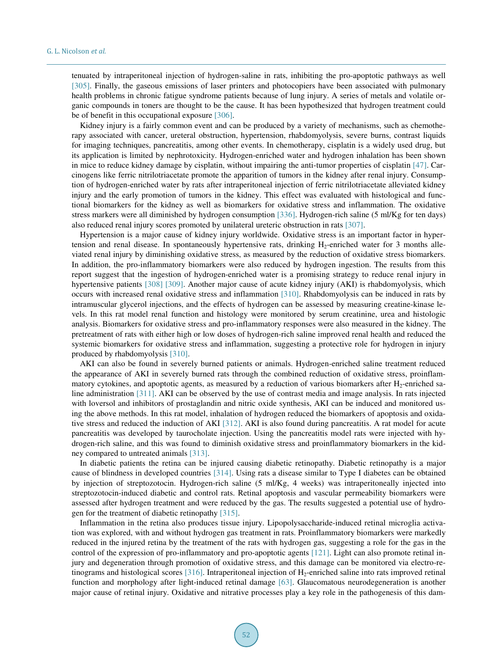tenuated by intraperitoneal injection of hydrogen-saline in rats, inhibiting the pro-apoptotic pathways as well [\[305\].](#page-41-7) Finally, the gaseous emissions of laser printers and photocopiers have been associated with pulmonary health problems in chronic fatigue syndrome patients because of lung injury. A series of metals and volatile organic compounds in toners are thought to be the cause. It has been hypothesized that hydrogen treatment could be of benefit in this occupational exposure [\[306\].](#page-41-8)

Kidney injury is a fairly common event and can be produced by a variety of mechanisms, such as chemotherapy associated with cancer, ureteral obstruction, hypertension, rhabdomyolysis, severe burns, contrast liquids for imaging techniques, pancreatitis, among other events. In chemotherapy, cisplatin is a widely used drug, but its application is limited by nephrotoxicity. Hydrogen-enriched water and hydrogen inhalation has been shown in mice to reduce kidney damage by cisplatin, without impairing the anti-tumor properties of cisplatin [\[47\].](#page-28-8) Carcinogens like ferric nitrilotriacetate promote the apparition of tumors in the kidney after renal injury. Consumption of hydrogen-enriched water by rats after intraperitoneal injection of ferric nitrilotriacetate alleviated kidney injury and the early promotion of tumors in the kidney. This effect was evaluated with histological and functional biomarkers for the kidney as well as biomarkers for oxidative stress and inflammation. The oxidative stress markers were all diminished by hydrogen consumption [\[336\].](#page-43-0) Hydrogen-rich saline (5 ml/Kg for ten days) also reduced renal injury scores promoted by unilateral ureteric obstruction in rats [\[307\].](#page-41-9)

Hypertension is a major cause of kidney injury worldwide. Oxidative stress is an important factor in hypertension and renal disease. In spontaneously hypertensive rats, drinking  $H_2$ -enriched water for 3 months alleviated renal injury by diminishing oxidative stress, as measured by the reduction of oxidative stress biomarkers. In addition, the pro-inflammatory biomarkers were also reduced by hydrogen ingestion. The results from this report suggest that the ingestion of hydrogen-enriched water is a promising strategy to reduce renal injury in hypertensive patients [\[308\]](#page-41-10) [\[309\].](#page-41-11) Another major cause of acute kidney injury (AKI) is rhabdomyolysis, which occurs with increased renal oxidative stress and inflammation [\[310\].](#page-41-12) Rhabdomyolysis can be induced in rats by intramuscular glycerol injections, and the effects of hydrogen can be assessed by measuring creatine-kinase levels. In this rat model renal function and histology were monitored by serum creatinine, urea and histologic analysis. Biomarkers for oxidative stress and pro-inflammatory responses were also measured in the kidney. The pretreatment of rats with either high or low doses of hydrogen-rich saline improved renal health and reduced the systemic biomarkers for oxidative stress and inflammation, suggesting a protective role for hydrogen in injury produced by rhabdomyolysis [\[310\].](#page-41-12)

AKI can also be found in severely burned patients or animals. Hydrogen-enriched saline treatment reduced the appearance of AKI in severely burned rats through the combined reduction of oxidative stress, proinflammatory cytokines, and apoptotic agents, as measured by a reduction of various biomarkers after  $H_2$ -enriched saline administration [\[311\].](#page-41-13) AKI can be observed by the use of contrast media and image analysis. In rats injected with loversol and inhibitors of prostaglandin and nitric oxide synthesis, AKI can be induced and monitored using the above methods. In this rat model, inhalation of hydrogen reduced the biomarkers of apoptosis and oxidative stress and reduced the induction of AKI [\[312\].](#page-41-14) AKI is also found during pancreatitis. A rat model for acute pancreatitis was developed by taurocholate injection. Using the pancreatitis model rats were injected with hydrogen-rich saline, and this was found to diminish oxidative stress and proinflammatory biomarkers in the kidney compared to untreated animals [\[313\].](#page-41-15)

In diabetic patients the retina can be injured causing diabetic retinopathy. Diabetic retinopathy is a major cause of blindness in developed countries [\[314\].](#page-41-16) Using rats a disease similar to Type I diabetes can be obtained by injection of streptozotocin. Hydrogen-rich saline (5 ml/Kg, 4 weeks) was intraperitoneally injected into streptozotocin-induced diabetic and control rats. Retinal apoptosis and vascular permeability biomarkers were assessed after hydrogen treatment and were reduced by the gas. The results suggested a potential use of hydrogen for the treatment of diabetic retinopathy [\[315\].](#page-42-0) 

Inflammation in the retina also produces tissue injury. Lipopolysaccharide-induced retinal microglia activation was explored, with and without hydrogen gas treatment in rats. Proinflammatory biomarkers were markedly reduced in the injured retina by the treatment of the rats with hydrogen gas, suggesting a role for the gas in the control of the expression of pro-inflammatory and pro-apoptotic agents [\[121\].](#page-32-15) Light can also promote retinal injury and degeneration through promotion of oxidative stress, and this damage can be monitored via electro-retinograms and histological scores [\[316\].](#page-42-1) Intraperitoneal injection of H2-enriched saline into rats improved retinal function and morphology after light-induced retinal damage [\[63\].](#page-29-3) Glaucomatous neurodegeneration is another major cause of retinal injury. Oxidative and nitrative processes play a key role in the pathogenesis of this dam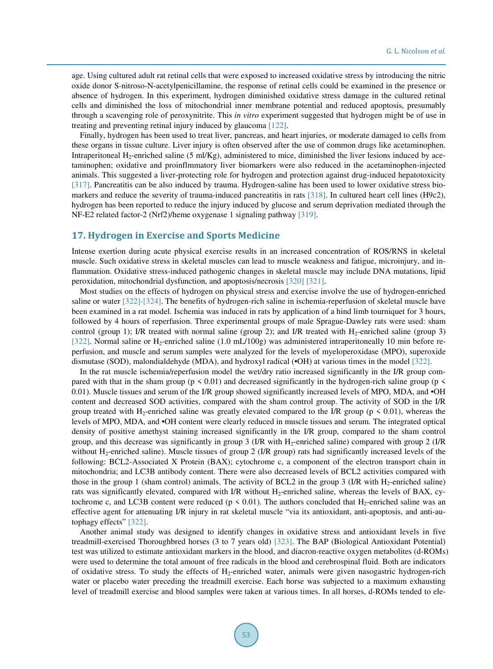age. Using cultured adult rat retinal cells that were exposed to increased oxidative stress by introducing the nitric oxide donor S-nitroso-N-acetylpenicillamine, the response of retinal cells could be examined in the presence or absence of hydrogen. In this experiment, hydrogen diminished oxidative stress damage in the cultured retinal cells and diminished the loss of mitochondrial inner membrane potential and reduced apoptosis, presumably through a scavenging role of peroxynitrite. This *in vitro* experiment suggested that hydrogen might be of use in treating and preventing retinal injury induced by glaucoma [\[122\].](#page-32-16)

Finally, hydrogen has been used to treat liver, pancreas, and heart injuries, or moderate damaged to cells from these organs in tissue culture. Liver injury is often observed after the use of common drugs like acetaminophen. Intraperitoneal H<sub>2</sub>-enriched saline  $(5 \text{ ml/Kg})$ , administered to mice, diminished the liver lesions induced by acetaminophen; oxidative and proinflmmatory liver biomarkers were also reduced in the acetaminophen-injected animals. This suggested a liver-protecting role for hydrogen and protection against drug-induced hepatotoxicity [\[317\].](#page-42-2) Pancreatitis can be also induced by trauma. Hydrogen-saline has been used to lower oxidative stress biomarkers and reduce the severity of trauma-induced pancreatitis in rats [\[318\].](#page-42-3) In cultured heart cell lines (H9c2), hydrogen has been reported to reduce the injury induced by glucose and serum deprivation mediated through the NF-E2 related factor-2 (Nrf2)/heme oxygenase 1 signaling pathway [\[319\].](#page-42-4)

#### **17. Hydrogen in Exercise and Sports Medicine**

Intense exertion during acute physical exercise results in an increased concentration of ROS/RNS in skeletal muscle. Such oxidative stress in skeletal muscles can lead to muscle weakness and fatigue, microinjury, and inflammation. Oxidative stress-induced pathogenic changes in skeletal muscle may include DNA mutations, lipid peroxidation, mitochondrial dysfunction, and apoptosis/necrosis [\[320\]](#page-42-5) [\[321\].](#page-42-6)

Most studies on the effects of hydrogen on physical stress and exercise involve the use of hydrogen-enriched saline or water [\[322\]-](#page-42-7)[\[324\].](#page-42-8) The benefits of hydrogen-rich saline in ischemia-reperfusion of skeletal muscle have been examined in a rat model. Ischemia was induced in rats by application of a hind limb tourniquet for 3 hours, followed by 4 hours of reperfusion. Three experimental groups of male Sprague-Dawley rats were used: sham control (group 1); I/R treated with normal saline (group 2); and I/R treated with  $H_2$ -enriched saline (group 3) [\[322\].](#page-42-7) Normal saline or  $H_2$ -enriched saline (1.0 mL/100g) was administered intraperitoneally 10 min before reperfusion, and muscle and serum samples were analyzed for the levels of myeloperoxidase (MPO), superoxide dismutase (SOD), malondialdehyde (MDA), and hydroxyl radical (•OH) at various times in the model [\[322\].](#page-42-7) 

In the rat muscle ischemia/reperfusion model the wet/dry ratio increased significantly in the I/R group compared with that in the sham group ( $p \le 0.01$ ) and decreased significantly in the hydrogen-rich saline group ( $p \le$ 0.01). Muscle tissues and serum of the I/R group showed significantly increased levels of MPO, MDA, and •OH content and decreased SOD activities, compared with the sham control group. The activity of SOD in the I/R group treated with H<sub>2</sub>-enriched saline was greatly elevated compared to the I/R group ( $p \le 0.01$ ), whereas the levels of MPO, MDA, and •OH content were clearly reduced in muscle tissues and serum. The integrated optical density of positive amethyst staining increased significantly in the I/R group, compared to the sham control group, and this decrease was significantly in group  $3$  (I/R with H<sub>2</sub>-enriched saline) compared with group  $2$  (I/R without H<sub>2</sub>-enriched saline). Muscle tissues of group 2 (I/R group) rats had significantly increased levels of the following: BCL2-Associated X Protein (BAX); cytochrome c, a component of the electron transport chain in mitochondria; and LC3B antibody content. There were also decreased levels of BCL2 activities compared with those in the group 1 (sham control) animals. The activity of BCL2 in the group 3 (I/R with  $H_2$ -enriched saline) rats was significantly elevated, compared with  $I/R$  without  $H_2$ -enriched saline, whereas the levels of BAX, cytochrome c, and LC3B content were reduced ( $p \le 0.01$ ). The authors concluded that H<sub>2</sub>-enriched saline was an effective agent for attenuating I/R injury in rat skeletal muscle "via its antioxidant, anti-apoptosis, and anti-autophagy effects" [\[322\].](#page-42-7)

Another animal study was designed to identify changes in oxidative stress and antioxidant levels in five treadmill-exercised Thoroughbred horses (3 to 7 years old) [\[323\].](#page-42-9) The BAP (Biological Antioxidant Potential) test was utilized to estimate antioxidant markers in the blood, and diacron-reactive oxygen metabolites (d-ROMs) were used to determine the total amount of free radicals in the blood and cerebrospinal fluid. Both are indicators of oxidative stress. To study the effects of  $H_2$ -enriched water, animals were given nasogastric hydrogen-rich water or placebo water preceding the treadmill exercise. Each horse was subjected to a maximum exhausting level of treadmill exercise and blood samples were taken at various times. In all horses, d-ROMs tended to ele-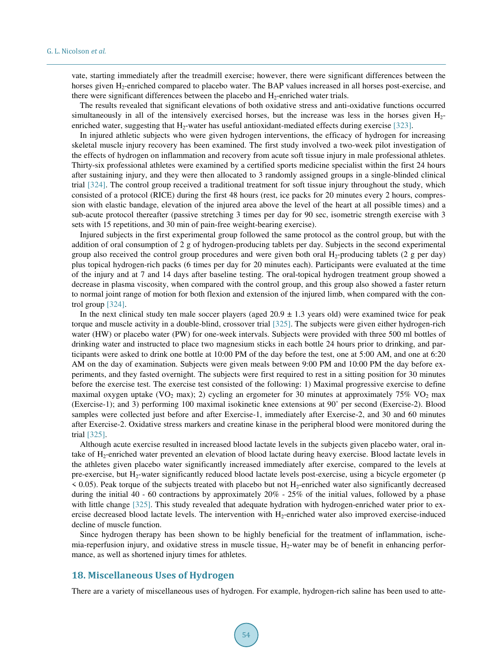vate, starting immediately after the treadmill exercise; however, there were significant differences between the horses given H<sub>2</sub>-enriched compared to placebo water. The BAP values increased in all horses post-exercise, and there were significant differences between the placebo and  $H_2$ -enriched water trials.

The results revealed that significant elevations of both oxidative stress and anti-oxidative functions occurred simultaneously in all of the intensively exercised horses, but the increase was less in the horses given  $H_2$ enriched water, suggesting that  $H_2$ -water has useful antioxidant-mediated effects during exercise [\[323\].](#page-42-9)

In injured athletic subjects who were given hydrogen interventions, the efficacy of hydrogen for increasing skeletal muscle injury recovery has been examined. The first study involved a two-week pilot investigation of the effects of hydrogen on inflammation and recovery from acute soft tissue injury in male professional athletes. Thirty-six professional athletes were examined by a certified sports medicine specialist within the first 24 hours after sustaining injury, and they were then allocated to 3 randomly assigned groups in a single-blinded clinical trial [\[324\].](#page-42-8) The control group received a traditional treatment for soft tissue injury throughout the study, which consisted of a protocol (RICE) during the first 48 hours (rest, ice packs for 20 minutes every 2 hours, compression with elastic bandage, elevation of the injured area above the level of the heart at all possible times) and a sub-acute protocol thereafter (passive stretching 3 times per day for 90 sec, isometric strength exercise with 3 sets with 15 repetitions, and 30 min of pain-free weight-bearing exercise).

Injured subjects in the first experimental group followed the same protocol as the control group, but with the addition of oral consumption of 2 g of hydrogen-producing tablets per day. Subjects in the second experimental group also received the control group procedures and were given both oral  $H_2$ -producing tablets (2 g per day) plus topical hydrogen-rich packs (6 times per day for 20 minutes each). Participants were evaluated at the time of the injury and at 7 and 14 days after baseline testing. The oral-topical hydrogen treatment group showed a decrease in plasma viscosity, when compared with the control group, and this group also showed a faster return to normal joint range of motion for both flexion and extension of the injured limb, when compared with the control group [\[324\].](#page-42-8)

In the next clinical study ten male soccer players (aged  $20.9 \pm 1.3$  years old) were examined twice for peak torque and muscle activity in a double-blind, crossover trial [\[325\].](#page-42-10) The subjects were given either hydrogen-rich water (HW) or placebo water (PW) for one-week intervals. Subjects were provided with three 500 ml bottles of drinking water and instructed to place two magnesium sticks in each bottle 24 hours prior to drinking, and participants were asked to drink one bottle at 10:00 PM of the day before the test, one at 5:00 AM, and one at 6:20 AM on the day of examination. Subjects were given meals between 9:00 PM and 10:00 PM the day before experiments, and they fasted overnight. The subjects were first required to rest in a sitting position for 30 minutes before the exercise test. The exercise test consisted of the following: 1) Maximal progressive exercise to define maximal oxygen uptake (VO<sub>2</sub> max); 2) cycling an ergometer for 30 minutes at approximately 75% VO<sub>2</sub> max (Exercise-1); and 3) performing 100 maximal isokinetic knee extensions at 90˚ per second (Exercise-2). Blood samples were collected just before and after Exercise-1, immediately after Exercise-2, and 30 and 60 minutes after Exercise-2. Oxidative stress markers and creatine kinase in the peripheral blood were monitored during the trial [\[325\].](#page-42-10)

Although acute exercise resulted in increased blood lactate levels in the subjects given placebo water, oral intake of H2-enriched water prevented an elevation of blood lactate during heavy exercise. Blood lactate levels in the athletes given placebo water significantly increased immediately after exercise, compared to the levels at pre-exercise, but  $H_2$ -water significantly reduced blood lactate levels post-exercise, using a bicycle ergometer (p  $\leq$  0.05). Peak torque of the subjects treated with placebo but not H<sub>2</sub>-enriched water also significantly decreased during the initial 40 - 60 contractions by approximately 20% - 25% of the initial values, followed by a phase with little change [\[325\].](#page-42-10) This study revealed that adequate hydration with hydrogen-enriched water prior to exercise decreased blood lactate levels. The intervention with  $H_2$ -enriched water also improved exercise-induced decline of muscle function.

Since hydrogen therapy has been shown to be highly beneficial for the treatment of inflammation, ischemia-reperfusion injury, and oxidative stress in muscle tissue,  $H_2$ -water may be of benefit in enhancing performance, as well as shortened injury times for athletes.

## **18. Miscellaneous Uses of Hydrogen**

There are a variety of miscellaneous uses of hydrogen. For example, hydrogen-rich saline has been used to atte-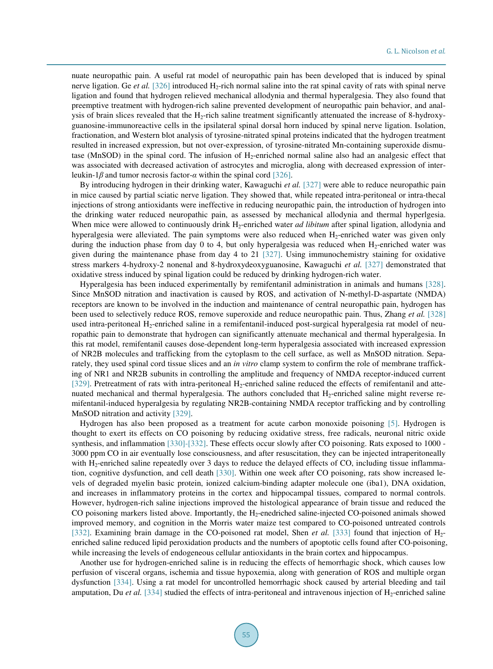nuate neuropathic pain. A useful rat model of neuropathic pain has been developed that is induced by spinal nerve ligation. Ge *et al.* [\[326\]](#page-42-11) introduced H<sub>2</sub>-rich normal saline into the rat spinal cavity of rats with spinal nerve ligation and found that hydrogen relieved mechanical allodynia and thermal hyperalgesia. They also found that preemptive treatment with hydrogen-rich saline prevented development of neuropathic pain behavior, and analysis of brain slices revealed that the  $H_2$ -rich saline treatment significantly attenuated the increase of 8-hydroxyguanosine-immunoreactive cells in the ipsilateral spinal dorsal horn induced by spinal nerve ligation. Isolation, fractionation, and Western blot analysis of tyrosine-nitrated spinal proteins indicated that the hydrogen treatment resulted in increased expression, but not over-expression, of tyrosine-nitrated Mn-containing superoxide dismutase (MnSOD) in the spinal cord. The infusion of  $H_2$ -enriched normal saline also had an analgesic effect that was associated with decreased activation of astrocytes and microglia, along with decreased expression of interleukin-1*β* and tumor necrosis factor-*α* within the spinal cord [\[326\].](#page-42-11)

By introducing hydrogen in their drinking water, Kawaguchi *et al.* [\[327\]](#page-42-12) were able to reduce neuropathic pain in mice caused by partial sciatic nerve ligation. They showed that, while repeated intra-peritoneal or intra-thecal injections of strong antioxidants were ineffective in reducing neuropathic pain, the introduction of hydrogen into the drinking water reduced neuropathic pain, as assessed by mechanical allodynia and thermal hyperlgesia. When mice were allowed to continuously drink H<sub>2</sub>-enriched water *ad libitum* after spinal ligation, allodynia and hyperalgesia were alleviated. The pain symptoms were also reduced when H<sub>2</sub>-enriched water was given only during the induction phase from day 0 to 4, but only hyperalgesia was reduced when  $H_2$ -enriched water was given during the maintenance phase from day 4 to 21 [\[327\].](#page-42-12) Using immunochemistry staining for oxidative stress markers 4-hydroxy-2 nonenal and 8-hydroxydeoxyguanosine, Kawaguchi *et al.* [\[327\]](#page-42-12) demonstrated that oxidative stress induced by spinal ligation could be reduced by drinking hydrogen-rich water.

Hyperalgesia has been induced experimentally by remifentanil administration in animals and humans [\[328\].](#page-42-13) Since MnSOD nitration and inactivation is caused by ROS, and activation of N-methyl-D-aspartate (NMDA) receptors are known to be involved in the induction and maintenance of central neuropathic pain, hydrogen has been used to selectively reduce ROS, remove superoxide and reduce neuropathic pain. Thus, Zhang *et al.* [\[328\]](#page-42-13) used intra-peritoneal H<sub>2</sub>-enriched saline in a remifentanil-induced post-surgical hyperalgesia rat model of neuropathic pain to demonstrate that hydrogen can significantly attenuate mechanical and thermal hyperalgesia. In this rat model, remifentanil causes dose-dependent long-term hyperalgesia associated with increased expression of NR2B molecules and trafficking from the cytoplasm to the cell surface, as well as MnSOD nitration. Separately, they used spinal cord tissue slices and an *in vitro* clamp system to confirm the role of membrane trafficking of NR1 and NR2B subunits in controlling the amplitude and frequency of NMDA receptor-induced current [\[329\].](#page-42-14) Pretreatment of rats with intra-peritoneal H<sub>2</sub>-enriched saline reduced the effects of remifentanil and attenuated mechanical and thermal hyperalgesia. The authors concluded that H<sub>2</sub>-enriched saline might reverse remifentanil-induced hyperalgesia by regulating NR2B-containing NMDA receptor trafficking and by controlling MnSOD nitration and activity [329].

Hydrogen has also been proposed as a treatment for acute carbon monoxide poisoning [\[5\].](#page-26-4) Hydrogen is thought to exert its effects on CO poisoning by reducing oxidative stress, free radicals, neuronal nitric oxide synthesis, and inflammation [\[330\]](#page-42-15)[-\[332\].](#page-42-16) These effects occur slowly after CO poisoning. Rats exposed to 1000 - 3000 ppm CO in air eventually lose consciousness, and after resuscitation, they can be injected intraperitoneally with H<sub>2</sub>-enriched saline repeatedly over 3 days to reduce the delayed effects of CO, including tissue inflammation, cognitive dysfunction, and cell death [\[330\].](#page-42-15) Within one week after CO poisoning, rats show increased levels of degraded myelin basic protein, ionized calcium-binding adapter molecule one (iba1), DNA oxidation, and increases in inflammatory proteins in the cortex and hippocampal tissues, compared to normal controls. However, hydrogen-rich saline injections improved the histological appearance of brain tissue and reduced the CO poisoning markers listed above. Importantly, the  $H_2$ -enedriched saline-injected CO-poisoned animals showed improved memory, and cognition in the Morris water maize test compared to CO-poisoned untreated controls [\[332\].](#page-42-16) Examining brain damage in the CO-poisoned rat model, Shen *et al.* [\[333\]](#page-42-17) found that injection of H<sub>2</sub>enriched saline reduced lipid peroxidation products and the numbers of apoptotic cells found after CO-poisoning, while increasing the levels of endogeneous cellular antioxidants in the brain cortex and hippocampus.

Another use for hydrogen-enriched saline is in reducing the effects of hemorrhagic shock, which causes low perfusion of visceral organs, ischemia and tissue hypoxemia, along with generation of ROS and multiple organ dysfunction [\[334\].](#page-42-18) Using a rat model for uncontrolled hemorrhagic shock caused by arterial bleeding and tail amputation, Du *et al.* [\[334\]](#page-42-18) studied the effects of intra-peritoneal and intravenous injection of  $H_2$ -enriched saline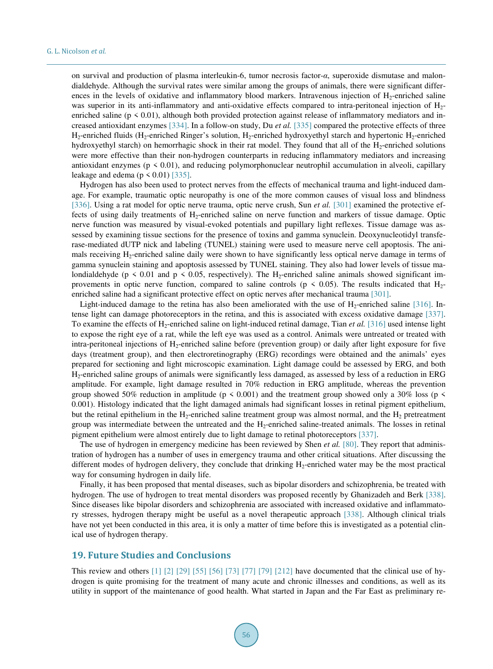on survival and production of plasma interleukin-6, tumor necrosis factor-*α*, superoxide dismutase and malondialdehyde. Although the survival rates were similar among the groups of animals, there were significant differences in the levels of oxidative and inflammatory blood markers. Intravenous injection of  $H_2$ -enriched saline was superior in its anti-inflammatory and anti-oxidative effects compared to intra-peritoneal injection of H<sub>2</sub>enriched saline ( $p \le 0.01$ ), although both provided protection against release of inflammatory mediators and increased antioxidant enzymes [\[334\].](#page-42-18) In a follow-on study, Du *et al.* [\[335\]](#page-43-1) compared the protective effects of three H<sub>2</sub>-enriched fluids (H<sub>2</sub>-enriched Ringer's solution, H<sub>2</sub>-enriched hydroxyethyl starch and hypertonic H<sub>2</sub>-enriched hydroxyethyl starch) on hemorrhagic shock in their rat model. They found that all of the H<sub>2</sub>-enriched solutions were more effective than their non-hydrogen counterparts in reducing inflammatory mediators and increasing antioxidant enzymes ( $p \le 0.01$ ), and reducing polymorphonuclear neutrophil accumulation in alveoli, capillary leakage and edema ( $p \le 0.01$ [\) \[335\].](#page-43-1)

Hydrogen has also been used to protect nerves from the effects of mechanical trauma and light-induced damage. For example, traumatic optic neuropathy is one of the more common causes of visual loss and blindness [\[336\].](#page-43-0) Using a rat model for optic nerve trauma, optic nerve crush, Sun *et al.* [\[301\]](#page-41-3) examined the protective effects of using daily treatments of  $H_2$ -enriched saline on nerve function and markers of tissue damage. Optic nerve function was measured by visual-evoked potentials and pupillary light reflexes. Tissue damage was assessed by examining tissue sections for the presence of toxins and gamma synuclein. Deoxynucleotidyl transferase-mediated dUTP nick and labeling (TUNEL) staining were used to measure nerve cell apoptosis. The animals receiving H<sub>2</sub>-enriched saline daily were shown to have significantly less optical nerve damage in terms of gamma synuclein staining and apoptosis assessed by TUNEL staining. They also had lower levels of tissue malondialdehyde (p < 0.01 and p < 0.05, respectively). The  $H_2$ -enriched saline animals showed significant improvements in optic nerve function, compared to saline controls ( $p \le 0.05$ ). The results indicated that  $H_2$ enriched saline had a significant protective effect on optic nerves after mechanical trauma [\[301\].](#page-41-3)

Light-induced damage to the retina has also been ameliorated with the use of  $H_2$ -enriched saline [\[316\].](#page-42-1) Intense light can damage photoreceptors in the retina, and this is associated with excess oxidative damage [\[337\].](#page-43-2) To examine the effects of H2-enriched saline on light-induced retinal damage, Tian *et al.* [\[316\]](#page-42-1) used intense light to expose the right eye of a rat, while the left eye was used as a control. Animals were untreated or treated with intra-peritoneal injections of  $H_2$ -enriched saline before (prevention group) or daily after light exposure for five days (treatment group), and then electroretinography (ERG) recordings were obtained and the animals' eyes prepared for sectioning and light microscopic examination. Light damage could be assessed by ERG, and both H2-enriched saline groups of animals were significantly less damaged, as assessed by less of a reduction in ERG amplitude. For example, light damage resulted in 70% reduction in ERG amplitude, whereas the prevention group showed 50% reduction in amplitude ( $p \le 0.001$ ) and the treatment group showed only a 30% loss ( $p \le$ 0.001). Histology indicated that the light damaged animals had significant losses in retinal pigment epithelium, but the retinal epithelium in the H<sub>2</sub>-enriched saline treatment group was almost normal, and the H<sub>2</sub> pretreatment group was intermediate between the untreated and the  $H_2$ -enriched saline-treated animals. The losses in retinal pigment epithelium were almost entirely due to light damage to retinal photoreceptors [\[337\].](#page-43-2)

The use of hydrogen in emergency medicine has been reviewed by Shen *et al.* [\[80\].](#page-29-15) They report that administration of hydrogen has a number of uses in emergency trauma and other critical situations. After discussing the different modes of hydrogen delivery, they conclude that drinking H<sub>2</sub>-enriched water may be the most practical way for consuming hydrogen in daily life.

Finally, it has been proposed that mental diseases, such as bipolar disorders and schizophrenia, be treated with hydrogen. The use of hydrogen to treat mental disorders was proposed recently by Ghanizadeh and Berk [\[338\].](#page-43-3) Since diseases like bipolar disorders and schizophrenia are associated with increased oxidative and inflammatory stresses, hydrogen therapy might be useful as a novel therapeutic approach [\[338\].](#page-43-3) Although clinical trials have not yet been conducted in this area, it is only a matter of time before this is investigated as a potential clinical use of hydrogen therapy.

## **19. Future Studies and Conclusions**

This review and others  $[1]$   $[2]$   $[29]$   $[55]$   $[56]$   $[73]$   $[77]$   $[79]$   $[212]$  have documented that the clinical use of hydrogen is quite promising for the treatment of many acute and chronic illnesses and conditions, as well as its utility in support of the maintenance of good health. What started in Japan and the Far East as preliminary re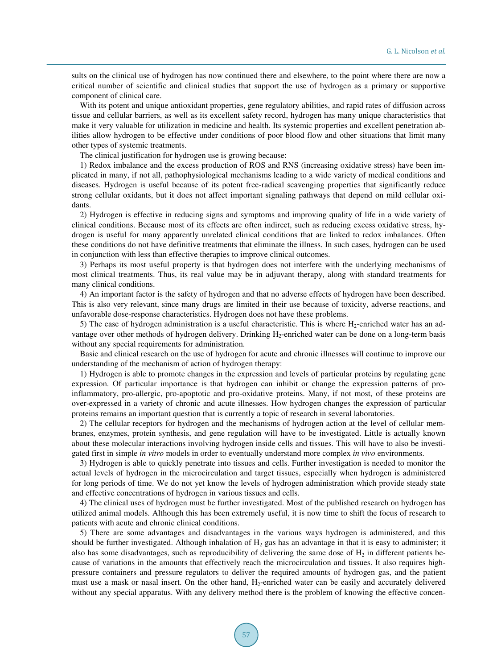sults on the clinical use of hydrogen has now continued there and elsewhere, to the point where there are now a critical number of scientific and clinical studies that support the use of hydrogen as a primary or supportive component of clinical care.

With its potent and unique antioxidant properties, gene regulatory abilities, and rapid rates of diffusion across tissue and cellular barriers, as well as its excellent safety record, hydrogen has many unique characteristics that make it very valuable for utilization in medicine and health. Its systemic properties and excellent penetration abilities allow hydrogen to be effective under conditions of poor blood flow and other situations that limit many other types of systemic treatments.

The clinical justification for hydrogen use is growing because:

1) Redox imbalance and the excess production of ROS and RNS (increasing oxidative stress) have been implicated in many, if not all, pathophysiological mechanisms leading to a wide variety of medical conditions and diseases. Hydrogen is useful because of its potent free-radical scavenging properties that significantly reduce strong cellular oxidants, but it does not affect important signaling pathways that depend on mild cellular oxidants.

2) Hydrogen is effective in reducing signs and symptoms and improving quality of life in a wide variety of clinical conditions. Because most of its effects are often indirect, such as reducing excess oxidative stress, hydrogen is useful for many apparently unrelated clinical conditions that are linked to redox imbalances. Often these conditions do not have definitive treatments that eliminate the illness. In such cases, hydrogen can be used in conjunction with less than effective therapies to improve clinical outcomes.

3) Perhaps its most useful property is that hydrogen does not interfere with the underlying mechanisms of most clinical treatments. Thus, its real value may be in adjuvant therapy, along with standard treatments for many clinical conditions.

4) An important factor is the safety of hydrogen and that no adverse effects of hydrogen have been described. This is also very relevant, since many drugs are limited in their use because of toxicity, adverse reactions, and unfavorable dose-response characteristics. Hydrogen does not have these problems.

5) The ease of hydrogen administration is a useful characteristic. This is where  $H_2$ -enriched water has an advantage over other methods of hydrogen delivery. Drinking H<sub>2</sub>-enriched water can be done on a long-term basis without any special requirements for administration.

Basic and clinical research on the use of hydrogen for acute and chronic illnesses will continue to improve our understanding of the mechanism of action of hydrogen therapy:

1) Hydrogen is able to promote changes in the expression and levels of particular proteins by regulating gene expression. Of particular importance is that hydrogen can inhibit or change the expression patterns of proinflammatory, pro-allergic, pro-apoptotic and pro-oxidative proteins. Many, if not most, of these proteins are over-expressed in a variety of chronic and acute illnesses. How hydrogen changes the expression of particular proteins remains an important question that is currently a topic of research in several laboratories.

2) The cellular receptors for hydrogen and the mechanisms of hydrogen action at the level of cellular membranes, enzymes, protein synthesis, and gene regulation will have to be investigated. Little is actually known about these molecular interactions involving hydrogen inside cells and tissues. This will have to also be investigated first in simple *in vitro* models in order to eventually understand more complex *in vivo* environments.

3) Hydrogen is able to quickly penetrate into tissues and cells. Further investigation is needed to monitor the actual levels of hydrogen in the microcirculation and target tissues, especially when hydrogen is administered for long periods of time. We do not yet know the levels of hydrogen administration which provide steady state and effective concentrations of hydrogen in various tissues and cells.

4) The clinical uses of hydrogen must be further investigated. Most of the published research on hydrogen has utilized animal models. Although this has been extremely useful, it is now time to shift the focus of research to patients with acute and chronic clinical conditions.

5) There are some advantages and disadvantages in the various ways hydrogen is administered, and this should be further investigated. Although inhalation of  $H_2$  gas has an advantage in that it is easy to administer; it also has some disadvantages, such as reproducibility of delivering the same dose of  $H_2$  in different patients because of variations in the amounts that effectively reach the microcirculation and tissues. It also requires highpressure containers and pressure regulators to deliver the required amounts of hydrogen gas, and the patient must use a mask or nasal insert. On the other hand, H<sub>2</sub>-enriched water can be easily and accurately delivered without any special apparatus. With any delivery method there is the problem of knowing the effective concen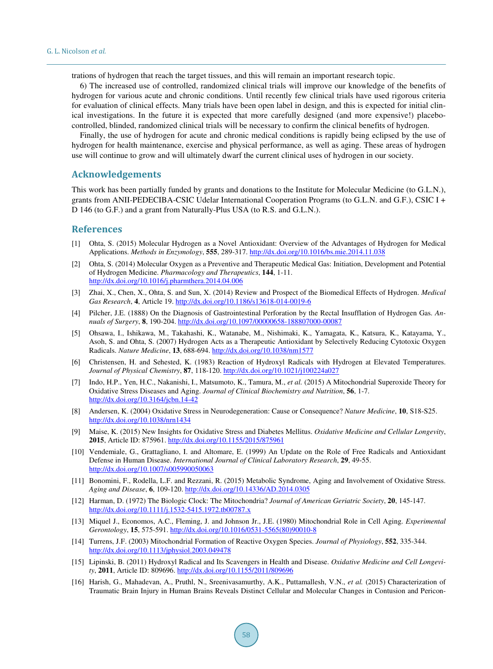trations of hydrogen that reach the target tissues, and this will remain an important research topic.

6) The increased use of controlled, randomized clinical trials will improve our knowledge of the benefits of hydrogen for various acute and chronic conditions. Until recently few clinical trials have used rigorous criteria for evaluation of clinical effects. Many trials have been open label in design, and this is expected for initial clinical investigations. In the future it is expected that more carefully designed (and more expensive!) placebocontrolled, blinded, randomized clinical trials will be necessary to confirm the clinical benefits of hydrogen.

Finally, the use of hydrogen for acute and chronic medical conditions is rapidly being eclipsed by the use of hydrogen for health maintenance, exercise and physical performance, as well as aging. These areas of hydrogen use will continue to grow and will ultimately dwarf the current clinical uses of hydrogen in our society.

## **Acknowledgements**

This work has been partially funded by grants and donations to the Institute for Molecular Medicine (to G.L.N.), grants from ANII-PEDECIBA-CSIC Udelar International Cooperation Programs (to G.L.N. and G.F.), CSIC I + D 146 (to G.F.) and a grant from Naturally-Plus USA (to R.S. and G.L.N.).

#### **References**

- <span id="page-26-0"></span>[1] Ohta, S. (2015) Molecular Hydrogen as a Novel Antioxidant: Overview of the Advantages of Hydrogen for Medical Applications. *Methods in Enzymology*, **555**, 289-317. <http://dx.doi.org/10.1016/bs.mie.2014.11.038>
- <span id="page-26-3"></span>[2] Ohta, S. (2014) Molecular Oxygen as a Preventive and Therapeutic Medical Gas: Initiation, Development and Potential of Hydrogen Medicine. *Pharmacology and Therapeutics*, **144**, 1-11. <http://dx.doi.org/10.1016/j.pharmthera.2014.04.006>
- <span id="page-26-1"></span>[3] Zhai, X., Chen, X., Ohta, S. and Sun, X. (2014) Review and Prospect of the Biomedical Effects of Hydrogen. *Medical Gas Research*, **4**, Article 19. <http://dx.doi.org/10.1186/s13618-014-0019-6>
- <span id="page-26-2"></span>[4] Pilcher, J.E. (1888) On the Diagnosis of Gastrointestinal Perforation by the Rectal Insufflation of Hydrogen Gas. *Annuals of Surgery*, **8**, 190-204. <http://dx.doi.org/10.1097/00000658-188807000-00087>
- <span id="page-26-4"></span>[5] Ohsawa, I., Ishikawa, M., Takahashi, K., Watanabe, M., Nishimaki, K., Yamagata, K., Katsura, K., Katayama, Y., Asoh, S. and Ohta, S. (2007) Hydrogen Acts as a Therapeutic Antioxidant by Selectively Reducing Cytotoxic Oxygen Radicals. *Nature Medicine*, **13**, 688-694. <http://dx.doi.org/10.1038/nm1577>
- <span id="page-26-5"></span>[6] Christensen, H. and Sehested, K. (1983) Reaction of Hydroxyl Radicals with Hydrogen at Elevated Temperatures. *Journal of Physical Chemistry*, **87**, 118-120. <http://dx.doi.org/10.1021/j100224a027>
- <span id="page-26-6"></span>[7] Indo, H.P., Yen, H.C., Nakanishi, I., Matsumoto, K., Tamura, M., *et al.* (2015) A Mitochondrial Superoxide Theory for Oxidative Stress Diseases and Aging. *Journal of Clinical Biochemistry and Nutrition*, **56**, 1-7. <http://dx.doi.org/10.3164/jcbn.14-42>
- [8] Andersen, K. (2004) Oxidative Stress in Neurodegeneration: Cause or Consequence? *Nature Medicine*, **10**, S18-S25. <http://dx.doi.org/10.1038/nrn1434>
- <span id="page-26-14"></span>[9] Maise, K. (2015) New Insights for Oxidative Stress and Diabetes Mellitus. *Oxidative Medicine and Cellular Longevity*, **2015**, Article ID: 875961. <http://dx.doi.org/10.1155/2015/875961>
- <span id="page-26-7"></span>[10] Vendemiale, G., Grattagliano, I. and Altomare, E. (1999) An Update on the Role of Free Radicals and Antioxidant Defense in Human Disease. *International Journal of Clinical Laboratory Research*, **29**, 49-55. <http://dx.doi.org/10.1007/s005990050063>
- <span id="page-26-8"></span>[11] Bonomini, F., Rodella, L.F. and Rezzani, R. (2015) Metabolic Syndrome, Aging and Involvement of Oxidative Stress. *Aging and Disease*, **6**, 109-120. <http://dx.doi.org/10.14336/AD.2014.0305>
- <span id="page-26-9"></span>[12] Harman, D. (1972) The Biologic Clock: The Mitochondria? *Journal of American Geriatric Society*, **20**, 145-147. <http://dx.doi.org/10.1111/j.1532-5415.1972.tb00787.x>
- <span id="page-26-10"></span>[13] Miquel J., Economos, A.C., Fleming, J. and Johnson Jr., J.E. (1980) Mitochondrial Role in Cell Aging. *Experimental Gerontology*, **15**, 575-591. [http://dx.doi.org/10.1016/0531-5565\(80\)90010-8](http://dx.doi.org/10.1016/0531-5565(80)90010-8)
- <span id="page-26-11"></span>[14] Turrens, J.F. (2003) Mitochondrial Formation of Reactive Oxygen Species. *Journal of Physiology*, **552**, 335-344. <http://dx.doi.org/10.1113/jphysiol.2003.049478>
- <span id="page-26-12"></span>[15] Lipinski, B. (2011) Hydroxyl Radical and Its Scavengers in Health and Disease. *Oxidative Medicine and Cell Longevity*, **2011**, Article ID: 809696[. http://dx.doi.org/10.1155/2011/809696](http://dx.doi.org/10.1155/2011/809696)
- <span id="page-26-13"></span>[16] Harish, G., Mahadevan, A., Pruthl, N., Sreenivasamurthy, A.K., Puttamallesh, V.N., *et al.* (2015) Characterization of Traumatic Brain Injury in Human Brains Reveals Distinct Cellular and Molecular Changes in Contusion and Pericon-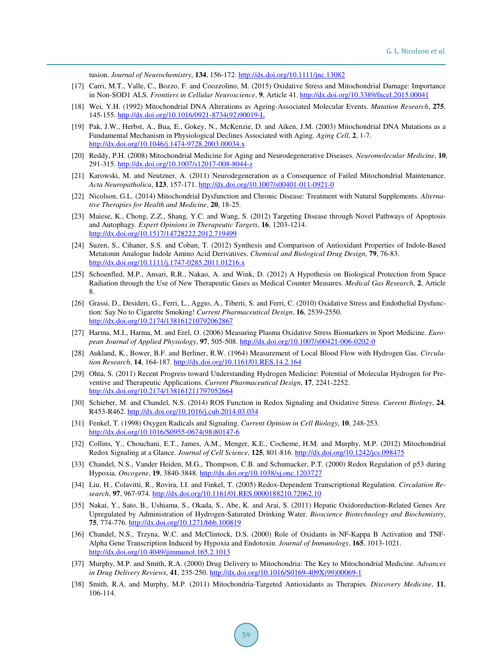tusion. *Journal of Neurochemistry*, **134**, 156-172. <http://dx.doi.org/10.1111/jnc.13082>

- <span id="page-27-1"></span>[17] Carri, M.T., Valle, C., Bozzo, F. and Coozzolino, M. (2015) Oxidative Stress and Mitochondrial Damage: Importance in Non-SOD1 ALS. *Frontiers in Cellular Neuroscience*, **9**, Article 41. <http://dx.doi.org/10.3389/fncel.2015.00041>
- [18] Wei, Y.H. (1992) Mitochondrial DNA Alterations as Ageing-Associated Molecular Events. *Mutation Research*, **275**, 145-155. [http://dx.doi.org/10.1016/0921-8734\(92\)90019-L](http://dx.doi.org/10.1016/0921-8734(92)90019-L)
- <span id="page-27-0"></span>[19] Pak, J.W., Herbst, A., Bua, E., Gokey, N., McKenzie, D. and Aiken, J.M. (2003) Mitochondrial DNA Mutations as a Fundamental Mechanism in Physiological Declines Associated with Aging. *Aging Cell*, **2**, 1-7. <http://dx.doi.org/10.1046/j.1474-9728.2003.00034.x>
- <span id="page-27-2"></span>[20] Reddy, P.H. (2008) Mitochondrial Medicine for Aging and Neurodegenerative Diseases. *Neuromolecular Medicine*, **10**, 291-315. <http://dx.doi.org/10.1007/s12017-008-8044-z>
- [21] Karowski, M. and Neutzner, A. (2011) Neurodegeneration as a Consequence of Failed Mitochondrial Maintenance. *Acta Neuropatholica*, **123**, 157-171. <http://dx.doi.org/10.1007/s00401-011-0921-0>
- <span id="page-27-3"></span>[22] Nicolson, G.L. (2014) Mitochondrial Dysfunction and Chronic Disease: Treatment with Natural Supplements. *Alternative Therapies for Health and Medicine*, **20**, 18-25.
- <span id="page-27-4"></span>[23] Maiese, K., Chong, Z.Z., Shang, Y.C. and Wang, S. (2012) Targeting Disease through Novel Pathways of Apoptosis and Autophagy. *Expert Opinions in Therapeutic Targets*, **16**, 1203-1214. <http://dx.doi.org/10.1517/14728222.2012.719499>
- <span id="page-27-5"></span>[24] Suzen, S., Cihaner, S.S. and Coban, T. (2012) Synthesis and Comparison of Antioxidant Properties of Indole-Based Metatonin Analogue Indole Amino Acid Derivatives. *Chemical and Biological Drug Design*, **79**, 76-83. <http://dx.doi.org/10.1111/j.1747-0285.2011.01216.x>
- <span id="page-27-6"></span>[25] Schoenfled, M.P., Ansari, R.R., Nakao, A. and Wink, D. (2012) A Hypothesis on Biological Protection from Space Radiation through the Use of New Therapeutic Gases as Medical Counter Measures. *Medical Gas Research*, **2**, Article 8.
- [26] Grassi, D., Desideri, G., Ferri, L., Aggio, A., Tiberti, S. and Ferri, C. (2010) Oxidative Stress and Endothelial Dysfunction: Say No to Cigarette Smoking! *Current Pharmaceutical Design*, **16**, 2539-2550. <http://dx.doi.org/10.2174/138161210792062867>
- <span id="page-27-7"></span>[27] Harma, M.I., Harma, M. and Erel, O. (2006) Measuring Plasma Oxidative Stress Biomarkers in Sport Medicine. *European Journal of Applied Physiology*, **97**, 505-508. <http://dx.doi.org/10.1007/s00421-006-0202-0>
- <span id="page-27-8"></span>[28] Aukland, K., Bower, B.F. and Berliner, R.W. (1964) Measurement of Local Blood Flow with Hydrogen Gas. *Circulation Research*, **14**, 164-187. <http://dx.doi.org/10.1161/01.RES.14.2.164>
- <span id="page-27-9"></span>[29] Ohta, S. (2011) Recent Progress toward Understanding Hydrogen Medicine: Potential of Molecular Hydrogen for Preventive and Therapeutic Applications. *Current Pharmaceutical Design*, **17**, 2241-2252. <http://dx.doi.org/10.2174/138161211797052664>
- <span id="page-27-10"></span>[30] Schieber, M. and Chandel, N.S. (2014) ROS Function in Redox Signaling and Oxidative Stress. *Current Biology*, **24**, R453-R462. <http://dx.doi.org/10.1016/j.cub.2014.03.034>
- [31] Fenkel, T. (1998) Oxygen Radicals and Signaling. *Current Opinion in Cell Biology*, **10**, 248-253. [http://dx.doi.org/10.1016/S0955-0674\(98\)80147-6](http://dx.doi.org/10.1016/S0955-0674(98)80147-6)
- [32] Collins, Y., Chouchani, E.T., James, A.M., Menger, K.E., Cocheme, H.M. and Murphy, M.P. (2012) Mitochondrial Redox Signaling at a Glance. *Journal of Cell Science*, **125**, 801-816. <http://dx.doi.org/10.1242/jcs.098475>
- [33] Chandel, N.S., Vander Heiden, M.G., Thompson, C.B. and Schumacker, P.T. (2000) Redox Regulation of p53 during Hypoxia. *Oncogene*, **19**, 3840-3848. <http://dx.doi.org/10.1038/sj.onc.1203727>
- [34] Liu, H., Colavitti, R., Rovira, I.I. and Finkel, T. (2005) Redox-Dependent Transcriptional Regulation. *Circulation Research*, **97**, 967-974. <http://dx.doi.org/10.1161/01.RES.0000188210.72062.10>
- <span id="page-27-12"></span>[35] Nakai, Y., Sato, B., Ushiama, S., Okada, S., Abe, K. and Arai, S. (2011) Hepatic Oxidoreduction-Related Genes Are Upregulated by Administration of Hydrogen-Saturated Drinking Water. *Bioscience Biotechnology and Biochemistry*, **75**, 774-776. <http://dx.doi.org/10.1271/bbb.100819>
- <span id="page-27-11"></span>[36] Chandel, N.S., Trzyna, W.C. and McClintock, D.S. (2000) Role of Oxidants in NF-Kappa B Activation and TNF-Alpha Gene Transcription Induced by Hypoxia and Endotoxin. *Journal of Immunology*, **165**, 1013-1021. <http://dx.doi.org/10.4049/jimmunol.165.2.1013>
- <span id="page-27-13"></span>[37] Murphy, M.P. and Smith, R.A. (2000) Drug Delivery to Mitochondria: The Key to Mitochondrial Medicine. *Advances in Drug Delivery Reviews*, **41**, 235-250. [http://dx.doi.org/10.1016/S0169-409X\(99\)00069-1](http://dx.doi.org/10.1016/S0169-409X(99)00069-1)
- <span id="page-27-14"></span>[38] Smith, R.A. and Murphy, M.P. (2011) Mitochondria-Targeted Antioxidants as Therapies. *Discovery Medicine*, **11**, 106-114.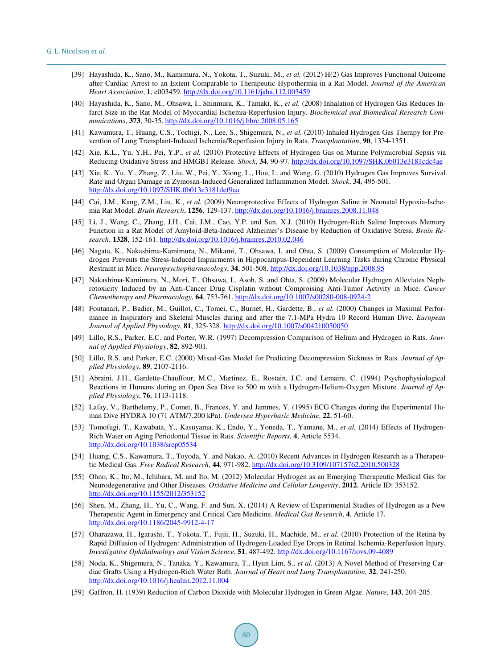- <span id="page-28-0"></span>[39] Hayashida, K., Sano, M., Kamimura, N., Yokota, T., Suzuki, M., *et al.* (2012) H(2) Gas Improves Functional Outcome after Cardiac Arrest to an Extent Comparable to Therapeutic Hypothermia in a Rat Model. *Journal of the American Heart Association*, **1**, e003459. <http://dx.doi.org/10.1161/jaha.112.003459>
- <span id="page-28-1"></span>[40] Hayashida, K., Sano, M., Ohsawa, I., Shinmura, K., Tamaki, K., *et al.* (2008) Inhalation of Hydrogen Gas Reduces Infarct Size in the Rat Model of Myocardial Ischemia-Reperfusion Injury. *Biochemical and Biomedical Research Communications*, **373**, 30-35[. http://dx.doi.org/10.1016/j.bbrc.2008.05.165](http://dx.doi.org/10.1016/j.bbrc.2008.05.165)
- <span id="page-28-2"></span>[41] Kawamura, T., Huang, C.S., Tochigi, N., Lee, S., Shigemura, N., *et al.* (2010) Inhaled Hydrogen Gas Therapy for Prevention of Lung Transplant-Induced Ischemia/Reperfusion Injury in Rats. *Transplantation*, **90**, 1334-1351.
- <span id="page-28-3"></span>[42] Xie, K.L., Yu, Y.H., Pei, Y.P., *et al.* (2010) Protective Effects of Hydrogen Gas on Murine Polymicrobial Sepsis via Reducing Oxidative Stress and HMGB1 Release. *Shock*, **34**, 90-97. <http://dx.doi.org/10.1097/SHK.0b013e3181cdc4ae>
- <span id="page-28-4"></span>[43] Xie, K., Yu, Y., Zhang, Z., Liu, W., Pei, Y., Xiong, L., Hou, L. and Wang, G. (2010) Hydrogen Gas Improves Survival Rate and Organ Damage in Zymosan-Induced Generalized Inflammation Model. *Shock*, **34**, 495-501. <http://dx.doi.org/10.1097/SHK.0b013e3181def9aa>
- <span id="page-28-5"></span>[44] Cai, J.M., Kang, Z.M., Liu, K., *et al.* (2009) Neuroprotective Effects of Hydrogen Saline in Neonatal Hypoxia-Ischemia Rat Model. *Brain Research*, **1256**, 129-137. <http://dx.doi.org/10.1016/j.brainres.2008.11.048>
- <span id="page-28-6"></span>[45] Li, J., Wang, C., Zhang, J.H., Cai, J.M., Cao, Y.P. and Sun, X.J. (2010) Hydrogen-Rich Saline Improves Memory Function in a Rat Model of Amyloid-Beta-Induced Alzheimer's Disease by Reduction of Oxidative Stress. *Brain Research*, **1328**, 152-161. <http://dx.doi.org/10.1016/j.brainres.2010.02.046>
- <span id="page-28-7"></span>[46] Nagata, K., Nakashima-Kamimura, N., Mikami, T., Ohsawa, I. and Ohta, S. (2009) Consumption of Molecular Hydrogen Prevents the Stress-Induced Impairments in Hippocampus-Dependent Learning Tasks during Chronic Physical Restraint in Mice. *Neuropsychopharmacology*, **34**, 501-508. <http://dx.doi.org/10.1038/npp.2008.95>
- <span id="page-28-8"></span>[47] Nakashima-Kamimura, N., Mori, T., Ohsawa, I., Asoh, S. and Ohta, S. (2009) Molecular Hydrogen Alleviates Nephrotoxicity Induced by an Anti-Cancer Drug Cisplatin without Comproising Anti-Tumor Activity in Mice. *Cancer Chemotherapy and Pharmacology*, **64**, 753-761. <http://dx.doi.org/10.1007/s00280-008-0924-2>
- <span id="page-28-9"></span>[48] Fontanari, P., Badier, M., Guillot, C., Tomei, C., Burnet, H., Gardette, B., *et al.* (2000) Changes in Maximal Performance in Inspiratory and Skeletal Muscles during and after the 7.1-MPa Hydra 10 Record Human Dive. *European Journal of Applied Physiology*, **81**, 325-328. <http://dx.doi.org/10.1007/s004210050050>
- [49] Lillo, R.S., Parker, E.C. and Porter, W.R. (1997) Decompression Comparison of Helium and Hydrogen in Rats. *Journal of Applied Physiology*, **82**, 892-901.
- <span id="page-28-10"></span>[50] Lillo, R.S. and Parker, E.C. (2000) Mixed-Gas Model for Predicting Decompression Sickness in Rats. *Journal of Applied Physiology*, **89**, 2107-2116.
- <span id="page-28-11"></span>[51] Abraini, J.H., Gardette-Chauffour, M.C., Martinez, E., Rostain, J.C. and Lemaire, C. (1994) Psychophysiological Reactions in Humans during an Open Sea Dive to 500 m with a Hydrogen-Helium-Oxygen Mixture*. Journal of Applied Physiology*, **76**, 1113-1118.
- <span id="page-28-12"></span>[52] Lafay, V., Barthelemy, P., Comet, B., Frances, Y. and Jammes, Y. (1995) ECG Changes during the Experimental Human Dive HYDRA 10 (71 ATM/7,200 kPa). *Undersea Hyperbaric Medicine*, **22**, 51-60.
- <span id="page-28-13"></span>[53] Tomofugi, T., Kawabata, Y., Kasuyama, K., Endo, Y., Yoneda, T., Yamane, M., *et al.* (2014) Effects of Hydrogen-Rich Water on Aging Periodontal Tissue in Rats. *Scientific Reports*, **4**, Article 5534. <http://dx.doi.org/10.1038/srep05534>
- <span id="page-28-14"></span>[54] Huang, C.S., Kawamura, T., Toyoda, Y. and Nakao, A. (2010) Recent Advances in Hydrogen Research as a Therapeutic Medical Gas. *Free Radical Research*, **44**, 971-982. <http://dx.doi.org/10.3109/10715762.2010.500328>
- <span id="page-28-16"></span>[55] Ohno, K., Ito, M., Ichihara, M. and Ito, M. (2012) Molecular Hydrogen as an Emerging Therapeutic Medical Gas for Neurodegenerative and Other Diseases. *Oxidative Medicine and Cellular Longevity*, **2012**, Article ID: 353152. <http://dx.doi.org/10.1155/2012/353152>
- <span id="page-28-15"></span>[56] Shen, M., Zhang, H., Yu, C., Wang, F. and Sun, X. (2014) A Review of Experimental Studies of Hydrogen as a New Therapeutic Agent in Emergency and Critical Care Medicine. *Medical Gas Research*, **4**, Article 17. <http://dx.doi.org/10.1186/2045-9912-4-17>
- <span id="page-28-17"></span>[57] Oharazawa, H., Igarashi, T., Yokota, T., Fujii, H., Suzuki, H., Machide, M., *et al.* (2010) Protection of the Retina by Rapid Diffusion of Hydrogen: Administration of Hydrogen-Loaded Eye Drops in Retinal Ischemia-Reperfusion Injury. *Investigative Ophthalmology and Vision Science*, **51**, 487-492. <http://dx.doi.org/10.1167/iovs.09-4089>
- <span id="page-28-19"></span>[58] Noda, K., Shigemura, N., Tanaka, Y., Kawamura, T., Hyun Lim, S., *et al.* (2013) A Novel Method of Preserving Cardiac Grafts Using a Hydrogen-Rich Water Bath. *Journal of Heart and Lung Transplantation*, **32**, 241-250. <http://dx.doi.org/10.1016/j.healun.2012.11.004>
- <span id="page-28-18"></span>[59] Gaffron, H. (1939) Reduction of Carbon Dioxide with Molecular Hydrogen in Green Algae. *Nature*, **143**, 204-205.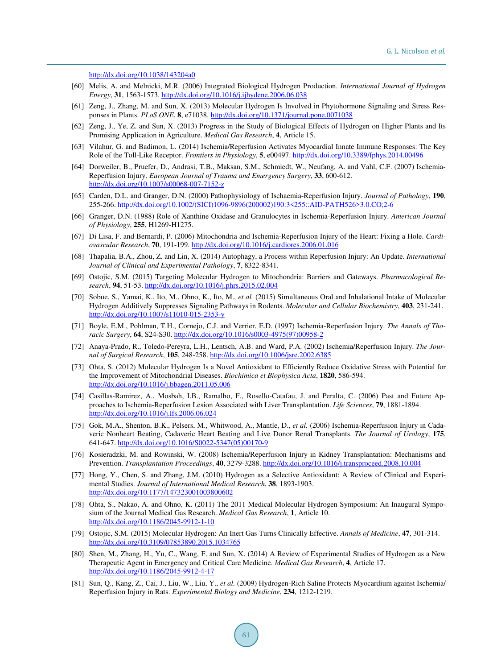```
http://dx.doi.org/10.1038/143204a0
```
- <span id="page-29-0"></span>[60] Melis, A. and Melnicki, M.R. (2006) Integrated Biological Hydrogen Production. *International Journal of Hydrogen Energy*, **31**, 1563-1573. <http://dx.doi.org/10.1016/j.ijhydene.2006.06.038>
- <span id="page-29-1"></span>[61] Zeng, J., Zhang, M. and Sun, X. (2013) Molecular Hydrogen Is Involved in Phytohormone Signaling and Stress Responses in Plants. *PLoS ONE*, **8**, e71038[. http://dx.doi.org/10.1371/journal.pone.0071038](http://dx.doi.org/10.1371/journal.pone.0071038)
- <span id="page-29-2"></span>[62] Zeng, J., Ye, Z. and Sun, X. (2013) Progress in the Study of Biological Effects of Hydrogen on Higher Plants and Its Promising Application in Agriculture. *Medical Gas Research*, **4**, Article 15.
- <span id="page-29-3"></span>[63] Vilahur, G. and Badimon, L. (2014) Ischemia/Reperfusion Activates Myocardial Innate Immune Responses: The Key Role of the Toll-Like Receptor. *Frontiers in Physiology*, **5**, e00497. <http://dx.doi.org/10.3389/fphys.2014.00496>
- [64] Dorweiler, B., Pruefer, D., Andrasi, T.B., Maksan, S.M., Schmiedt, W., Neufang, A. and Vahl, C.F. (2007) Ischemia-Reperfusion Injury. *European Journal of Trauma and Emergency Surgery*, **33**, 600-612. <http://dx.doi.org/10.1007/s00068-007-7152-z>
- [65] Carden, D.L. and Granger, D.N. (2000) Pathophysiology of Ischaemia-Reperfusion Injury. *Journal of Pathology*, **190**, 255-266. [http://dx.doi.org/10.1002/\(SICI\)1096-9896\(200002\)190:3<255::AID-PATH526>3.0.CO;2-6](http://dx.doi.org/10.1002/(SICI)1096-9896(200002)190:3%3C255::AID-PATH526%3E3.0.CO;2-6)
- [66] Granger, D.N. (1988) Role of Xanthine Oxidase and Granulocytes in Ischemia-Reperfusion Injury. *American Journal of Physiology*, **255**, H1269-H1275.
- <span id="page-29-5"></span>[67] Di Lisa, F. and Bernardi, P. (2006) Mitochondria and Ischemia-Reperfusion Injury of the Heart: Fixing a Hole. *Cardiovascular Research*, **70**, 191-199. <http://dx.doi.org/10.1016/j.cardiores.2006.01.016>
- <span id="page-29-4"></span>[68] Thapalia, B.A., Zhou, Z. and Lin, X. (2014) Autophagy, a Process within Reperfusion Injury: An Update. *International Journal of Clinical and Experimental Pathology*, **7**, 8322-8341.
- <span id="page-29-6"></span>[69] Ostojic, S.M. (2015) Targeting Molecular Hydrogen to Mitochondria: Barriers and Gateways. *Pharmacological Research*, **94**, 51-53[. http://dx.doi.org/10.1016/j.phrs.2015.02.004](http://dx.doi.org/10.1016/j.phrs.2015.02.004)
- <span id="page-29-7"></span>[70] Sobue, S., Yamai, K., Ito, M., Ohno, K., Ito, M., *et al.* (2015) Simultaneous Oral and Inhalational Intake of Molecular Hydrogen Additively Suppresses Signaling Pathways in Rodents. *Molecular and Cellular Biochemistry*, **403**, 231-241. <http://dx.doi.org/10.1007/s11010-015-2353-y>
- <span id="page-29-8"></span>[71] Boyle, E.M., Pohlman, T.H., Cornejo, C.J. and Verrier, E.D. (1997) Ischemia-Reperfusion Injury. *The Annals of Thoracic Surgery*, **64**, S24-S30. [http://dx.doi.org/10.1016/s0003-4975\(97\)00958-2](http://dx.doi.org/10.1016/s0003-4975(97)00958-2)
- <span id="page-29-9"></span>[72] Anaya-Prado, R., Toledo-Pereyra, L.H., Lentsch, A.B. and Ward, P.A. (2002) Ischemia/Reperfusion Injury. *The Journal of Surgical Research*, **105**, 248-258. <http://dx.doi.org/10.1006/jsre.2002.6385>
- <span id="page-29-10"></span>[73] Ohta, S. (2012) Molecular Hydrogen Is a Novel Antioxidant to Efficiently Reduce Oxidative Stress with Potential for the Improvement of Mitochondrial Diseases. *Biochimica et Biophysica Acta*, **1820**, 586-594. <http://dx.doi.org/10.1016/j.bbagen.2011.05.006>
- [74] Casillas-Ramirez, A., Mosbah, I.B., Ramalho, F., Rosello-Catafau, J. and Peralta, C. (2006) Past and Future Approaches to Ischemia-Reperfusion Lesion Associated with Liver Transplantation. *Life Sciences*, **79**, 1881-1894. <http://dx.doi.org/10.1016/j.lfs.2006.06.024>
- [75] Gok, M.A., Shenton, B.K., Pelsers, M., Whitwood, A., Mantle, D., *et al.* (2006) Ischemia-Reperfusion Injury in Cadaveric Nonheart Beating, Cadaveric Heart Beating and Live Donor Renal Transplants. *The Journal of Urology*, **175**, 641-647. [http://dx.doi.org/10.1016/S0022-5347\(05\)00170-9](http://dx.doi.org/10.1016/S0022-5347(05)00170-9)
- <span id="page-29-11"></span>[76] Kosieradzki, M. and Rowinski, W. (2008) Ischemia/Reperfusion Injury in Kidney Transplantation: Mechanisms and Prevention. *Transplantation Proceedings*, **40**, 3279-3288. <http://dx.doi.org/10.1016/j.transproceed.2008.10.004>
- <span id="page-29-12"></span>[77] Hong, Y., Chen, S. and Zhang, J.M. (2010) Hydrogen as a Selective Antioxidant: A Review of Clinical and Experimental Studies. *Journal of International Medical Research*, **38**, 1893-1903. <http://dx.doi.org/10.1177/147323001003800602>
- <span id="page-29-13"></span>[78] Ohta, S., Nakao, A. and Ohno, K. (2011) The 2011 Medical Molecular Hydrogen Symposium: An Inaugural Symposium of the Journal Medical Gas Research. *Medical Gas Research*, **1**, Article 10. <http://dx.doi.org/10.1186/2045-9912-1-10>
- <span id="page-29-14"></span>[79] Ostojic, S.M. (2015) Molecular Hydrogen: An Inert Gas Turns Clinically Effective. *Annals of Medicine*, **47**, 301-314. <http://dx.doi.org/10.3109/07853890.2015.1034765>
- <span id="page-29-15"></span>[80] Shen, M., Zhang, H., Yu, C., Wang, F. and Sun, X. (2014) A Review of Experimental Studies of Hydrogen as a New Therapeutic Agent in Emergency and Critical Care Medicine. *Medical Gas Research*, **4**, Article 17. <http://dx.doi.org/10.1186/2045-9912-4-17>
- [81] Sun, Q., Kang, Z., Cai, J., Liu, W., Liu, Y., *et al.* (2009) Hydrogen-Rich Saline Protects Myocardium against Ischemia/ Reperfusion Injury in Rats. *Experimental Biology and Medicine*, **234**, 1212-1219.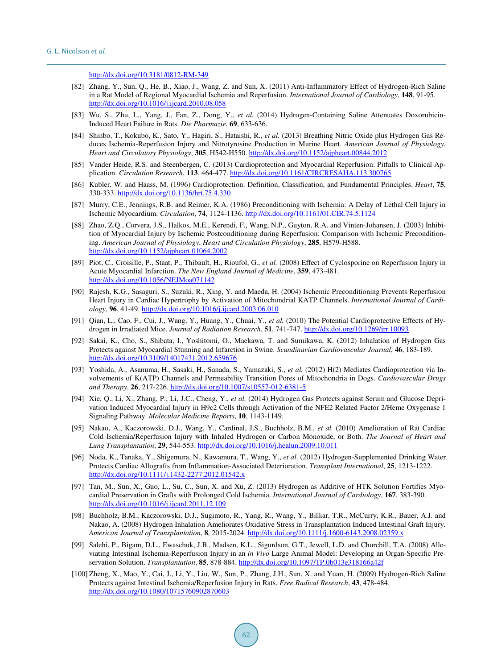<http://dx.doi.org/10.3181/0812-RM-349>

- <span id="page-30-0"></span>[82] Zhang, Y., Sun, Q., He, B., Xiao, J., Wang, Z. and Sun, X. (2011) Anti-Inflammatory Effect of Hydrogen-Rich Saline in a Rat Model of Regional Myocardial Ischemia and Reperfusion. *International Journal of Cardiology*, **148**, 91-95. <http://dx.doi.org/10.1016/j.ijcard.2010.08.058>
- <span id="page-30-1"></span>[83] Wu, S., Zhu, L., Yang, J., Fan, Z., Dong, Y., *et al.* (2014) Hydrogen-Containing Saline Attenuates Doxorubicin-Induced Heart Failure in Rats. *Die Pharmazie*, **69**, 633-636.
- <span id="page-30-2"></span>[84] Shinbo, T., Kokubo, K., Sato, Y., Hagiri, S., Hataishi, R., *et al.* (2013) Breathing Nitric Oxide plus Hydrogen Gas Reduces Ischemia-Reperfusion Injury and Nitrotyrosine Production in Murine Heart. *American Journal of Physiology*, *Heart and Circulatory Physiology*, **305**, H542-H550. <http://dx.doi.org/10.1152/ajpheart.00844.2012>
- <span id="page-30-3"></span>[85] Vander Heide, R.S. and Steenbergen, C. (2013) Cardioprotection and Myocardial Reperfusion: Pitfalls to Clinical Application. *Circulation Research*, **113**, 464-477. <http://dx.doi.org/10.1161/CIRCRESAHA.113.300765>
- <span id="page-30-4"></span>[86] Kubler, W. and Haass, M. (1996) Cardioprotection: Definition, Classification, and Fundamental Principles. *Heart*, **75**, 330-333. <http://dx.doi.org/10.1136/hrt.75.4.330>
- <span id="page-30-5"></span>[87] Murry, C.E., Jennings, R.B. and Reimer, K.A. (1986) Preconditioning with Ischemia: A Delay of Lethal Cell Injury in Ischemic Myocardium. *Circulation*, **74**, 1124-1136. <http://dx.doi.org/10.1161/01.CIR.74.5.1124>
- <span id="page-30-6"></span>[88] Zhao, Z.Q., Corvera, J.S., Halkos, M.E., Kerendi, F., Wang, N.P., Guyton, R.A. and Vinten-Johansen, J. (2003) Inhibition of Myocardial Injury by Ischemic Postconditioning during Reperfusion: Comparison with Ischemic Preconditioning. *American Journal of Physiology*, *Heart and Circulation Physiology*, **285**, H579-H588. <http://dx.doi.org/10.1152/ajpheart.01064.2002>
- <span id="page-30-7"></span>[89] Piot, C., Croisille, P., Staat, P., Thibault, H., Rioufol, G., *et al.* (2008) Effect of Cyclosporine on Reperfusion Injury in Acute Myocardial Infarction. *The New England Journal of Medicine*, **359**, 473-481. <http://dx.doi.org/10.1056/NEJMoa071142>
- <span id="page-30-8"></span>[90] Rajesh, K.G., Sasaguri, S., Suzuki, R., Xing, Y. and Maeda, H. (2004) Ischemic Preconditioning Prevents Reperfusion Heart Injury in Cardiac Hypertrophy by Activation of Mitochondrial KATP Channels. *International Journal of Cardiology*, **96**, 41-49. <http://dx.doi.org/10.1016/j.ijcard.2003.06.010>
- <span id="page-30-9"></span>[91] Qian, L., Cao, F., Cui, J., Wang, Y., Huang, Y., Chuai, Y., *et al.* (2010) The Potential Cardioprotective Effects of Hydrogen in Irradiated Mice. *Journal of Radiation Research*, **51**, 741-747. <http://dx.doi.org/10.1269/jrr.10093>
- <span id="page-30-12"></span>[92] Sakai, K., Cho, S., Shibata, I., Yoshitomi, O., Maekawa, T. and Sumikawa, K. (2012) Inhalation of Hydrogen Gas Protects against Myocardial Stunning and Infarction in Swine. *Scandinavian Cardiovascular Journal*, **46**, 183-189. <http://dx.doi.org/10.3109/14017431.2012.659676>
- <span id="page-30-10"></span>[93] Yoshida, A., Asanuma, H., Sasaki, H., Sanada, S., Yamazaki, S., *et al.* (2012) H(2) Mediates Cardioprotection via Involvements of K(ATP) Channels and Permeability Transition Pores of Mitochondria in Dogs. *Cardiovascular Drugs and Therapy*, **26**, 217-226. <http://dx.doi.org/10.1007/s10557-012-6381-5>
- <span id="page-30-11"></span>[94] Xie, Q., Li, X., Zhang, P., Li, J.C., Cheng, Y., *et al.* (2014) Hydrogen Gas Protects against Serum and Glucose Deprivation Induced Myocardial Injury in H9c2 Cells through Activation of the NFE2 Related Factor 2/Heme Oxygenase 1 Signaling Pathway. *Molecular Medicine Reports*, **10**, 1143-1149.
- <span id="page-30-13"></span>[95] Nakao, A., Kaczorowski, D.J., Wang, Y., Cardinal, J.S., Buchholz, B.M., *et al.* (2010) Amelioration of Rat Cardiac Cold Ischemia/Reperfusion Injury with Inhaled Hydrogen or Carbon Monoxide, or Both. *The Journal of Heart and Lung Transplantation*, **29**, 544-553. <http://dx.doi.org/10.1016/j.healun.2009.10.011>
- <span id="page-30-14"></span>[96] Noda, K., Tanaka, Y., Shigemura, N., Kawamura, T., Wang, Y., *et al.* (2012) Hydrogen-Supplemented Drinking Water Protects Cardiac Allografts from Inflammation-Associated Deterioration. *Transplant International*, **25**, 1213-1222. <http://dx.doi.org/10.1111/j.1432-2277.2012.01542.x>
- <span id="page-30-15"></span>[97] Tan, M., Sun, X., Guo, L., Su, C., Sun, X. and Xu, Z. (2013) Hydrogen as Additive of HTK Solution Fortifies Mvocardial Preservation in Grafts with Prolonged Cold Ischemia. *International Journal of Cardiology*, **167**, 383-390. <http://dx.doi.org/10.1016/j.ijcard.2011.12.109>
- <span id="page-30-16"></span>[98] Buchholz, B.M., Kaczorowski, D.J., Sugimoto, R., Yang, R., Wang, Y., Billiar, T.R., McCurry, K.R., Bauer, A.J. and Nakao, A. (2008) Hydrogen Inhalation Ameliorates Oxidative Stress in Transplantation Induced Intestinal Graft Injury. *American Journal of Transplantation*, **8**, 2015-2024. <http://dx.doi.org/10.1111/j.1600-6143.2008.02359.x>
- [99] Salehi, P., Bigam, D.L., Ewaschuk, J.B., Madsen, K.L., Sigurdson, G.T., Jewell, L.D. and Churchill, T.A. (2008) Alleviating Intestinal Ischemia-Reperfusion Injury in an *in Vivo* Large Animal Model: Developing an Organ-Specific Preservation Solution. *Transplantation*, **85**, 878-884. <http://dx.doi.org/10.1097/TP.0b013e318166a42f>
- [100] Zheng, X., Mao, Y., Cai, J., Li, Y., Liu, W., Sun, P., Zhang, J.H., Sun, X. and Yuan, H. (2009) Hydrogen-Rich Saline Protects against Intestinal Ischemia/Reperfusion Injury in Rats. *Free Radical Research*, **43**, 478-484. <http://dx.doi.org/10.1080/10715760902870603>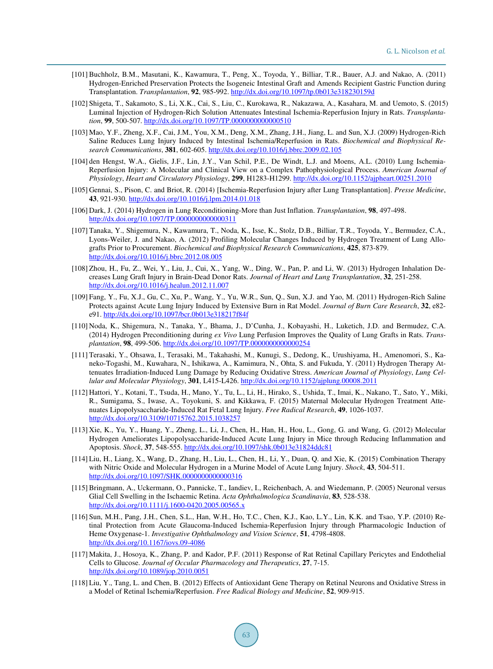- <span id="page-31-0"></span>[101] Buchholz, B.M., Masutani, K., Kawamura, T., Peng, X., Toyoda, Y., Billiar, T.R., Bauer, A.J. and Nakao, A. (2011) Hydrogen-Enriched Preservation Protects the Isogeneic Intestinal Graft and Amends Recipient Gastric Function during Transplantation. *Transplantation*, **92**, 985-992. <http://dx.doi.org/10.1097/tp.0b013e318230159d>
- <span id="page-31-1"></span>[102] Shigeta, T., Sakamoto, S., Li, X.K., Cai, S., Liu, C., Kurokawa, R., Nakazawa, A., Kasahara, M. and Uemoto, S. (2015) Luminal Injection of Hydrogen-Rich Solution Attenuates Intestinal Ischemia-Reperfusion Injury in Rats. *Transplantation*, **99**, 500-507. <http://dx.doi.org/10.1097/TP.0000000000000510>
- <span id="page-31-2"></span>[103] Mao, Y.F., Zheng, X.F., Cai, J.M., You, X.M., Deng, X.M., Zhang, J.H., Jiang, L. and Sun, X.J. (2009) Hydrogen-Rich Saline Reduces Lung Injury Induced by Intestinal Ischemia/Reperfusion in Rats. *Biochemical and Biophysical Research Communications*, **381**, 602-605. <http://dx.doi.org/10.1016/j.bbrc.2009.02.105>
- <span id="page-31-3"></span>[104] den Hengst, W.A., Gielis, J.F., Lin, J.Y., Van Schil, P.E., De Windt, L.J. and Moens, A.L. (2010) Lung Ischemia-Reperfusion Injury: A Molecular and Clinical View on a Complex Pathophysiological Process. *American Journal of Physiology*, *Heart and Circulatory Physiology*, **299**, H1283-H1299. <http://dx.doi.org/10.1152/ajpheart.00251.2010>
- <span id="page-31-4"></span>[105] Gennai, S., Pison, C. and Briot, R. (2014) [Ischemia-Reperfusion Injury after Lung Transplantation]. *Presse Medicine*, **43**, 921-930. <http://dx.doi.org/10.1016/j.lpm.2014.01.018>
- <span id="page-31-5"></span>[106] Dark, J. (2014) Hydrogen in Lung Reconditioning-More than Just Inflation. *Transplantation*, **98**, 497-498. <http://dx.doi.org/10.1097/TP.0000000000000311>
- [107] Tanaka, Y., Shigemura, N., Kawamura, T., Noda, K., Isse, K., Stolz, D.B., Billiar, T.R., Toyoda, Y., Bermudez, C.A., Lyons-Weiler, J. and Nakao, A. (2012) Profiling Molecular Changes Induced by Hydrogen Treatment of Lung Allografts Prior to Procurement. *Biochemical and Biophysical Research Communications*, **425**, 873-879. <http://dx.doi.org/10.1016/j.bbrc.2012.08.005>
- [108] Zhou, H., Fu, Z., Wei, Y., Liu, J., Cui, X., Yang, W., Ding, W., Pan, P. and Li, W. (2013) Hydrogen Inhalation Decreases Lung Graft Injury in Brain-Dead Donor Rats. *Journal of Heart and Lung Transplantation*, **32**, 251-258. <http://dx.doi.org/10.1016/j.healun.2012.11.007>
- <span id="page-31-14"></span>[109] Fang, Y., Fu, X.J., Gu, C., Xu, P., Wang, Y., Yu, W.R., Sun, Q., Sun, X.J. and Yao, M. (2011) Hydrogen-Rich Saline Protects against Acute Lung Injury Induced by Extensive Burn in Rat Model. *Journal of Burn Care Research*, **32**, e82 e91. <http://dx.doi.org/10.1097/bcr.0b013e318217f84f>
- <span id="page-31-6"></span>[110] Noda, K., Shigemura, N., Tanaka, Y., Bhama, J., D'Cunha, J., Kobayashi, H., Luketich, J.D. and Bermudez, C.A. (2014) Hydrogen Preconditioning during *ex Vivo* Lung Perfusion Improves the Quality of Lung Grafts in Rats. *Transplantation*, **98**, 499-506. <http://dx.doi.org/10.1097/TP.0000000000000254>
- <span id="page-31-7"></span>[111] Terasaki, Y., Ohsawa, I., Terasaki, M., Takahashi, M., Kunugi, S., Dedong, K., Urushiyama, H., Amenomori, S., Kaneko-Togashi, M., Kuwahara, N., Ishikawa, A., Kamimura, N., Ohta, S. and Fukuda, Y. (2011) Hydrogen Therapy Attenuates Irradiation-Induced Lung Damage by Reducing Oxidative Stress. *American Journal of Physiology*, *Lung Cellular and Molecular Physiology*, **301**, L415-L426. <http://dx.doi.org/10.1152/ajplung.00008.2011>
- <span id="page-31-8"></span>[112] Hattori, Y., Kotani, T., Tsuda, H., Mano, Y., Tu, L., Li, H., Hirako, S., Ushida, T., Imai, K., Nakano, T., Sato, Y., Miki, R., Sumigama, S., Iwase, A., Toyokuni, S. and Kikkawa, F. (2015) Maternal Molecular Hydrogen Treatment Attenuates Lipopolysaccharide-Induced Rat Fetal Lung Injury. *Free Radical Research*, **49**, 1026-1037. <http://dx.doi.org/10.3109/10715762.2015.1038257>
- <span id="page-31-9"></span>[113] Xie, K., Yu, Y., Huang, Y., Zheng, L., Li, J., Chen, H., Han, H., Hou, L., Gong, G. and Wang, G. (2012) Molecular Hydrogen Ameliorates Lipopolysaccharide-Induced Acute Lung Injury in Mice through Reducing Inflammation and Apoptosis. *Shock*, **37**, 548-555. <http://dx.doi.org/10.1097/shk.0b013e31824ddc81>
- <span id="page-31-10"></span>[114] Liu, H., Liang, X., Wang, D., Zhang, H., Liu, L., Chen, H., Li, Y., Duan, Q. and Xie, K. (2015) Combination Therapy with Nitric Oxide and Molecular Hydrogen in a Murine Model of Acute Lung Injury. *Shock*, **43**, 504-511. <http://dx.doi.org/10.1097/SHK.0000000000000316>
- <span id="page-31-11"></span>[115] Bringmann, A., Uckermann, O., Pannicke, T., Iandiev, I., Reichenbach, A. and Wiedemann, P. (2005) Neuronal versus Glial Cell Swelling in the Ischaemic Retina. *Acta Ophthalmologica Scandinavia*, **83**, 528-538. <http://dx.doi.org/10.1111/j.1600-0420.2005.00565.x>
- [116] Sun, M.H., Pang, J.H., Chen, S.L., Han, W.H., Ho, T.C., Chen, K.J., Kao, L.Y., Lin, K.K. and Tsao, Y.P. (2010) Retinal Protection from Acute Glaucoma-Induced Ischemia-Reperfusion Injury through Pharmacologic Induction of Heme Oxygenase-1. *Investigative Ophthalmology and Vision Science*, **51**, 4798-4808. <http://dx.doi.org/10.1167/iovs.09-4086>
- <span id="page-31-12"></span>[117] Makita, J., Hosoya, K., Zhang, P. and Kador, P.F. (2011) Response of Rat Retinal Capillary Pericytes and Endothelial Cells to Glucose. *Journal of Occular Pharmacology and Therapeutics*, **27**, 7-15. <http://dx.doi.org/10.1089/jop.2010.0051>
- <span id="page-31-13"></span>[118] Liu, Y., Tang, L. and Chen, B. (2012) Effects of Antioxidant Gene Therapy on Retinal Neurons and Oxidative Stress in a Model of Retinal Ischemia/Reperfusion. *Free Radical Biology and Medicine*, **52**, 909-915.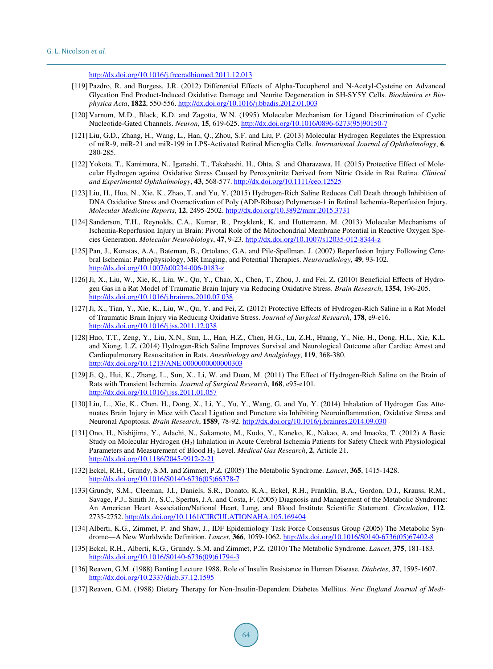<http://dx.doi.org/10.1016/j.freeradbiomed.2011.12.013>

- <span id="page-32-0"></span>[119] Pazdro, R. and Burgess, J.R. (2012) Differential Effects of Alpha-Tocopherol and N-Acetyl-Cysteine on Advanced Glycation End Product-Induced Oxidative Damage and Neurite Degeneration in SH-SY5Y Cells. *Biochimica et Biophysica Acta*, **1822**, 550-556. <http://dx.doi.org/10.1016/j.bbadis.2012.01.003>
- <span id="page-32-1"></span>[120] Varnum, M.D., Black, K.D. and Zagotta, W.N. (1995) Molecular Mechanism for Ligand Discrimination of Cyclic Nucleotide-Gated Channels. *Neuron*, **15**, 619-625. [http://dx.doi.org/10.1016/0896-6273\(95\)90150-7](http://dx.doi.org/10.1016/0896-6273(95)90150-7)
- <span id="page-32-15"></span>[121] Liu, G.D., Zhang, H., Wang, L., Han, Q., Zhou, S.F. and Liu, P. (2013) Molecular Hydrogen Regulates the Expression of miR-9, miR-21 and miR-199 in LPS-Activated Retinal Microglia Cells. *International Journal of Ophthalmology*, **6**, 280-285.
- <span id="page-32-16"></span>[122] Yokota, T., Kamimura, N., Igarashi, T., Takahashi, H., Ohta, S. and Oharazawa, H. (2015) Protective Effect of Molecular Hydrogen against Oxidative Stress Caused by Peroxynitrite Derived from Nitric Oxide in Rat Retina. *Clinical and Experimental Ophthalmology*, **43**, 568-577. <http://dx.doi.org/10.1111/ceo.12525>
- <span id="page-32-2"></span>[123] Liu, H., Hua, N., Xie, K., Zhao, T. and Yu, Y. (2015) Hydrogen-Rich Saline Reduces Cell Death through Inhibition of DNA Oxidative Stress and Overactivation of Poly (ADP-Ribose) Polymerase-1 in Retinal Ischemia-Reperfusion Injury. *Molecular Medicine Reports*, **12**, 2495-2502. <http://dx.doi.org/10.3892/mmr.2015.3731>
- <span id="page-32-3"></span>[124] Sanderson, T.H., Reynolds, C.A., Kumar, R., Przyklenk, K. and Huttemann, M. (2013) Molecular Mechanisms of Ischemia-Reperfusion Injury in Brain: Pivotal Role of the Mitochondrial Membrane Potential in Reactive Oxygen Species Generation. *Molecular Neurobiology*, **47**, 9-23. <http://dx.doi.org/10.1007/s12035-012-8344-z>
- <span id="page-32-4"></span>[125] Pan, J., Konstas, A.A., Bateman, B., Ortolano, G.A. and Pile-Spellman, J. (2007) Reperfusion Injury Following Cerebral Ischemia: Pathophysiology, MR Imaging, and Potential Therapies. *Neuroradiology*, **49**, 93-102. <http://dx.doi.org/10.1007/s00234-006-0183-z>
- <span id="page-32-5"></span>[126]Ji, X., Liu, W., Xie, K., Liu, W., Qu, Y., Chao, X., Chen, T., Zhou, J. and Fei, Z. (2010) Beneficial Effects of Hydrogen Gas in a Rat Model of Traumatic Brain Injury via Reducing Oxidative Stress. *Brain Research*, **1354**, 196-205. <http://dx.doi.org/10.1016/j.brainres.2010.07.038>
- <span id="page-32-6"></span>[127]Ji, X., Tian, Y., Xie, K., Liu, W., Qu, Y. and Fei, Z. (2012) Protective Effects of Hydrogen-Rich Saline in a Rat Model of Traumatic Brain Injury via Reducing Oxidative Stress. *Journal of Surgical Research*, **178**, e9-e16. <http://dx.doi.org/10.1016/j.jss.2011.12.038>
- <span id="page-32-7"></span>[128] Huo, T.T., Zeng, Y., Liu, X.N., Sun, L., Han, H.Z., Chen, H.G., Lu, Z.H., Huang, Y., Nie, H., Dong, H.L., Xie, K.L. and Xiong, L.Z. (2014) Hydrogen-Rich Saline Improves Survival and Neurological Outcome after Cardiac Arrest and Cardiopulmonary Resuscitation in Rats. *Anesthiology and Analgiology*, **119**, 368-380. <http://dx.doi.org/10.1213/ANE.0000000000000303>
- <span id="page-32-8"></span>[129]Ji, Q., Hui, K., Zhang, L., Sun, X., Li, W. and Duan, M. (2011) The Effect of Hydrogen-Rich Saline on the Brain of Rats with Transient Ischemia. *Journal of Surgical Research*, **168**, e95-e101. <http://dx.doi.org/10.1016/j.jss.2011.01.057>
- <span id="page-32-9"></span>[130] Liu, L., Xie, K., Chen, H., Dong, X., Li, Y., Yu, Y., Wang, G. and Yu, Y. (2014) Inhalation of Hydrogen Gas Attenuates Brain Injury in Mice with Cecal Ligation and Puncture via Inhibiting Neuroinflammation, Oxidative Stress and Neuronal Apoptosis. *Brain Research*, **1589**, 78-92. <http://dx.doi.org/10.1016/j.brainres.2014.09.030>
- <span id="page-32-10"></span>[131] Ono, H., Nishijima, Y., Adachi, N., Sakamoto, M., Kudo, Y., Kaneko, K., Nakao, A. and Imaoka, T. (2012) A Basic Study on Molecular Hydrogen (H<sub>2</sub>) Inhalation in Acute Cerebral Ischemia Patients for Safety Check with Physiological Parameters and Measurement of Blood H<sup>2</sup> Level. *Medical Gas Research*, **2**, Article 21. <http://dx.doi.org/10.1186/2045-9912-2-21>
- <span id="page-32-11"></span>[132] Eckel, R.H., Grundy, S.M. and Zimmet, P.Z. (2005) The Metabolic Syndrome. *Lancet*, **365**, 1415-1428. [http://dx.doi.org/10.1016/S0140-6736\(05\)66378-7](http://dx.doi.org/10.1016/S0140-6736(05)66378-7)
- [133] Grundy, S.M., Cleeman, J.I., Daniels, S.R., Donato, K.A., Eckel, R.H., Franklin, B.A., Gordon, D.J., Krauss, R.M., Savage, P.J., Smith Jr., S.C., Spertus, J.A. and Costa, F. (2005) Diagnosis and Management of the Metabolic Syndrome: An American Heart Association/National Heart, Lung, and Blood Institute Scientific Statement. *Circulation*, **112**, 2735-2752. <http://dx.doi.org/10.1161/CIRCULATIONAHA.105.169404>
- [134] Alberti, K.G., Zimmet, P. and Shaw, J., IDF Epidemiology Task Force Consensus Group (2005) The Metabolic Syndrome—A New Worldwide Definition. *Lancet*, **366**, 1059-1062. [http://dx.doi.org/10.1016/S0140-6736\(05\)67402-8](http://dx.doi.org/10.1016/S0140-6736(05)67402-8)
- <span id="page-32-12"></span>[135] Eckel, R.H., Alberti, K.G., Grundy, S.M. and Zimmet, P.Z. (2010) The Metabolic Syndrome. *Lancet*, **375**, 181-183. [http://dx.doi.org/10.1016/S0140-6736\(09\)61794-3](http://dx.doi.org/10.1016/S0140-6736(09)61794-3)
- <span id="page-32-13"></span>[136] Reaven, G.M. (1988) Banting Lecture 1988. Role of Insulin Resistance in Human Disease. *Diabetes*, **37**, 1595-1607. <http://dx.doi.org/10.2337/diab.37.12.1595>
- <span id="page-32-14"></span>[137] Reaven, G.M. (1988) Dietary Therapy for Non-Insulin-Dependent Diabetes Mellitus. *New England Journal of Medi-*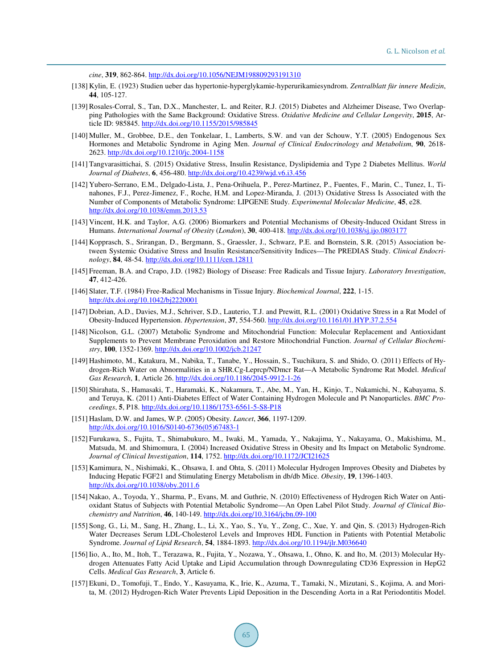*cine*, **319**, 862-864. <http://dx.doi.org/10.1056/NEJM198809293191310>

- <span id="page-33-0"></span>[138] Kylin, E. (1923) Studien ueber das hypertonie-hyperglykamie-hyperurikamiesyndrom. *Zentralblatt für innere Medizin*, **44**, 105-127.
- <span id="page-33-1"></span>[139] Rosales-Corral, S., Tan, D.X., Manchester, L. and Reiter, R.J. (2015) Diabetes and Alzheimer Disease, Two Overlapping Pathologies with the Same Background: Oxidative Stress. *Oxidative Medicine and Cellular Longevity*, **2015**, Article ID: 985845. <http://dx.doi.org/10.1155/2015/985845>
- <span id="page-33-2"></span>[140] Muller, M., Grobbee, D.E., den Tonkelaar, I., Lamberts, S.W. and van der Schouw, Y.T. (2005) Endogenous Sex Hormones and Metabolic Syndrome in Aging Men. *Journal of Clinical Endocrinology and Metabolism*, **90**, 2618- 2623. <http://dx.doi.org/10.1210/jc.2004-1158>
- <span id="page-33-3"></span>[141] Tangvarasittichai, S. (2015) Oxidative Stress, Insulin Resistance, Dyslipidemia and Type 2 Diabetes Mellitus. *World Journal of Diabetes*, **6**, 456-480. <http://dx.doi.org/10.4239/wjd.v6.i3.456>
- <span id="page-33-4"></span>[142] Yubero-Serrano, E.M., Delgado-Lista, J., Pena-Orihuela, P., Perez-Martinez, P., Fuentes, F., Marin, C., Tunez, I., Tinahones, F.J., Perez-Jimenez, F., Roche, H.M. and Lopez-Miranda, J. (2013) Oxidative Stress Is Associated with the Number of Components of Metabolic Syndrome: LIPGENE Study. *Experimental Molecular Medicine*, **45**, e28. <http://dx.doi.org/10.1038/emm.2013.53>
- <span id="page-33-5"></span>[143] Vincent, H.K. and Taylor, A.G. (2006) Biomarkers and Potential Mechanisms of Obesity-Induced Oxidant Stress in Humans. *International Journal of Obesity* (*London*), **30**, 400-418. <http://dx.doi.org/10.1038/sj.ijo.0803177>
- <span id="page-33-6"></span>[144] Kopprasch, S., Srirangan, D., Bergmann, S., Graessler, J., Schwarz, P.E. and Bornstein, S.R. (2015) Association between Systemic Oxidative Stress and Insulin Resistance/Sensitivity Indices—The PREDIAS Study. *Clinical Endocrinology*, **84**, 48-54. <http://dx.doi.org/10.1111/cen.12811>
- <span id="page-33-7"></span>[145] Freeman, B.A. and Crapo, J.D. (1982) Biology of Disease: Free Radicals and Tissue Injury. *Laboratory Investigation*, **47**, 412-426.
- <span id="page-33-8"></span>[146] Slater, T.F. (1984) Free-Radical Mechanisms in Tissue Injury. *Biochemical Journal*, **222**, 1-15. <http://dx.doi.org/10.1042/bj2220001>
- <span id="page-33-9"></span>[147] Dobrian, A.D., Davies, M.J., Schriver, S.D., Lauterio, T.J. and Prewitt, R.L. (2001) Oxidative Stress in a Rat Model of Obesity-Induced Hypertension. *Hypertension*, **37**, 554-560. <http://dx.doi.org/10.1161/01.HYP.37.2.554>
- <span id="page-33-10"></span>[148] Nicolson, G.L. (2007) Metabolic Syndrome and Mitochondrial Function: Molecular Replacement and Antioxidant Supplements to Prevent Membrane Peroxidation and Restore Mitochondrial Function. *Journal of Cellular Biochemistry*, **100**, 1352-1369. <http://dx.doi.org/10.1002/jcb.21247>
- <span id="page-33-11"></span>[149] Hashimoto, M., Katakura, M., Nabika, T., Tanabe, Y., Hossain, S., Tsuchikura, S. and Shido, O. (2011) Effects of Hydrogen-Rich Water on Abnormalities in a SHR.Cg-Leprcp/NDmcr Rat—A Metabolic Syndrome Rat Model. *Medical Gas Research*, **1**, Article 26. <http://dx.doi.org/10.1186/2045-9912-1-26>
- <span id="page-33-12"></span>[150] Shirahata, S., Hamasaki, T., Haramaki, K., Nakamura, T., Abe, M., Yan, H., Kinjo, T., Nakamichi, N., Kabayama, S. and Teruya, K. (2011) Anti-Diabetes Effect of Water Containing Hydrogen Molecule and Pt Nanoparticles. *BMC Proceedings*, **5**, P18. <http://dx.doi.org/10.1186/1753-6561-5-S8-P18>
- <span id="page-33-13"></span>[151] Haslam, D.W. and James, W.P. (2005) Obesity. *Lancet*, **366**, 1197-1209. [http://dx.doi.org/10.1016/S0140-6736\(05\)67483-1](http://dx.doi.org/10.1016/S0140-6736(05)67483-1)
- <span id="page-33-14"></span>[152] Furukawa, S., Fujita, T., Shimabukuro, M., Iwaki, M., Yamada, Y., Nakajima, Y., Nakayama, O., Makishima, M., Matsuda, M. and Shimomura, I. (2004) Increased Oxidative Stress in Obesity and Its Impact on Metabolic Syndrome. *Journal of Clinical Investigation*, **114**, 1752[. http://dx.doi.org/10.1172/JCI21625](http://dx.doi.org/10.1172/JCI21625)
- <span id="page-33-15"></span>[153] Kamimura, N., Nishimaki, K., Ohsawa, I. and Ohta, S. (2011) Molecular Hydrogen Improves Obesity and Diabetes by Inducing Hepatic FGF21 and Stimulating Energy Metabolism in db/db Mice. *Obesity*, **19**, 1396-1403. <http://dx.doi.org/10.1038/oby.2011.6>
- <span id="page-33-16"></span>[154] Nakao, A., Toyoda, Y., Sharma, P., Evans, M. and Guthrie, N. (2010) Effectiveness of Hydrogen Rich Water on Antioxidant Status of Subjects with Potential Metabolic Syndrome—An Open Label Pilot Study. *Journal of Clinical Biochemistry and Nutrition*, **46**, 140-149. <http://dx.doi.org/10.3164/jcbn.09-100>
- <span id="page-33-17"></span>[155] Song, G., Li, M., Sang, H., Zhang, L., Li, X., Yao, S., Yu, Y., Zong, C., Xue, Y. and Qin, S. (2013) Hydrogen-Rich Water Decreases Serum LDL-Cholesterol Levels and Improves HDL Function in Patients with Potential Metabolic Syndrome. *Journal of Lipid Research*, 54, 1884-1893. <http://dx.doi.org/10.1194/jlr.M036640>
- <span id="page-33-18"></span>[156] Iio, A., Ito, M., Itoh, T., Terazawa, R., Fujita, Y., Nozawa, Y., Ohsawa, I., Ohno, K. and Ito, M. (2013) Molecular Hydrogen Attenuates Fatty Acid Uptake and Lipid Accumulation through Downregulating CD36 Expression in HepG2 Cells. *Medical Gas Research*, **3**, Article 6.
- <span id="page-33-19"></span>[157] Ekuni, D., Tomofuji, T., Endo, Y., Kasuyama, K., Irie, K., Azuma, T., Tamaki, N., Mizutani, S., Kojima, A. and Morita, M. (2012) Hydrogen-Rich Water Prevents Lipid Deposition in the Descending Aorta in a Rat Periodontitis Model.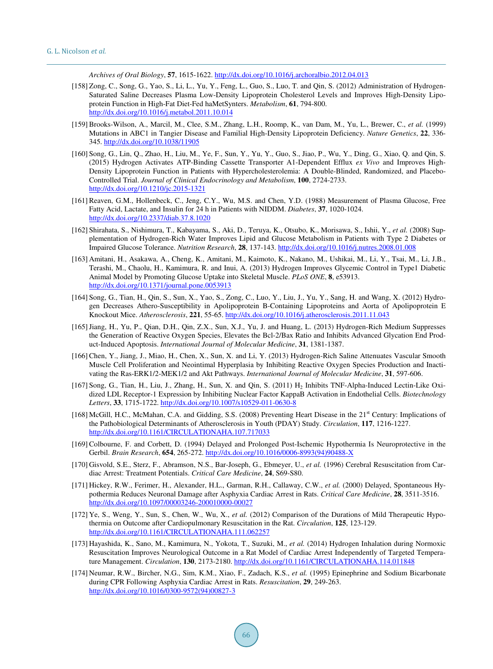*Archives of Oral Biology*, **57**, 1615-1622. <http://dx.doi.org/10.1016/j.archoralbio.2012.04.013>

- <span id="page-34-0"></span>[158] Zong, C., Song, G., Yao, S., Li, L., Yu, Y., Feng, L., Guo, S., Luo, T. and Qin, S. (2012) Administration of Hydrogen-Saturated Saline Decreases Plasma Low-Density Lipoprotein Cholesterol Levels and Improves High-Density Lipoprotein Function in High-Fat Diet-Fed haMetSynters. *Metabolism*, **61**, 794-800. <http://dx.doi.org/10.1016/j.metabol.2011.10.014>
- <span id="page-34-1"></span>[159] Brooks-Wilson, A., Marcil, M., Clee, S.M., Zhang, L.H., Roomp, K., van Dam, M., Yu, L., Brewer, C., *et al.* (1999) Mutations in ABC1 in Tangier Disease and Familial High-Density Lipoprotein Deficiency. *Nature Genetics*, **22**, 336- 345. <http://dx.doi.org/10.1038/11905>
- <span id="page-34-2"></span>[160] Song, G., Lin, Q., Zhao, H., Liu, M., Ye, F., Sun, Y., Yu, Y., Guo, S., Jiao, P., Wu, Y., Ding, G., Xiao, Q. and Qin, S. (2015) Hydrogen Activates ATP-Binding Cassette Transporter A1-Dependent Efflux *ex Vivo* and Improves High-Density Lipoprotein Function in Patients with Hypercholesterolemia: A Double-Blinded, Randomized, and Placebo-Controlled Trial. *Journal of Clinical Endocrinology and Metabolism*, **100**, 2724-2733. <http://dx.doi.org/10.1210/jc.2015-1321>
- <span id="page-34-3"></span>[161] Reaven, G.M., Hollenbeck, C., Jeng, C.Y., Wu, M.S. and Chen, Y.D. (1988) Measurement of Plasma Glucose, Free Fatty Acid, Lactate, and Insulin for 24 h in Patients with NIDDM. *Diabetes*, **37**, 1020-1024. <http://dx.doi.org/10.2337/diab.37.8.1020>
- <span id="page-34-4"></span>[162] Shirahata, S., Nishimura, T., Kabayama, S., Aki, D., Teruya, K., Otsubo, K., Morisawa, S., Ishii, Y., *et al.* (2008) Supplementation of Hydrogen-Rich Water Improves Lipid and Glucose Metabolism in Patients with Type 2 Diabetes or Impaired Glucose Tolerance. *Nutrition Research*, **28**, 137-143. <http://dx.doi.org/10.1016/j.nutres.2008.01.008>
- <span id="page-34-5"></span>[163] Amitani, H., Asakawa, A., Cheng, K., Amitani, M., Kaimoto, K., Nakano, M., Ushikai, M., Li, Y., Tsai, M., Li, J.B., Terashi, M., Chaolu, H., Kamimura, R. and Inui, A. (2013) Hydrogen Improves Glycemic Control in Type1 Diabetic Animal Model by Promoting Glucose Uptake into Skeletal Muscle. *PLoS ONE*, **8**, e53913. <http://dx.doi.org/10.1371/journal.pone.0053913>
- <span id="page-34-6"></span>[164] Song, G., Tian, H., Qin, S., Sun, X., Yao, S., Zong, C., Luo, Y., Liu, J., Yu, Y., Sang, H. and Wang, X. (2012) Hydrogen Decreases Athero-Susceptibility in Apolipoprotein B-Containing Lipoproteins and Aorta of Apolipoprotein E Knockout Mice. *Atherosclerosis*, **221**, 55-65. <http://dx.doi.org/10.1016/j.atherosclerosis.2011.11.043>
- <span id="page-34-7"></span>[165]Jiang, H., Yu, P., Qian, D.H., Qin, Z.X., Sun, X.J., Yu, J. and Huang, L. (2013) Hydrogen-Rich Medium Suppresses the Generation of Reactive Oxygen Species, Elevates the Bcl-2/Bax Ratio and Inhibits Advanced Glycation End Product-Induced Apoptosis. *International Journal of Molecular Medicine*, **31**, 1381-1387.
- [166] Chen, Y., Jiang, J., Miao, H., Chen, X., Sun, X. and Li, Y. (2013) Hydrogen-Rich Saline Attenuates Vascular Smooth Muscle Cell Proliferation and Neointimal Hyperplasia by Inhibiting Reactive Oxygen Species Production and Inactivating the Ras-ERK1/2-MEK1/2 and Akt Pathways. *International Journal of Molecular Medicine*, **31**, 597-606.
- <span id="page-34-8"></span>[167] Song, G., Tian, H., Liu, J., Zhang, H., Sun, X. and Qin, S. (2011)  $H_2$  Inhibits TNF-Alpha-Induced Lectin-Like Oxidized LDL Receptor-1 Expression by Inhibiting Nuclear Factor KappaB Activation in Endothelial Cells. *Biotechnology Letters*, **33**, 1715-1722. <http://dx.doi.org/10.1007/s10529-011-0630-8>
- <span id="page-34-9"></span>[168] McGill, H.C., McMahan, C.A. and Gidding, S.S. (2008) Preventing Heart Disease in the 21<sup>st</sup> Century: Implications of the Pathobiological Determinants of Atherosclerosis in Youth (PDAY) Study. *Circulation*, **117**, 1216-1227. <http://dx.doi.org/10.1161/CIRCULATIONAHA.107.717033>
- <span id="page-34-10"></span>[169] Colbourne, F. and Corbett, D. (1994) Delayed and Prolonged Post-Ischemic Hypothermia Is Neuroprotective in the Gerbil. *Brain Research*, **654**, 265-272. [http://dx.doi.org/10.1016/0006-8993\(94\)90488-X](http://dx.doi.org/10.1016/0006-8993(94)90488-X)
- [170] Gisvold, S.E., Sterz, F., Abramson, N.S., Bar-Joseph, G., Ebmeyer, U., *et al.* (1996) Cerebral Resuscitation from Cardiac Arrest: Treatment Potentials. *Critical Care Medicine*, **24**, S69-S80.
- <span id="page-34-11"></span>[171] Hickey, R.W., Ferimer, H., Alexander, H.L., Garman, R.H., Callaway, C.W., *et al.* (2000) Delayed, Spontaneous Hypothermia Reduces Neuronal Damage after Asphyxia Cardiac Arrest in Rats. *Critical Care Medicine*, **28**, 3511-3516. <http://dx.doi.org/10.1097/00003246-200010000-00027>
- <span id="page-34-12"></span>[172] Ye, S., Weng, Y., Sun, S., Chen, W., Wu, X., *et al.* (2012) Comparison of the Durations of Mild Therapeutic Hypothermia on Outcome after Cardiopulmonary Resuscitation in the Rat. *Circulation*, **125**, 123-129. <http://dx.doi.org/10.1161/CIRCULATIONAHA.111.062257>
- <span id="page-34-13"></span>[173] Hayashida, K., Sano, M., Kamimura, N., Yokota, T., Suzuki, M., *et al.* (2014) Hydrogen Inhalation during Normoxic Resuscitation Improves Neurological Outcome in a Rat Model of Cardiac Arrest Independently of Targeted Temperature Management. *Circulation*, **130**, 2173-2180. <http://dx.doi.org/10.1161/CIRCULATIONAHA.114.011848>
- <span id="page-34-14"></span>[174] Neumar, R.W., Bircher, N.G., Sim, K.M., Xiao, F., Zadach, K.S., *et al.* (1995) Epinephrine and Sodium Bicarbonate during CPR Following Asphyxia Cardiac Arrest in Rats. *Resuscitation*, **29**, 249-263. [http://dx.doi.org/10.1016/0300-9572\(94\)00827-3](http://dx.doi.org/10.1016/0300-9572(94)00827-3)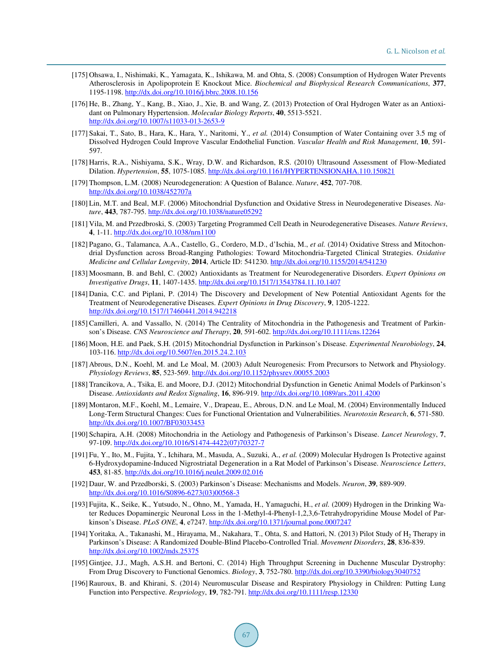- <span id="page-35-0"></span>[175] Ohsawa, I., Nishimaki, K., Yamagata, K., Ishikawa, M. and Ohta, S. (2008) Consumption of Hydrogen Water Prevents Atherosclerosis in Apolipoprotein E Knockout Mice. *Biochemical and Biophysical Research Communications*, **377**, 1195-1198. <http://dx.doi.org/10.1016/j.bbrc.2008.10.156>
- <span id="page-35-1"></span>[176] He, B., Zhang, Y., Kang, B., Xiao, J., Xie, B. and Wang, Z. (2013) Protection of Oral Hydrogen Water as an Antioxidant on Pulmonary Hypertension. *Molecular Biology Reports*, **40**, 5513-5521. <http://dx.doi.org/10.1007/s11033-013-2653-9>
- <span id="page-35-2"></span>[177] Sakai, T., Sato, B., Hara, K., Hara, Y., Naritomi, Y., *et al.* (2014) Consumption of Water Containing over 3.5 mg of Dissolved Hydrogen Could Improve Vascular Endothelial Function. *Vascular Health and Risk Management*, **10**, 591- 597.
- <span id="page-35-3"></span>[178] Harris, R.A., Nishiyama, S.K., Wray, D.W. and Richardson, R.S. (2010) Ultrasound Assessment of Flow-Mediated Dilation. *Hypertension*, **55**, 1075-1085. <http://dx.doi.org/10.1161/HYPERTENSIONAHA.110.150821>
- <span id="page-35-4"></span>[179] Thompson, L.M. (2008) Neurodegeneration: A Question of Balance. *Nature*, **452**, 707-708. <http://dx.doi.org/10.1038/452707a>
- <span id="page-35-5"></span>[180] Lin, M.T. and Beal, M.F. (2006) Mitochondrial Dysfunction and Oxidative Stress in Neurodegenerative Diseases. *Nature*, **443**, 787-795. <http://dx.doi.org/10.1038/nature05292>
- <span id="page-35-7"></span>[181] Vila, M. and Przedbroski, S. (2003) Targeting Programmed Cell Death in Neurodegenerative Diseases. *Nature Reviews*, **4**, 1-11. <http://dx.doi.org/10.1038/nrn1100>
- <span id="page-35-6"></span>[182] Pagano, G., Talamanca, A.A., Castello, G., Cordero, M.D., d'Ischia, M., *et al.* (2014) Oxidative Stress and Mitochondrial Dysfunction across Broad-Ranging Pathologies: Toward Mitochondria-Targeted Clinical Strategies. *Oxidative Medicine and Cellular Longevity*, **2014**, Article ID: 541230. <http://dx.doi.org/10.1155/2014/541230>
- [183] Moosmann, B. and Behl, C. (2002) Antioxidants as Treatment for Neurodegenerative Disorders. *Expert Opinions on Investigative Drugs*, **11**, 1407-1435. <http://dx.doi.org/10.1517/13543784.11.10.1407>
- <span id="page-35-8"></span>[184] Dania, C.C. and Piplani, P. (2014) The Discovery and Development of New Potential Antioxidant Agents for the Treatment of Neurodegenerative Diseases. *Expert Opinions in Drug Discovery*, **9**, 1205-1222. <http://dx.doi.org/10.1517/17460441.2014.942218>
- <span id="page-35-9"></span>[185] Camilleri, A. and Vassallo, N. (2014) The Centrality of Mitochondria in the Pathogenesis and Treatment of Parkinson's Disease. *CNS Neuroscience and Therapy*, **20**, 591-602. <http://dx.doi.org/10.1111/cns.12264>
- <span id="page-35-10"></span>[186] Moon, H.E. and Paek, S.H. (2015) Mitochondrial Dysfunction in Parkinson's Disease. *Experimental Neurobiology*, **24**, 103-116. <http://dx.doi.org/10.5607/en.2015.24.2.103>
- <span id="page-35-12"></span>[187] Abrous, D.N., Koehl, M. and Le Moal, M. (2003) Adult Neurogenesis: From Precursors to Network and Physiology. *Physiology Reviews*, **85**, 523-569. <http://dx.doi.org/10.1152/physrev.00055.2003>
- <span id="page-35-11"></span>[188] Trancikova, A., Tsika, E. and Moore, D.J. (2012) Mitochondrial Dysfunction in Genetic Animal Models of Parkinson's Disease. *Antioxidants and Redox Signaling*, **16**, 896-919. <http://dx.doi.org/10.1089/ars.2011.4200>
- <span id="page-35-13"></span>[189] Montaron, M.F., Koehl, M., Lemaire, V., Drapeau, E., Abrous, D.N. and Le Moal, M. (2004) Environmentally Induced Long-Term Structural Changes: Cues for Functional Orientation and Vulnerabilities. *Neurotoxin Research*, **6**, 571-580. <http://dx.doi.org/10.1007/BF03033453>
- <span id="page-35-14"></span>[190] Schapira, A.H. (2008) Mitochondria in the Aetiology and Pathogenesis of Parkinson's Disease. *Lancet Neurology*, **7**, 97-109. [http://dx.doi.org/10.1016/S1474-4422\(07\)70327-7](http://dx.doi.org/10.1016/S1474-4422(07)70327-7)
- <span id="page-35-15"></span>[191] Fu, Y., Ito, M., Fujita, Y., Ichihara, M., Masuda, A., Suzuki, A., *et al.* (2009) Molecular Hydrogen Is Protective against 6-Hydroxydopamine-Induced Nigrostriatal Degeneration in a Rat Model of Parkinson's Disease. *Neuroscience Letters*, **453**, 81-85. <http://dx.doi.org/10.1016/j.neulet.2009.02.016>
- <span id="page-35-16"></span>[192] Daur, W. and Przedborski, S. (2003) Parkinson's Disease: Mechanisms and Models. *Neuron*, **39**, 889-909. [http://dx.doi.org/10.1016/S0896-6273\(03\)00568-3](http://dx.doi.org/10.1016/S0896-6273(03)00568-3)
- <span id="page-35-17"></span>[193] Fujita, K., Seike, K., Yutsudo, N., Ohno, M., Yamada, H., Yamaguchi, H., *et al.* (2009) Hydrogen in the Drinking Water Reduces Dopaminergic Neuronal Loss in the 1-Methyl-4-Phenyl-1,2,3,6-Tetrahydropyridine Mouse Model of Parkinson's Disease. *PLoS ONE*, **4**, e7247[. http://dx.doi.org/10.1371/journal.pone.0007247](http://dx.doi.org/10.1371/journal.pone.0007247)
- <span id="page-35-18"></span>[194] Yoritaka, A., Takanashi, M., Hirayama, M., Nakahara, T., Ohta, S. and Hattori, N. (2013) Pilot Study of H<sub>2</sub> Therapy in Parkinson's Disease: A Randomized Double-Blind Placebo-Controlled Trial. *Movement Disorders*, **28**, 836-839. <http://dx.doi.org/10.1002/mds.25375>
- <span id="page-35-19"></span>[195] Gintjee, J.J., Magh, A.S.H. and Bertoni, C. (2014) High Throughput Screening in Duchenne Muscular Dystrophy: From Drug Discovery to Functional Genomics. *Biology*, **3**, 752-780. <http://dx.doi.org/10.3390/biology3040752>
- <span id="page-35-20"></span>[196] Rauroux, B. and Khirani, S. (2014) Neuromuscular Disease and Respiratory Physiology in Children: Putting Lung Function into Perspective. *Respriology*, **19**, 782-791. <http://dx.doi.org/10.1111/resp.12330>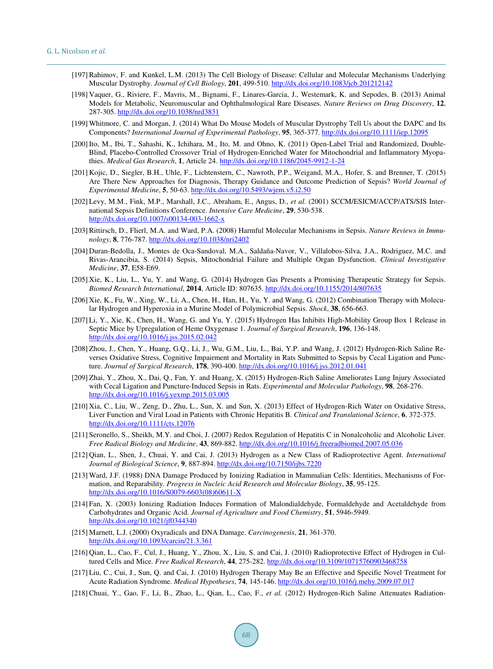- <span id="page-36-0"></span>[197] Rahimov, F. and Kunkel, L.M. (2013) The Cell Biology of Disease: Cellular and Molecular Mechanisms Underlying Muscular Dystrophy. *Journal of Cell Biology*, **201**, 499-510. <http://dx.doi.org/10.1083/jcb.201212142>
- [198] Vaquer, G., Riviere, F., Mavris, M., Bignami, F., Linares-Garcia, J., Westemark, K. and Sepodes, B. (2013) Animal Models for Metabolic, Neuromuscular and Ophthalmological Rare Diseases. *Nature Reviews on Drug Discovery*, **12**, 287-305. <http://dx.doi.org/10.1038/nrd3831>
- <span id="page-36-1"></span>[199] Whitmore, C. and Morgan, J. (2014) What Do Mouse Models of Muscular Dystrophy Tell Us about the DAPC and Its Components? *International Journal of Experimental Pathology*, **95**, 365-377. <http://dx.doi.org/10.1111/iep.12095>
- <span id="page-36-2"></span>[200] Ito, M., Ibi, T., Sahashi, K., Ichihara, M., Ito, M. and Ohno, K. (2011) Open-Label Trial and Randomized, Double-Blind, Placebo-Controlled Crossover Trial of Hydrogen-Enriched Water for Mitochondrial and Inflammatory Myopathies. *Medical Gas Research*, **1**, Article 24. <http://dx.doi.org/10.1186/2045-9912-1-24>
- <span id="page-36-3"></span>[201] Kojic, D., Siegler, B.H., Uhle, F., Lichtenstern, C., Nawroth, P.P., Weigand, M.A., Hofer, S. and Brenner, T. (2015) Are There New Approaches for Diagnosis, Therapy Guidance and Outcome Prediction of Sepsis? *World Journal of Experimental Medicine*, **5**, 50-63. <http://dx.doi.org/10.5493/wjem.v5.i2.50>
- [202] Levy, M.M., Fink, M.P., Marshall, J.C., Abraham, E., Angus, D., *et al.* (2001) SCCM/ESICM/ACCP/ATS/SIS International Sepsis Definitions Conference. *Intensive Care Medicine*, **29**, 530-538. <http://dx.doi.org/10.1007/s00134-003-1662-x>
- <span id="page-36-4"></span>[203] Rittirsch, D., Flierl, M.A. and Ward, P.A. (2008) Harmful Molecular Mechanisms in Sepsis. *Nature Reviews in Immunology*, **8**, 776-787. <http://dx.doi.org/10.1038/nri2402>
- <span id="page-36-5"></span>[204] Duran-Bedolla, J., Montes de Oca-Sandoval, M.A., Saldaña-Navor, V., Villalobos-Silva, J.A., Rodriguez, M.C. and Rivas-Arancibia, S. (2014) Sepsis, Mitochondrial Failure and Multiple Organ Dysfunction. *Clinical Investigative Medicine*, **37**, E58-E69.
- <span id="page-36-6"></span>[205] Xie, K., Liu, L., Yu, Y. and Wang, G. (2014) Hydrogen Gas Presents a Promising Therapeutic Strategy for Sepsis. *Biomed Research International*, **2014**, Article ID: 807635. <http://dx.doi.org/10.1155/2014/807635>
- <span id="page-36-7"></span>[206] Xie, K., Fu, W., Xing, W., Li, A., Chen, H., Han, H., Yu, Y. and Wang, G. (2012) Combination Therapy with Molecular Hydrogen and Hyperoxia in a Murine Model of Polymicrobial Sepsis. *Shock*, **38**, 656-663.
- <span id="page-36-8"></span>[207] Li, Y., Xie, K., Chen, H., Wang, G. and Yu, Y. (2015) Hydrogen Has Inhibits High-Mobility Group Box 1 Release in Septic Mice by Upregulation of Heme Oxygenase 1. *Journal of Surgical Research*, **196**, 136-148. <http://dx.doi.org/10.1016/j.jss.2015.02.042>
- <span id="page-36-9"></span>[208] Zhou, J., Chen, Y., Huang, G.Q., Li, J., Wu, G.M., Liu, L., Bai, Y.P. and Wang, J. (2012) Hydrogen-Rich Saline Reverses Oxidative Stress, Cognitive Impairment and Mortality in Rats Submitted to Sepsis by Cecal Ligation and Puncture. *Journal of Surgical Research*, **178**, 390-400. <http://dx.doi.org/10.1016/j.jss.2012.01.041>
- <span id="page-36-10"></span>[209] Zhai, Y., Zhou, X., Dai, Q., Fan, Y. and Huang, X. (2015) Hydrogen-Rich Saline Ameliorates Lung Injury Associated with Cecal Ligation and Puncture-Induced Sepsis in Rats. *Experimental and Molecular Pathology*, **98**, 268-276. <http://dx.doi.org/10.1016/j.yexmp.2015.03.005>
- <span id="page-36-11"></span>[210] Xia, C., Liu, W., Zeng, D., Zhu, L., Sun, X. and Sun, X. (2013) Effect of Hydrogen-Rich Water on Oxidative Stress, Liver Function and Viral Load in Patients with Chronic Hepatitis B. *Clinical and Translational Science*, **6**, 372-375. <http://dx.doi.org/10.1111/cts.12076>
- <span id="page-36-12"></span>[211] Seronello, S., Sheikh, M.Y. and Choi, J. (2007) Redox Regulation of Hepatitis C in Nonalcoholic and Alcoholic Liver. *Free Radical Biology and Medicine*, **43**, 869-882. <http://dx.doi.org/10.1016/j.freeradbiomed.2007.05.036>
- <span id="page-36-13"></span>[212] Qian, L., Shen, J., Chuai, Y. and Cai, J. (2013) Hydrogen as a New Class of Radioprotective Agent. *International Journal of Biological Science*, **9**, 887-894. <http://dx.doi.org/10.7150/ijbs.7220>
- <span id="page-36-14"></span>[213] Ward, J.F. (1988) DNA Damage Produced by Ionizing Radiation in Mammalian Cells: Identities, Mechanisms of Formation, and Reparability. *Progress in Nucleic Acid Research and Molecular Biology*, **35**, 95-125. [http://dx.doi.org/10.1016/S0079-6603\(08\)60611-X](http://dx.doi.org/10.1016/S0079-6603(08)60611-X)
- [214] Fan, X. (2003) Ionizing Radiation Induces Formation of Malondialdehyde, Formaldehyde and Acetaldehyde from Carbohydrates and Organic Acid. *Journal of Agriculture and Food Chemistry*, **51**, 5946-5949. <http://dx.doi.org/10.1021/jf0344340>
- <span id="page-36-15"></span>[215] Marnett, L.J. (2000) Oxyradicals and DNA Damage. *Carcinogenesis*, **21**, 361-370. <http://dx.doi.org/10.1093/carcin/21.3.361>
- <span id="page-36-16"></span>[216] Qian, L., Cao, F., Cul, J., Huang, Y., Zhou, X., Liu, S. and Cai, J. (2010) Radioprotective Effect of Hydrogen in Cultured Cells and Mice. *Free Radical Research*, **44**, 275-282. <http://dx.doi.org/10.3109/10715760903468758>
- [217] Liu, C., Cui, J., Sun, Q. and Cai, J. (2010) Hydrogen Therapy May Be an Effective and Specific Novel Treatment for Acute Radiation Syndrome. *Medical Hypotheses*, **74**, 145-146. <http://dx.doi.org/10.1016/j.mehy.2009.07.017>
- <span id="page-36-17"></span>[218] Chuai, Y., Gao, F., Li, B., Zhao, L., Qian, L., Cao, F., *et al.* (2012) Hydrogen-Rich Saline Attenuates Radiation-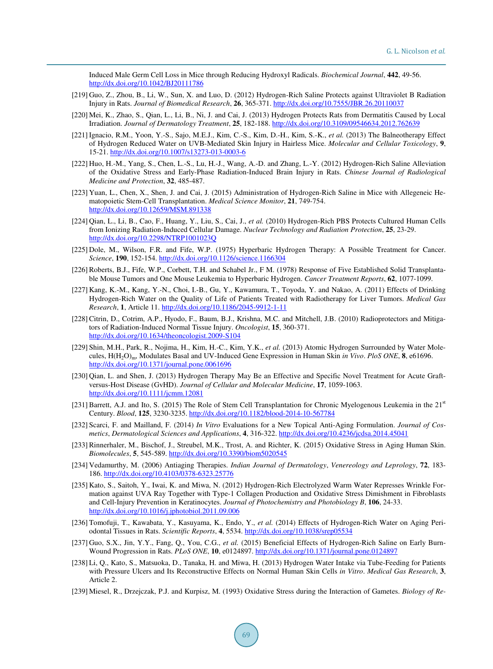Induced Male Germ Cell Loss in Mice through Reducing Hydroxyl Radicals. *Biochemical Journal*, **442**, 49-56. <http://dx.doi.org/10.1042/BJ20111786>

- <span id="page-37-0"></span>[219] Guo, Z., Zhou, B., Li, W., Sun, X. and Luo, D. (2012) Hydrogen-Rich Saline Protects against Ultraviolet B Radiation Injury in Rats. *Journal of Biomedical Research*, **26**, 365-371. <http://dx.doi.org/10.7555/JBR.26.20110037>
- [220] Mei, K., Zhao, S., Qian, L., Li, B., Ni, J. and Cai, J. (2013) Hydrogen Protects Rats from Dermatitis Caused by Local Irradiation. *Journal of Dermatology Treatment*, **25**, 182-188. <http://dx.doi.org/10.3109/09546634.2012.762639>
- <span id="page-37-1"></span>[221] Ignacio, R.M., Yoon, Y.-S., Sajo, M.E.J., Kim, C.-S., Kim, D.-H., Kim, S.-K., *et al.* (2013) The Balneotherapy Effect of Hydrogen Reduced Water on UVB-Mediated Skin Injury in Hairless Mice. *Molecular and Cellular Toxicology*, **9**, 15-21. <http://dx.doi.org/10.1007/s13273-013-0003-6>
- <span id="page-37-2"></span>[222] Huo, H.-M., Yang, S., Chen, L.-S., Lu, H.-J., Wang, A.-D. and Zhang, L.-Y. (2012) Hydrogen-Rich Saline Alleviation of the Oxidative Stress and Early-Phase Radiation-Induced Brain Injury in Rats. *Chinese Journal of Radiological Medicine and Protection*, **32**, 485-487.
- <span id="page-37-3"></span>[223] Yuan, L., Chen, X., Shen, J. and Cai, J. (2015) Administration of Hydrogen-Rich Saline in Mice with Allegeneic Hematopoietic Stem-Cell Transplantation. *Medical Science Monitor*, **21**, 749-754. <http://dx.doi.org/10.12659/MSM.891338>
- <span id="page-37-4"></span>[224] Qian, L., Li, B., Cao, F., Huang, Y., Liu, S., Cai, J., *et al.* (2010) Hydrogen-Rich PBS Protects Cultured Human Cells from Ionizing Radiation-Induced Cellular Damage. *Nuclear Technology and Radiation Protection*, **25**, 23-29. <http://dx.doi.org/10.2298/NTRP1001023Q>
- <span id="page-37-5"></span>[225] Dole, M., Wilson, F.R. and Fife, W.P. (1975) Hyperbaric Hydrogen Therapy: A Possible Treatment for Cancer. *Science*, **190**, 152-154. <http://dx.doi.org/10.1126/science.1166304>
- <span id="page-37-6"></span>[226] Roberts, B.J., Fife, W.P., Corbett, T.H. and Schabel Jr., F M. (1978) Response of Five Established Solid Transplantable Mouse Tumors and One Mouse Leukemia to Hyperbaric Hydrogen. *Cancer Treatment Reports*, **62**, 1077-1099.
- <span id="page-37-7"></span>[227] Kang, K.-M., Kang, Y.-N., Choi, I.-B., Gu, Y., Kawamura, T., Toyoda, Y. and Nakao, A. (2011) Effects of Drinking Hydrogen-Rich Water on the Quality of Life of Patients Treated with Radiotherapy for Liver Tumors. *Medical Gas Research*, **1**, Article 11. <http://dx.doi.org/10.1186/2045-9912-1-11>
- <span id="page-37-8"></span>[228] Citrin, D., Cotrim, A.P., Hyodo, F., Baum, B.J., Krishna, M.C. and Mitchell, J.B. (2010) Radioprotectors and Mitigators of Radiation-Induced Normal Tissue Injury. *Oncologist*, **15**, 360-371. <http://dx.doi.org/10.1634/theoncologist.2009-S104>
- <span id="page-37-9"></span>[229] Shin, M.H., Park, R., Nojima, H., Kim, H.-C., Kim, Y.K., *et al.* (2013) Atomic Hydrogen Surrounded by Water Molecules, H(H2O)m, Modulates Basal and UV-Induced Gene Expression in Human Skin *in Vivo*. *PloS ONE*, **8**, e61696. <http://dx.doi.org/10.1371/journal.pone.0061696>
- <span id="page-37-11"></span>[230] Qian, L. and Shen, J. (2013) Hydrogen Therapy May Be an Effective and Specific Novel Treatment for Acute Graftversus-Host Disease (GvHD). *Journal of Cellular and Molecular Medicine*, **17**, 1059-1063. <http://dx.doi.org/10.1111/jcmm.12081>
- <span id="page-37-10"></span>[231] Barrett, A.J. and Ito, S. (2015) The Role of Stem Cell Transplantation for Chronic Myelogenous Leukemia in the  $21<sup>st</sup>$ Century. *Blood*, **125**, 3230-3235. <http://dx.doi.org/10.1182/blood-2014-10-567784>
- <span id="page-37-12"></span>[232] Scarci, F. and Mailland, F. (2014) *In Vitro* Evaluations for a New Topical Anti-Aging Formulation. *Journal of Cosmetics*, *Dermatological Sciences and Applications*, **4**, 316-322. <http://dx.doi.org/10.4236/jcdsa.2014.45041>
- <span id="page-37-13"></span>[233] Rinnerhaler, M., Bischof, J., Streubel, M.K., Trost, A. and Richter, K. (2015) Oxidative Stress in Aging Human Skin. *Biomolecules*, **5**, 545-589. <http://dx.doi.org/10.3390/biom5020545>
- <span id="page-37-14"></span>[234] Vedamurthy, M. (2006) Antiaging Therapies. *Indian Journal of Dermatology*, *Venereology and Leprology*, **72**, 183- 186. <http://dx.doi.org/10.4103/0378-6323.25776>
- <span id="page-37-15"></span>[235] Kato, S., Saitoh, Y., Iwai, K. and Miwa, N. (2012) Hydrogen-Rich Electrolyzed Warm Water Represses Wrinkle Formation against UVA Ray Together with Type-1 Collagen Production and Oxidative Stress Dimishment in Fibroblasts and Cell-Injury Prevention in Keratinocytes. *Journal of Photochemistry and Photobiology B*, **106**, 24-33. <http://dx.doi.org/10.1016/j.jphotobiol.2011.09.006>
- <span id="page-37-16"></span>[236] Tomofuji, T., Kawabata, Y., Kasuyama, K., Endo, Y., *et al.* (2014) Effects of Hydrogen-Rich Water on Aging Periodontal Tissues in Rats. *Scientific Reports*, **4**, 5534. <http://dx.doi.org/10.1038/srep05534>
- <span id="page-37-17"></span>[237] Guo, S.X., Jin, Y.Y., Fang, Q., You, C.G., *et al.* (2015) Beneficial Effects of Hydrogen-Rich Saline on Early Burn-Wound Progression in Rats. *PLoS ONE*, **10**, e0124897. <http://dx.doi.org/10.1371/journal.pone.0124897>
- <span id="page-37-18"></span>[238] Li, Q., Kato, S., Matsuoka, D., Tanaka, H. and Miwa, H. (2013) Hydrogen Water Intake via Tube-Feeding for Patients with Pressure Ulcers and Its Reconstructive Effects on Normal Human Skin Cells *in Vitro*. *Medical Gas Research*, **3**, Article 2.
- <span id="page-37-19"></span>[239] Miesel, R., Drzejczak, P.J. and Kurpisz, M. (1993) Oxidative Stress during the Interaction of Gametes. *Biology of Re-*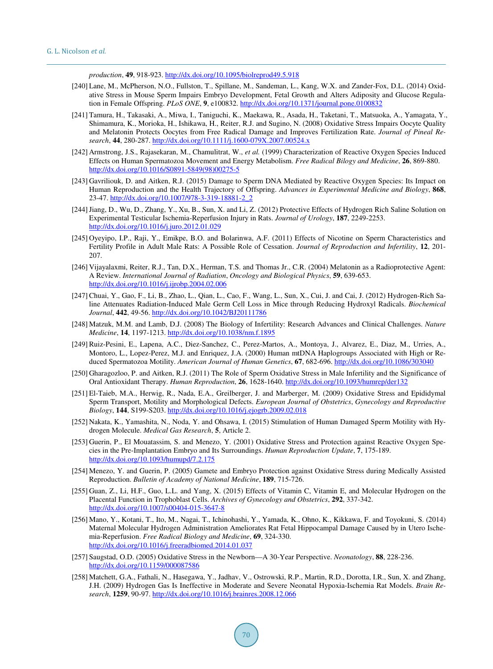*production*, **49**, 918-923. <http://dx.doi.org/10.1095/biolreprod49.5.918>

- [240] Lane, M., McPherson, N.O., Fullston, T., Spillane, M., Sandeman, L., Kang, W.X. and Zander-Fox, D.L. (2014) Oxidative Stress in Mouse Sperm Impairs Embryo Development, Fetal Growth and Alters Adiposity and Glucose Regulation in Female Offspring. *PLoS ONE*, **9**, e100832. <http://dx.doi.org/10.1371/journal.pone.0100832>
- [241] Tamura, H., Takasaki, A., Miwa, I., Taniguchi, K., Maekawa, R., Asada, H., Taketani, T., Matsuoka, A., Yamagata, Y., Shimamura, K., Morioka, H., Ishikawa, H., Reiter, R.J. and Sugino, N. (2008) Oxidative Stress Impairs Oocyte Quality and Melatonin Protects Oocytes from Free Radical Damage and Improves Fertilization Rate. *Journal of Pineal Research*, **44**, 280-287. <http://dx.doi.org/10.1111/j.1600-079X.2007.00524.x>
- [242] Armstrong, J.S., Rajasekaran, M., Chamulitrat, W., *et al.* (1999) Characterization of Reactive Oxygen Species Induced Effects on Human Spermatozoa Movement and Energy Metabolism. *Free Radical Bilogy and Medicine*, **26**, 869-880. [http://dx.doi.org/10.1016/S0891-5849\(98\)00275-5](http://dx.doi.org/10.1016/S0891-5849(98)00275-5)
- <span id="page-38-1"></span>[243] Gavriliouk, D. and Aitken, R.J. (2015) Damage to Sperm DNA Mediated by Reactive Oxygen Species: Its Impact on Human Reproduction and the Health Trajectory of Offspring. *Advances in Experimental Medicine and Biology*, **868**, 23-47. [http://dx.doi.org/10.1007/978-3-319-18881-2\\_2](http://dx.doi.org/10.1007/978-3-319-18881-2_2)
- <span id="page-38-2"></span>[244] Jiang, D., Wu, D., Zhang, Y., Xu, B., Sun, X. and Li, Z. (2012) Protective Effects of Hydrogen Rich Saline Solution on Experimental Testicular Ischemia-Reperfusion Injury in Rats. *Journal of Urology*, **187**, 2249-2253. <http://dx.doi.org/10.1016/j.juro.2012.01.029>
- <span id="page-38-3"></span>[245] Oyeyipo, I.P., Raji, Y., Emikpe, B.O. and Bolarinwa, A.F. (2011) Effects of Nicotine on Sperm Characteristics and Fertility Profile in Adult Male Rats: A Possible Role of Cessation. *Journal of Reproduction and Infertility*, **12**, 201- 207.
- <span id="page-38-4"></span>[246] Vijayalaxmi, Reiter, R.J., Tan, D.X., Herman, T.S. and Thomas Jr., C.R. (2004) Melatonin as a Radioprotective Agent: A Review. *International Journal of Radiation*, *Oncology and Biological Physics*, **59**, 639-653. <http://dx.doi.org/10.1016/j.ijrobp.2004.02.006>
- <span id="page-38-0"></span>[247] Chuai, Y., Gao, F., Li, B., Zhao, L., Qian, L., Cao, F., Wang, L., Sun, X., Cui, J. and Cai, J. (2012) Hydrogen-Rich Saline Attenuates Radiation-Induced Male Germ Cell Loss in Mice through Reducing Hydroxyl Radicals. *Biochemical Journal*, **442**, 49-56. <http://dx.doi.org/10.1042/BJ20111786>
- <span id="page-38-5"></span>[248] Matzuk, M.M. and Lamb, D.J. (2008) The Biology of Infertility: Research Advances and Clinical Challenges. *Nature Medicine*, **14**, 1197-1213. <http://dx.doi.org/10.1038/nm.f.1895>
- <span id="page-38-6"></span>[249] Ruiz-Pesini, E., Lapena, A.C., Diez-Sanchez, C., Perez-Martos, A., Montoya, J., Alvarez, E., Diaz, M., Urries, A., Montoro, L., Lopez-Perez, M.J. and Enriquez, J.A. (2000) Human mtDNA Haplogroups Associated with High or Reduced Spermatozoa Motility. *American Journal of Human Genetics*, **67**, 682-696. <http://dx.doi.org/10.1086/303040>
- <span id="page-38-7"></span>[250] Gharagozloo, P. and Aitken, R.J. (2011) The Role of Sperm Oxidative Stress in Male Infertility and the Significance of Oral Antioxidant Therapy. *Human Reproduction*, **26**, 1628-1640. <http://dx.doi.org/10.1093/humrep/der132>
- <span id="page-38-8"></span>[251] El-Taieb, M.A., Herwig, R., Nada, E.A., Greilberger, J. and Marberger, M. (2009) Oxidative Stress and Epididymal Sperm Transport, Motility and Morphological Defects. *European Journal of Obstetrics*, *Gynecology and Reproductive Biology*, **144**, S199-S203. <http://dx.doi.org/10.1016/j.ejogrb.2009.02.018>
- <span id="page-38-9"></span>[252] Nakata, K., Yamashita, N., Noda, Y. and Ohsawa, I. (2015) Stimulation of Human Damaged Sperm Motility with Hydrogen Molecule. *Medical Gas Research*, **5**, Article 2.
- <span id="page-38-10"></span>[253] Guerin, P., El Mouatassim, S. and Menezo, Y. (2001) Oxidative Stress and Protection against Reactive Oxygen Species in the Pre-Implantation Embryo and Its Surroundings. *Human Reproduction Update*, **7**, 175-189. <http://dx.doi.org/10.1093/humupd/7.2.175>
- <span id="page-38-11"></span>[254] Menezo, Y. and Guerin, P. (2005) Gamete and Embryo Protection against Oxidative Stress during Medically Assisted Reproduction. *Bulletin of Academy of National Medicine*, **189**, 715-726.
- <span id="page-38-12"></span>[255] Guan, Z., Li, H.F., Guo, L.L. and Yang, X. (2015) Effects of Vitamin C, Vitamin E, and Molecular Hydrogen on the Placental Function in Trophoblast Cells. *Archives of Gynecology and Obstetrics*, **292**, 337-342. <http://dx.doi.org/10.1007/s00404-015-3647-8>
- <span id="page-38-13"></span>[256] Mano, Y., Kotani, T., Ito, M., Nagai, T., Ichinohashi, Y., Yamada, K., Ohno, K., Kikkawa, F. and Toyokuni, S. (2014) Maternal Molecular Hydrogen Administration Ameliorates Rat Fetal Hippocampal Damage Caused by in Utero Ischemia-Reperfusion. *Free Radical Biology and Medicine*, **69**, 324-330. <http://dx.doi.org/10.1016/j.freeradbiomed.2014.01.037>
- <span id="page-38-14"></span>[257] Saugstad, O.D. (2005) Oxidative Stress in the Newborn—A 30-Year Perspective. *Neonatology*, **88**, 228-236. <http://dx.doi.org/10.1159/000087586>
- <span id="page-38-15"></span>[258] Matchett, G.A., Fathali, N., Hasegawa, Y., Jadhav, V., Ostrowski, R.P., Martin, R.D., Dorotta, I.R., Sun, X. and Zhang, J.H. (2009) Hydrogen Gas Is Ineffective in Moderate and Severe Neonatal Hypoxia-Ischemia Rat Models. *Brain Research*, **1259**, 90-97. <http://dx.doi.org/10.1016/j.brainres.2008.12.066>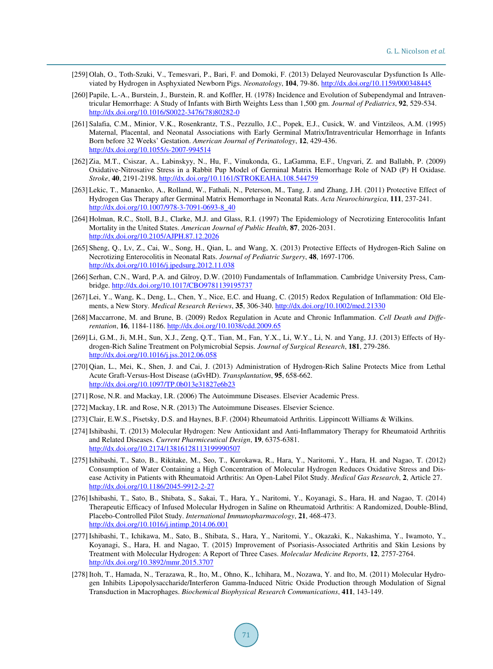- <span id="page-39-0"></span>[259] Olah, O., Toth-Szuki, V., Temesvari, P., Bari, F. and Domoki, F. (2013) Delayed Neurovascular Dysfunction Is Alleviated by Hydrogen in Asphyxiated Newborn Pigs. *Neonatology*, **104**, 79-86. <http://dx.doi.org/10.1159/000348445>
- <span id="page-39-1"></span>[260] Papile, L.-A., Burstein, J., Burstein, R. and Koffler, H. (1978) Incidence and Evolution of Subependymal and Intraventricular Hemorrhage: A Study of Infants with Birth Weights Less than 1,500 gm. *Journal of Pediatrics*, **92**, 529-534. [http://dx.doi.org/10.1016/S0022-3476\(78\)80282-0](http://dx.doi.org/10.1016/S0022-3476(78)80282-0)
- <span id="page-39-2"></span>[261] Salafia, C.M., Minior, V.K., Rosenkrantz, T.S., Pezzullo, J.C., Popek, E.J., Cusick, W. and Vintzileos, A.M. (1995) Maternal, Placental, and Neonatal Associations with Early Germinal Matrix/Intraventricular Hemorrhage in Infants Born before 32 Weeks' Gestation. *American Journal of Perinatology*, **12**, 429-436. <http://dx.doi.org/10.1055/s-2007-994514>
- <span id="page-39-3"></span>[262] Zia, M.T., Csiszar, A., Labinskyy, N., Hu, F., Vinukonda, G., LaGamma, E.F., Ungvari, Z. and Ballabh, P. (2009) Oxidative-Nitrosative Stress in a Rabbit Pup Model of Germinal Matrix Hemorrhage Role of NAD (P) H Oxidase. *Stroke*, **40**, 2191-2198. <http://dx.doi.org/10.1161/STROKEAHA.108.544759>
- <span id="page-39-4"></span>[263] Lekic, T., Manaenko, A., Rolland, W., Fathali, N., Peterson, M., Tang, J. and Zhang, J.H. (2011) Protective Effect of Hydrogen Gas Therapy after Germinal Matrix Hemorrhage in Neonatal Rats. *Acta Neurochirurgica*, **111**, 237-241. [http://dx.doi.org/10.1007/978-3-7091-0693-8\\_40](http://dx.doi.org/10.1007/978-3-7091-0693-8_40)
- <span id="page-39-5"></span>[264] Holman, R.C., Stoll, B.J., Clarke, M.J. and Glass, R.I. (1997) The Epidemiology of Necrotizing Enterocolitis Infant Mortality in the United States. *American Journal of Public Health*, **87**, 2026-2031. <http://dx.doi.org/10.2105/AJPH.87.12.2026>
- <span id="page-39-6"></span>[265] Sheng, Q., Lv, Z., Cai, W., Song, H., Qian, L. and Wang, X. (2013) Protective Effects of Hydrogen-Rich Saline on Necrotizing Enterocolitis in Neonatal Rats. *Journal of Pediatric Surgery*, **48**, 1697-1706. <http://dx.doi.org/10.1016/j.jpedsurg.2012.11.038>
- <span id="page-39-7"></span>[266] Serhan, C.N., Ward, P.A. and Gilroy, D.W. (2010) Fundamentals of Inflammation. Cambridge University Press, Cambridge.<http://dx.doi.org/10.1017/CBO9781139195737>
- <span id="page-39-8"></span>[267] Lei, Y., Wang, K., Deng, L., Chen, Y., Nice, E.C. and Huang, C. (2015) Redox Regulation of Inflammation: Old Elements, a New Story. *Medical Research Reviews*, **35**, 306-340. <http://dx.doi.org/10.1002/med.21330>
- <span id="page-39-9"></span>[268] Maccarrone, M. and Brune, B. (2009) Redox Regulation in Acute and Chronic Inflammation. *Cell Death and Differentation*, **16**, 1184-1186. <http://dx.doi.org/10.1038/cdd.2009.65>
- <span id="page-39-10"></span>[269] Li, G.M., Ji, M.H., Sun, X.J., Zeng, Q.T., Tian, M., Fan, Y.X., Li, W.Y., Li, N. and Yang, J.J. (2013) Effects of Hydrogen-Rich Saline Treatment on Polymicrobial Sepsis. *Journal of Surgical Research*, **181**, 279-286. <http://dx.doi.org/10.1016/j.jss.2012.06.058>
- <span id="page-39-11"></span>[270] Qian, L., Mei, K., Shen, J. and Cai, J. (2013) Administration of Hydrogen-Rich Saline Protects Mice from Lethal Acute Graft-Versus-Host Disease (aGvHD). *Transplantation*, **95**, 658-662. <http://dx.doi.org/10.1097/TP.0b013e31827e6b23>
- <span id="page-39-12"></span>[271] Rose, N.R. and Mackay, I.R. (2006) The Autoimmune Diseases. Elsevier Academic Press.
- <span id="page-39-13"></span>[272] Mackay, I.R. and Rose, N.R. (2013) The Autoimmune Diseases. Elsevier Science.
- <span id="page-39-14"></span>[273] Clair, E.W.S., Pisetsky, D.S. and Haynes, B.F. (2004) Rheumatoid Arthritis. Lippincott Williams & Wilkins.
- <span id="page-39-15"></span>[274] Ishibashi, T. (2013) Molecular Hydrogen: New Antioxidant and Anti-Inflammatory Therapy for Rheumatoid Arthritis and Related Diseases. *Current Pharmiceutical Design*, **19**, 6375-6381. <http://dx.doi.org/10.2174/13816128113199990507>
- <span id="page-39-16"></span>[275] Ishibashi, T., Sato, B., Rikitake, M., Seo, T., Kurokawa, R., Hara, Y., Naritomi, Y., Hara, H. and Nagao, T. (2012) Consumption of Water Containing a High Concentration of Molecular Hydrogen Reduces Oxidative Stress and Disease Activity in Patients with Rheumatoid Arthritis: An Open-Label Pilot Study. *Medical Gas Research*, **2**, Article 27. <http://dx.doi.org/10.1186/2045-9912-2-27>
- <span id="page-39-17"></span>[276] Ishibashi, T., Sato, B., Shibata, S., Sakai, T., Hara, Y., Naritomi, Y., Koyanagi, S., Hara, H. and Nagao, T. (2014) Therapeutic Efficacy of Infused Molecular Hydrogen in Saline on Rheumatoid Arthritis: A Randomized, Double-Blind, Placebo-Controlled Pilot Study. *International Immunopharmacology*, **21**, 468-473. <http://dx.doi.org/10.1016/j.intimp.2014.06.001>
- <span id="page-39-18"></span>[277] Ishibashi, T., Ichikawa, M., Sato, B., Shibata, S., Hara, Y., Naritomi, Y., Okazaki, K., Nakashima, Y., Iwamoto, Y., Koyanagi, S., Hara, H. and Nagao, T. (2015) Improvement of Psoriasis-Associated Arthritis and Skin Lesions by Treatment with Molecular Hydrogen: A Report of Three Cases. *Molecular Medicine Reports*, **12**, 2757-2764. <http://dx.doi.org/10.3892/mmr.2015.3707>
- <span id="page-39-19"></span>[278] Itoh, T., Hamada, N., Terazawa, R., Ito, M., Ohno, K., Ichihara, M., Nozawa, Y. and Ito, M. (2011) Molecular Hydrogen Inhibits Lipopolysaccharide/Interferon Gamma-Induced Nitric Oxide Production through Modulation of Signal Transduction in Macrophages. *Biochemical Biophysical Research Communications*, **411**, 143-149.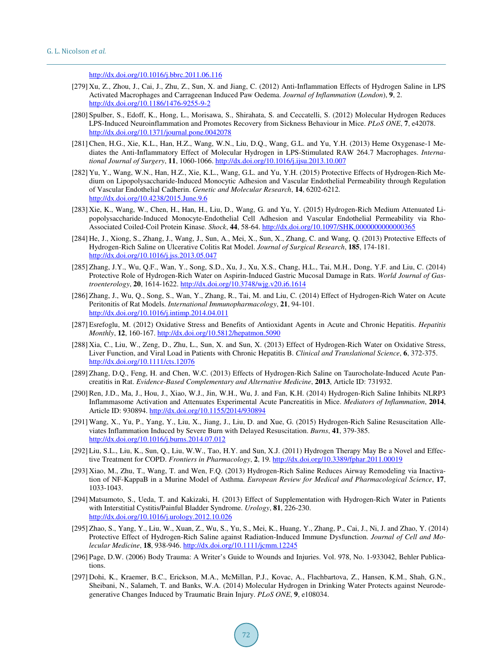<http://dx.doi.org/10.1016/j.bbrc.2011.06.116>

- <span id="page-40-0"></span>[279] Xu, Z., Zhou, J., Cai, J., Zhu, Z., Sun, X. and Jiang, C. (2012) Anti-Inflammation Effects of Hydrogen Saline in LPS Activated Macrophages and Carrageenan Induced Paw Oedema. *Journal of Inflammation* (*London*), **9**, 2. <http://dx.doi.org/10.1186/1476-9255-9-2>
- <span id="page-40-1"></span>[280] Spulber, S., Edoff, K., Hong, L., Morisawa, S., Shirahata, S. and Ceccatelli, S. (2012) Molecular Hydrogen Reduces LPS-Induced Neuroinflammation and Promotes Recovery from Sickness Behaviour in Mice. *PLoS ONE*, **7**, e42078. <http://dx.doi.org/10.1371/journal.pone.0042078>
- <span id="page-40-2"></span>[281] Chen, H.G., Xie, K.L., Han, H.Z., Wang, W.N., Liu, D.Q., Wang, G.L. and Yu, Y.H. (2013) Heme Oxygenase-1 Mediates the Anti-Inflammatory Effect of Molecular Hydrogen in LPS-Stimulated RAW 264.7 Macrophages. *International Journal of Surgery*, **11**, 1060-1066. <http://dx.doi.org/10.1016/j.ijsu.2013.10.007>
- <span id="page-40-3"></span>[282] Yu, Y., Wang, W.N., Han, H.Z., Xie, K.L., Wang, G.L. and Yu, Y.H. (2015) Protective Effects of Hydrogen-Rich Medium on Lipopolysaccharide-Induced Monocytic Adhesion and Vascular Endothelial Permeability through Regulation of Vascular Endothelial Cadherin. *Genetic and Molecular Research*, **14**, 6202-6212. <http://dx.doi.org/10.4238/2015.June.9.6>
- <span id="page-40-4"></span>[283] Xie, K., Wang, W., Chen, H., Han, H., Liu, D., Wang, G. and Yu, Y. (2015) Hydrogen-Rich Medium Attenuated Lipopolysaccharide-Induced Monocyte-Endothelial Cell Adhesion and Vascular Endothelial Permeability via Rho-Associated Coiled-Coil Protein Kinase. *Shock*, **44**, 58-64. <http://dx.doi.org/10.1097/SHK.0000000000000365>
- <span id="page-40-5"></span>[284] He, J., Xiong, S., Zhang, J., Wang, J., Sun, A., Mei, X., Sun, X., Zhang, C. and Wang, Q. (2013) Protective Effects of Hydrogen-Rich Saline on Ulcerative Colitis Rat Model. *Journal of Surgical Research*, **185**, 174-181. <http://dx.doi.org/10.1016/j.jss.2013.05.047>
- <span id="page-40-6"></span>[285] Zhang, J.Y., Wu, Q.F., Wan, Y., Song, S.D., Xu, J., Xu, X.S., Chang, H.L., Tai, M.H., Dong, Y.F. and Liu, C. (2014) Protective Role of Hydrogen-Rich Water on Aspirin-Induced Gastric Mucosal Damage in Rats. *World Journal of Gastroenterology*, **20**, 1614-1622. <http://dx.doi.org/10.3748/wjg.v20.i6.1614>
- <span id="page-40-7"></span>[286] Zhang, J., Wu, Q., Song, S., Wan, Y., Zhang, R., Tai, M. and Liu, C. (2014) Effect of Hydrogen-Rich Water on Acute Peritonitis of Rat Models. *International Immunopharmacology*, **21**, 94-101. <http://dx.doi.org/10.1016/j.intimp.2014.04.011>
- <span id="page-40-8"></span>[287] Esrefoglu, M. (2012) Oxidative Stress and Benefits of Antioxidant Agents in Acute and Chronic Hepatitis. *Hepatitis Monthly*, **12**, 160-167. <http://dx.doi.org/10.5812/hepatmon.5090>
- <span id="page-40-9"></span>[288] Xia, C., Liu, W., Zeng, D., Zhu, L., Sun, X. and Sun, X. (2013) Effect of Hydrogen-Rich Water on Oxidative Stress, Liver Function, and Viral Load in Patients with Chronic Hepatitis B. *Clinical and Translational Science*, **6**, 372-375. <http://dx.doi.org/10.1111/cts.12076>
- <span id="page-40-10"></span>[289] Zhang, D.Q., Feng, H. and Chen, W.C. (2013) Effects of Hydrogen-Rich Saline on Taurocholate-Induced Acute Pancreatitis in Rat. *Evidence-Based Complementary and Alternative Medicine*, **2013**, Article ID: 731932.
- <span id="page-40-11"></span>[290] Ren, J.D., Ma, J., Hou, J., Xiao, W.J., Jin, W.H., Wu, J. and Fan, K.H. (2014) Hydrogen-Rich Saline Inhibits NLRP3 Inflammasome Activation and Attenuates Experimental Acute Pancreatitis in Mice. *Mediators of Inflammation*, **2014**, Article ID: 930894. <http://dx.doi.org/10.1155/2014/930894>
- <span id="page-40-12"></span>[291] Wang, X., Yu, P., Yang, Y., Liu, X., Jiang, J., Liu, D. and Xue, G. (2015) Hydrogen-Rich Saline Resuscitation Alleviates Inflammation Induced by Severe Burn with Delayed Resuscitation. *Burns*, **41**, 379-385. <http://dx.doi.org/10.1016/j.burns.2014.07.012>
- <span id="page-40-13"></span>[292] Liu, S.L., Liu, K., Sun, Q., Liu, W.W., Tao, H.Y. and Sun, X.J. (2011) Hydrogen Therapy May Be a Novel and Effective Treatment for COPD. *Frontiers in Pharmacology*, **2**, 19. <http://dx.doi.org/10.3389/fphar.2011.00019>
- <span id="page-40-14"></span>[293] Xiao, M., Zhu, T., Wang, T. and Wen, F.Q. (2013) Hydrogen-Rich Saline Reduces Airway Remodeling via Inactivation of NF-KappaB in a Murine Model of Asthma. *European Review for Medical and Pharmacological Science*, **17**, 1033-1043.
- <span id="page-40-15"></span>[294] Matsumoto, S., Ueda, T. and Kakizaki, H. (2013) Effect of Supplementation with Hydrogen-Rich Water in Patients with Interstitial Cystitis/Painful Bladder Syndrome. *Urology*, **81**, 226-230. <http://dx.doi.org/10.1016/j.urology.2012.10.026>
- <span id="page-40-16"></span>[295] Zhao, S., Yang, Y., Liu, W., Xuan, Z., Wu, S., Yu, S., Mei, K., Huang, Y., Zhang, P., Cai, J., Ni, J. and Zhao, Y. (2014) Protective Effect of Hydrogen-Rich Saline against Radiation-Induced Immune Dysfunction. *Journal of Cell and Molecular Medicine*, **18**, 938-946. <http://dx.doi.org/10.1111/jcmm.12245>
- <span id="page-40-17"></span>[296] Page, D.W. (2006) Body Trauma: A Writer's Guide to Wounds and Injuries. Vol. 978, No. 1-933042, Behler Publications.
- <span id="page-40-18"></span>[297] Dohi, K., Kraemer, B.C., Erickson, M.A., McMillan, P.J., Kovac, A., Flachbartova, Z., Hansen, K.M., Shah, G.N., Sheibani, N., Salameh, T. and Banks, W.A. (2014) Molecular Hydrogen in Drinking Water Protects against Neurodegenerative Changes Induced by Traumatic Brain Injury. *PLoS ONE*, **9**, e108034.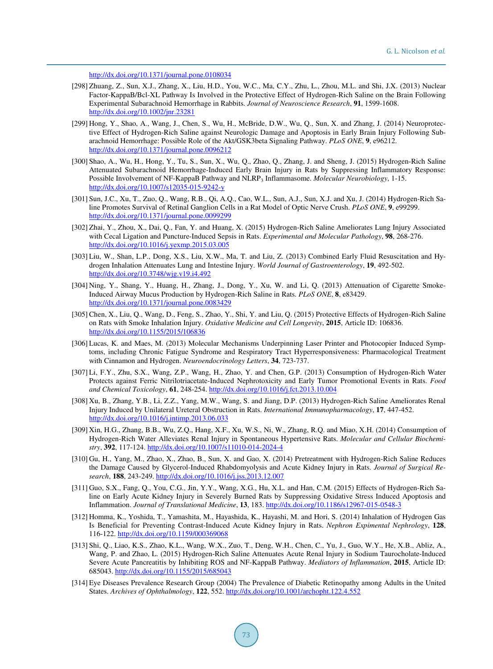```
http://dx.doi.org/10.1371/journal.pone.0108034
```
- <span id="page-41-0"></span>[298] Zhuang, Z., Sun, X.J., Zhang, X., Liu, H.D., You, W.C., Ma, C.Y., Zhu, L., Zhou, M.L. and Shi, J.X. (2013) Nuclear Factor-KappaB/Bcl-XL Pathway Is Involved in the Protective Effect of Hydrogen-Rich Saline on the Brain Following Experimental Subarachnoid Hemorrhage in Rabbits. *Journal of Neuroscience Research*, **91**, 1599-1608. <http://dx.doi.org/10.1002/jnr.23281>
- <span id="page-41-1"></span>[299] Hong, Y., Shao, A., Wang, J., Chen, S., Wu, H., McBride, D.W., Wu, Q., Sun, X. and Zhang, J. (2014) Neuroprotective Effect of Hydrogen-Rich Saline against Neurologic Damage and Apoptosis in Early Brain Injury Following Subarachnoid Hemorrhage: Possible Role of the Akt/GSK3beta Signaling Pathway. *PLoS ONE*, **9**, e96212. <http://dx.doi.org/10.1371/journal.pone.0096212>
- <span id="page-41-2"></span>[300] Shao, A., Wu, H., Hong, Y., Tu, S., Sun, X., Wu, Q., Zhao, Q., Zhang, J. and Sheng, J. (2015) Hydrogen-Rich Saline Attenuated Subarachnoid Hemorrhage-Induced Early Brain Injury in Rats by Suppressing Inflammatory Response: Possible Involvement of NF-KappaB Pathway and NLRP<sup>3</sup> Inflammasome. *Molecular Neurobiology*, 1-15. <http://dx.doi.org/10.1007/s12035-015-9242-y>
- <span id="page-41-3"></span>[301] Sun, J.C., Xu, T., Zuo, Q., Wang, R.B., Qi, A.Q., Cao, W.L., Sun, A.J., Sun, X.J. and Xu, J. (2014) Hydrogen-Rich Saline Promotes Survival of Retinal Ganglion Cells in a Rat Model of Optic Nerve Crush. *PLoS ONE*, **9**, e99299. <http://dx.doi.org/10.1371/journal.pone.0099299>
- <span id="page-41-4"></span>[302] Zhai, Y., Zhou, X., Dai, Q., Fan, Y. and Huang, X. (2015) Hydrogen-Rich Saline Ameliorates Lung Injury Associated with Cecal Ligation and Puncture-Induced Sepsis in Rats. *Experimental and Molecular Pathology*, **98**, 268-276. <http://dx.doi.org/10.1016/j.yexmp.2015.03.005>
- <span id="page-41-5"></span>[303] Liu, W., Shan, L.P., Dong, X.S., Liu, X.W., Ma, T. and Liu, Z. (2013) Combined Early Fluid Resuscitation and Hydrogen Inhalation Attenuates Lung and Intestine Injury. *World Journal of Gastroenterology*, **19**, 492-502. <http://dx.doi.org/10.3748/wjg.v19.i4.492>
- <span id="page-41-6"></span>[304] Ning, Y., Shang, Y., Huang, H., Zhang, J., Dong, Y., Xu, W. and Li, Q. (2013) Attenuation of Cigarette Smoke-Induced Airway Mucus Production by Hydrogen-Rich Saline in Rats. *PLoS ONE*, **8**, e83429. <http://dx.doi.org/10.1371/journal.pone.0083429>
- <span id="page-41-7"></span>[305] Chen, X., Liu, Q., Wang, D., Feng, S., Zhao, Y., Shi, Y. and Liu, Q. (2015) Protective Effects of Hydrogen-Rich Saline on Rats with Smoke Inhalation Injury. *Oxidative Medicine and Cell Longevity*, **2015**, Article ID: 106836. <http://dx.doi.org/10.1155/2015/106836>
- <span id="page-41-8"></span>[306] Lucas, K. and Maes, M. (2013) Molecular Mechanisms Underpinning Laser Printer and Photocopier Induced Symptoms, including Chronic Fatigue Syndrome and Respiratory Tract Hyperresponsiveness: Pharmacological Treatment with Cinnamon and Hydrogen. *Neuroendocrinology Letters*, **34**, 723-737.
- <span id="page-41-9"></span>[307] Li, F.Y., Zhu, S.X., Wang, Z.P., Wang, H., Zhao, Y. and Chen, G.P. (2013) Consumption of Hydrogen-Rich Water Protects against Ferric Nitrilotriacetate-Induced Nephrotoxicity and Early Tumor Promotional Events in Rats. *Food and Chemical Toxicology*, **61**, 248-254. <http://dx.doi.org/10.1016/j.fct.2013.10.004>
- <span id="page-41-10"></span>[308] Xu, B., Zhang, Y.B., Li, Z.Z., Yang, M.W., Wang, S. and Jiang, D.P. (2013) Hydrogen-Rich Saline Ameliorates Renal Injury Induced by Unilateral Ureteral Obstruction in Rats. *International Immunopharmacology*, **17**, 447-452. <http://dx.doi.org/10.1016/j.intimp.2013.06.033>
- <span id="page-41-11"></span>[309] Xin, H.G., Zhang, B.B., Wu, Z.Q., Hang, X.F., Xu, W.S., Ni, W., Zhang, R.Q. and Miao, X.H. (2014) Consumption of Hydrogen-Rich Water Alleviates Renal Injury in Spontaneous Hypertensive Rats. *Molecular and Cellular Biochemistry*, **392**, 117-124. <http://dx.doi.org/10.1007/s11010-014-2024-4>
- <span id="page-41-12"></span>[310] Gu, H., Yang, M., Zhao, X., Zhao, B., Sun, X. and Gao, X. (2014) Pretreatment with Hydrogen-Rich Saline Reduces the Damage Caused by Glycerol-Induced Rhabdomyolysis and Acute Kidney Injury in Rats. *Journal of Surgical Research*, **188**, 243-249. <http://dx.doi.org/10.1016/j.jss.2013.12.007>
- <span id="page-41-13"></span>[311] Guo, S.X., Fang, Q., You, C.G., Jin, Y.Y., Wang, X.G., Hu, X.L. and Han, C.M. (2015) Effects of Hydrogen-Rich Saline on Early Acute Kidney Injury in Severely Burned Rats by Suppressing Oxidative Stress Induced Apoptosis and Inflammation. *Journal of Translational Medicine*, **13**, 183. <http://dx.doi.org/10.1186/s12967-015-0548-3>
- <span id="page-41-14"></span>[312] Homma, K., Yoshida, T., Yamashita, M., Hayashida, K., Hayashi, M. and Hori, S. (2014) Inhalation of Hydrogen Gas Is Beneficial for Preventing Contrast-Induced Acute Kidney Injury in Rats. *Nephron Expimental Nephrology*, **128**, 116-122. <http://dx.doi.org/10.1159/000369068>
- <span id="page-41-15"></span>[313] Shi, Q., Liao, K.S., Zhao, K.L., Wang, W.X., Zuo, T., Deng, W.H., Chen, C., Yu, J., Guo, W.Y., He, X.B., Abliz, A., Wang, P. and Zhao, L. (2015) Hydrogen-Rich Saline Attenuates Acute Renal Injury in Sodium Taurocholate-Induced Severe Acute Pancreatitis by Inhibiting ROS and NF-KappaB Pathway. *Mediators of Inflammation*, **2015**, Article ID: 685043. <http://dx.doi.org/10.1155/2015/685043>
- <span id="page-41-16"></span>[314] Eye Diseases Prevalence Research Group (2004) The Prevalence of Diabetic Retinopathy among Adults in the United States. *Archives of Ophthalmology*, **122**, 552.<http://dx.doi.org/10.1001/archopht.122.4.552>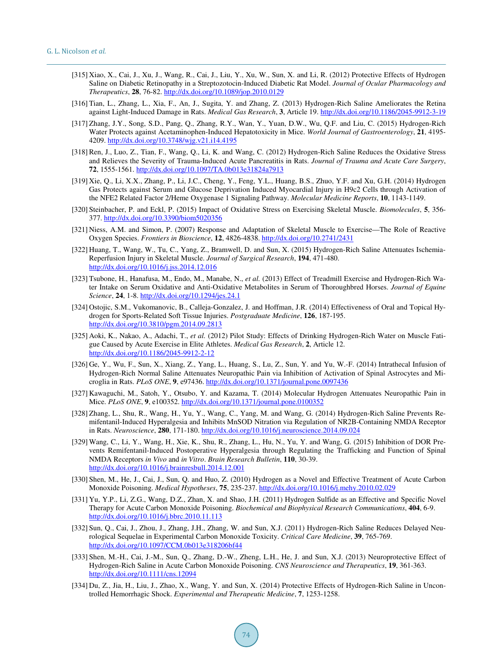- <span id="page-42-0"></span>[315] Xiao, X., Cai, J., Xu, J., Wang, R., Cai, J., Liu, Y., Xu, W., Sun, X. and Li, R. (2012) Protective Effects of Hydrogen Saline on Diabetic Retinopathy in a Streptozotocin-Induced Diabetic Rat Model. *Journal of Ocular Pharmacology and Therapeutics*, **28**, 76-82. <http://dx.doi.org/10.1089/jop.2010.0129>
- <span id="page-42-1"></span>[316] Tian, L., Zhang, L., Xia, F., An, J., Sugita, Y. and Zhang, Z. (2013) Hydrogen-Rich Saline Ameliorates the Retina against Light-Induced Damage in Rats. *Medical Gas Research*, **3**, Article 19. <http://dx.doi.org/10.1186/2045-9912-3-19>
- <span id="page-42-2"></span>[317] Zhang, J.Y., Song, S.D., Pang, Q., Zhang, R.Y., Wan, Y., Yuan, D.W., Wu, Q.F. and Liu, C. (2015) Hydrogen-Rich Water Protects against Acetaminophen-Induced Hepatotoxicity in Mice. *World Journal of Gastroenterology*, **21**, 4195- 4209. <http://dx.doi.org/10.3748/wjg.v21.i14.4195>
- <span id="page-42-3"></span>[318] Ren, J., Luo, Z., Tian, F., Wang, Q., Li, K. and Wang, C. (2012) Hydrogen-Rich Saline Reduces the Oxidative Stress and Relieves the Severity of Trauma-Induced Acute Pancreatitis in Rats. *Journal of Trauma and Acute Care Surgery*, **72**, 1555-1561. <http://dx.doi.org/10.1097/TA.0b013e31824a7913>
- <span id="page-42-4"></span>[319] Xie, Q., Li, X.X., Zhang, P., Li, J.C., Cheng, Y., Feng, Y.L., Huang, B.S., Zhuo, Y.F. and Xu, G.H. (2014) Hydrogen Gas Protects against Serum and Glucose Deprivation Induced Myocardial Injury in H9c2 Cells through Activation of the NFE2 Related Factor 2/Heme Oxygenase 1 Signaling Pathway. *Molecular Medicine Reports*, **10**, 1143-1149.
- <span id="page-42-5"></span>[320] Steinbacher, P. and Eckl, P. (2015) Impact of Oxidative Stress on Exercising Skeletal Muscle. *Biomolecules*, **5**, 356- 377[. http://dx.doi.org/10.3390/biom5020356](http://dx.doi.org/10.3390/biom5020356)
- <span id="page-42-6"></span>[321] Niess, A.M. and Simon, P. (2007) Response and Adaptation of Skeletal Muscle to Exercise—The Role of Reactive Oxygen Species. *Frontiers in Bioscience*, **12**, 4826-4838. <http://dx.doi.org/10.2741/2431>
- <span id="page-42-7"></span>[322] Huang, T., Wang, W., Tu, C., Yang, Z., Bramwell, D. and Sun, X. (2015) Hydrogen-Rich Saline Attenuates Ischemia-Reperfusion Injury in Skeletal Muscle. *Journal of Surgical Research*, **194**, 471-480. <http://dx.doi.org/10.1016/j.jss.2014.12.016>
- <span id="page-42-9"></span>[323] Tsubone, H., Hanafusa, M., Endo, M., Manabe, N., *et al.* (2013) Effect of Treadmill Exercise and Hydrogen-Rich Water Intake on Serum Oxidative and Anti-Oxidative Metabolites in Serum of Thoroughbred Horses. *Journal of Equine Science*, **24**, 1-8. <http://dx.doi.org/10.1294/jes.24.1>
- <span id="page-42-8"></span>[324] Ostojic, S.M., Vukomanovic, B., Calleja-Gonzalez, J. and Hoffman, J.R. (2014) Effectiveness of Oral and Topical Hydrogen for Sports-Related Soft Tissue Injuries. *Postgraduate Medicine*, **126**, 187-195. <http://dx.doi.org/10.3810/pgm.2014.09.2813>
- <span id="page-42-10"></span>[325] Aoki, K., Nakao, A., Adachi, T., *et al.* (2012) Pilot Study: Effects of Drinking Hydrogen-Rich Water on Muscle Fatigue Caused by Acute Exercise in Elite Athletes. *Medical Gas Research*, **2**, Article 12. <http://dx.doi.org/10.1186/2045-9912-2-12>
- <span id="page-42-11"></span>[326] Ge, Y., Wu, F., Sun, X., Xiang, Z., Yang, L., Huang, S., Lu, Z., Sun, Y. and Yu, W.-F. (2014) Intrathecal Infusion of Hydrogen-Rich Normal Saline Attenuates Neuropathic Pain via Inhibition of Activation of Spinal Astrocytes and Microglia in Rats. *PLoS ONE*, **9**, e97436. <http://dx.doi.org/10.1371/journal.pone.0097436>
- <span id="page-42-12"></span>[327] Kawaguchi, M., Satoh, Y., Otsubo, Y. and Kazama, T. (2014) Molecular Hydrogen Attenuates Neuropathic Pain in Mice. *PLoS ONE*, **9**, e100352. <http://dx.doi.org/10.1371/journal.pone.0100352>
- <span id="page-42-13"></span>[328] Zhang, L., Shu, R., Wang, H., Yu, Y., Wang, C., Yang, M. and Wang, G. (2014) Hydrogen-Rich Saline Prevents Remifentanil-Induced Hyperalgesia and Inhibits MnSOD Nitration via Regulation of NR2B-Containing NMDA Receptor in Rats. *Neuroscience*, **280**, 171-180. <http://dx.doi.org/10.1016/j.neuroscience.2014.09.024>
- <span id="page-42-14"></span>[329] Wang, C., Li, Y., Wang, H., Xie, K., Shu, R., Zhang, L., Hu, N., Yu, Y. and Wang, G. (2015) Inhibition of DOR Prevents Remifentanil-Induced Postoperative Hyperalgesia through Regulating the Trafficking and Function of Spinal NMDA Receptors *in Vivo* and *in Vitro*. *Brain Research Bulletin*, **110**, 30-39. <http://dx.doi.org/10.1016/j.brainresbull.2014.12.001>
- <span id="page-42-15"></span>[330] Shen, M., He, J., Cai, J., Sun, Q. and Huo, Z. (2010) Hydrogen as a Novel and Effective Treatment of Acute Carbon Monoxide Poisoning. *Medical Hypotheses*, **75**, 235-237. <http://dx.doi.org/10.1016/j.mehy.2010.02.029>
- [331] Yu, Y.P., Li, Z.G., Wang, D.Z., Zhan, X. and Shao, J.H. (2011) Hydrogen Sulfide as an Effective and Specific Novel Therapy for Acute Carbon Monoxide Poisoning. *Biochemical and Biophysical Research Communications*, **404**, 6-9. <http://dx.doi.org/10.1016/j.bbrc.2010.11.113>
- <span id="page-42-16"></span>[332] Sun, Q., Cai, J., Zhou, J., Zhang, J.H., Zhang, W. and Sun, X.J. (2011) Hydrogen-Rich Saline Reduces Delayed Neurological Sequelae in Experimental Carbon Monoxide Toxicity. *Critical Care Medicine*, **39**, 765-769. <http://dx.doi.org/10.1097/CCM.0b013e318206bf44>
- <span id="page-42-17"></span>[333] Shen, M.-H., Cai, J.-M., Sun, Q., Zhang, D.-W., Zheng, L.H., He, J. and Sun, X.J. (2013) Neuroprotective Effect of Hydrogen-Rich Saline in Acute Carbon Monoxide Poisoning. *CNS Neuroscience and Therapeutics*, **19**, 361-363. <http://dx.doi.org/10.1111/cns.12094>
- <span id="page-42-18"></span>[334] Du, Z., Jia, H., Liu, J., Zhao, X., Wang, Y. and Sun, X. (2014) Protective Effects of Hydrogen-Rich Saline in Uncontrolled Hemorrhagic Shock. *Experimental and Therapeutic Medicine*, **7**, 1253-1258.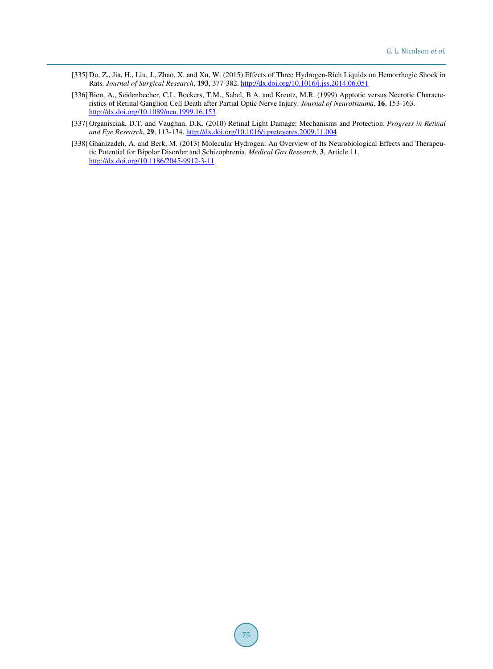- <span id="page-43-1"></span>[335] Du, Z., Jia, H., Liu, J., Zhao, X. and Xu, W. (2015) Effects of Three Hydrogen-Rich Liquids on Hemorrhagic Shock in Rats. *Journal of Surgical Research*, **193**, 377-382. <http://dx.doi.org/10.1016/j.jss.2014.06.051>
- <span id="page-43-0"></span>[336] Bien, A., Seidenbecher, C.I., Bockers, T.M., Sabel, B.A. and Kreutz, M.R. (1999) Apptotic versus Necrotic Characteristics of Retinal Ganglion Cell Death after Partial Optic Nerve Injury. *Journal of Neurotrauma*, **16**, 153-163. <http://dx.doi.org/10.1089/neu.1999.16.153>
- <span id="page-43-2"></span>[337] Organisciak, D.T. and Vaughan, D.K. (2010) Retinal Light Damage: Mechanisms and Protection. *Progress in Retinal and Eye Research*, **29**, 113-134. <http://dx.doi.org/10.1016/j.preteyeres.2009.11.004>
- <span id="page-43-3"></span>[338] Ghanizadeh, A. and Berk, M. (2013) Molecular Hydrogen: An Overview of Its Neurobiological Effects and Therapeutic Potential for Bipolar Disorder and Schizophrenia. *Medical Gas Research*, **3**, Article 11. <http://dx.doi.org/10.1186/2045-9912-3-11>